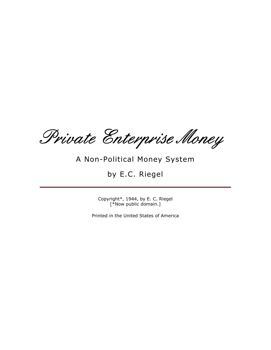Private Enterprise Money

# A Non-Political Money System

# by E.C. Riegel

Copyright\*, 1944, by E. C. Riegel [\*Now public domain.]

Printed in the United States of America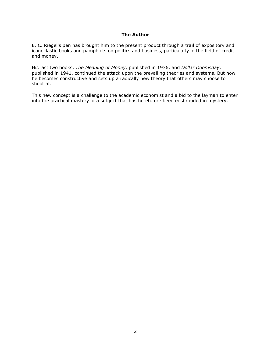# The Author

E. C. Riegel's pen has brought him to the present product through a trail of expository and iconoclastic books and pamphlets on politics and business, particularly in the field of credit and money.

His last two books, The Meaning of Money, published in 1936, and Dollar Doomsday, published in 1941, continued the attack upon the prevailing theories and systems. But now he becomes constructive and sets up a radically new theory that others may choose to shoot at.

This new concept is a challenge to the academic economist and a bid to the layman to enter into the practical mastery of a subject that has heretofore been enshrouded in mystery.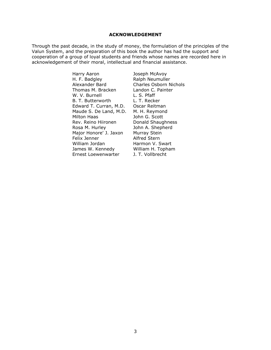#### ACKNOWLEDGEMENT

Through the past decade, in the study of money, the formulation of the principles of the Valun System, and the preparation of this book the author has had the support and cooperation of a group of loyal students and friends whose names are recorded here in acknowledgement of their moral, intellectual and financial assistance.

> Harry Aaron **Marry Aaron** Joseph McAvoy<br>
> H. F. Badgley **Marsh** Ralph Neumulle Alexander Bard Charles Osborn Nichols Thomas M. Bracken Landon C. Painter<br>W. V. Burnell L. S. Pfaff W. V. Burnell L. S. Pfaff<br>B. T. Butterworth L. T. Recker B. T. Butterworth Edward T. Curran, M.D. Oscar Reitman Maude S. De Land, M.D. M. H. Reymond<br>Milton Haas Milton Haas Rev. Reino Hiironen Donald Shaughness Rosa M. Hurley **John A. Shepherd** Major Honore' J. Jaxon Murray Stein Felix Jenner Alfred Stern William Jordan **Harmon V. Swart**<br>James W. Kennedy **Milliam H. Topham** James W. Kennedy Ernest Loewenwarter J. T. Vollbrecht

Ralph Neumuller John G. Scott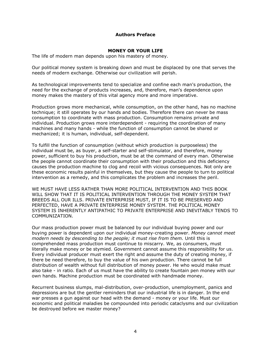## Authors Preface

## MONEY OR YOUR LIFE

The life of modern man depends upon his mastery of money.

Our political money system is breaking down and must be displaced by one that serves the needs of modern exchange. Otherwise our civilization will perish.

As technological improvements tend to specialize and confine each man's production, the need for the exchange of products increases, and, therefore, man's dependence upon money makes the mastery of this vital agency more and more imperative.

Production grows more mechanical, while consumption, on the other hand, has no machine technique; it still operates by our hands and bodies. Therefore there can never be mass consumption to coordinate with mass production. Consumption remains private and individual. Production grows more interdependent - requiring the coordination of many machines and many hands - while the function of consumption cannot be shared or mechanized; it is human, individual, self-dependent.

To fulfill the function of consumption (without which production is purposeless) the individual must be, as buyer, a self-starter and self-stimulator, and therefore, money power, sufficient to buy his production, must be at the command of every man. Otherwise the people cannot coordinate their consumption with their production and this deficiency causes the production machine to clog and recoil with vicious consequences. Not only are these economic results painful in themselves, but they cause the people to turn to political intervention as a remedy, and this complicates the problem and increases the peril.

WE MUST HAVE LESS RATHER THAN MORE POLITICAL INTERVENTION AND THIS BOOK WILL SHOW THAT IT IS POLITICAL INTERVENTION THROUGH THE MONEY SYSTEM THAT BREEDS ALL OUR ILLS. PRIVATE ENTERPRISE MUST, IF IT IS TO BE PRESERVED AND PERFECTED, HAVE A PRIVATE ENTERPRISE MONEY SYSTEM. THE POLITICAL MONEY SYSTEM IS INHERENTLY ANTIPATHIC TO PRIVATE ENTERPRISE AND INEVITABLY TENDS TO COMMUNIZATION.

Our mass production power must be balanced by our individual buying power and our buying power is dependent upon our individual money-creating power. Money cannot meet modern needs by descending to the people; it must rise from them. Until this is comprehended mass production must continue to miscarry. We, as consumers, must literally make money or be stymied. Government cannot assume this responsibility for us. Every individual producer must exert the right and assume the duty of creating money, if there be need therefore, to buy the value of his own production. There cannot be full distribution of wealth without full distribution of money power. He who would make must also take - in ratio. Each of us must have the ability to create fountain pen money with our own hands. Machine production must be coordinated with handmade money.

Recurrent business slumps, mal-distribution, over-production, unemployment, panics and depressions are but the gentler reminders that our industrial life is in danger. In the end war presses a gun against our head with the demand - money or your life. Must our economic and political maladies be compounded into periodic cataclysms and our civilization be destroyed before we master money?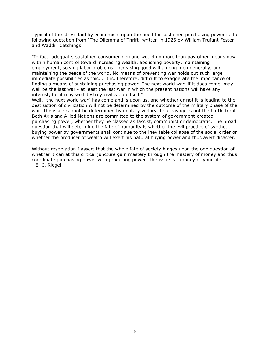Typical of the stress laid by economists upon the need for sustained purchasing power is the following quotation from "The Dilemma of Thrift" written in 1926 by William Trufant Foster and Waddill Catchings:

"In fact, adequate, sustained consumer-demand would do more than pay other means now within human control toward increasing wealth, abolishing poverty, maintaining employment, solving labor problems, increasing good will among men generally, and maintaining the peace of the world. No means of preventing war holds out such large immediate possibilities as this... It is, therefore, difficult to exaggerate the importance of finding a means of sustaining purchasing power. The next world war, if it does come, may well be the last war - at least the last war in which the present nations will have any interest, for it may well destroy civilization itself."

Well, "the next world war" has come and is upon us, and whether or not it is leading to the destruction of civilization will not be determined by the outcome of the military phase of the war. The issue cannot be determined by military victory. Its cleavage is not the battle front. Both Axis and Allied Nations are committed to the system of government-created purchasing power, whether they be classed as fascist, communist or democratic. The broad question that will determine the fate of humanity is whether the evil practice of synthetic buying power by governments shall continue to the inevitable collapse of the social order or whether the producer of wealth will exert his natural buying power and thus avert disaster.

Without reservation I assert that the whole fate of society hinges upon the one question of whether it can at this critical juncture gain mastery through the mastery of money and thus coordinate purchasing power with producing power. The issue is - money or your life. - E. C. Riegel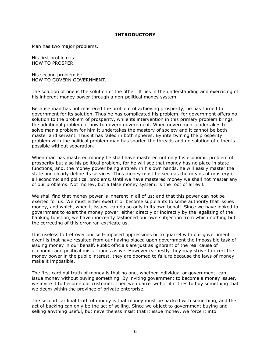## **INTRODUCTORY**

Man has two major problems.

His first problem is: HOW TO PROSPER.

His second problem is: HOW TO GOVERN GOVERNMENT.

The solution of one is the solution of the other. It lies in the understanding and exercising of his inherent money power through a non-political money system.

Because man has not mastered the problem of achieving prosperity, he has turned to government for its solution. Thus he has complicated his problem, for government offers no solution to the problem of prosperity, while its intervention in this primary problem brings the additional problem of how to govern government. When government undertakes to solve man's problem for him it undertakes the mastery of society and it cannot be both master and servant. Thus it has failed in both spheres. By intertwining the prosperity problem with the political problem man has snarled the threads and no solution of either is possible without separation.

When man has mastered money he shall have mastered not only his economic problem of prosperity but also his political problem, for he will see that money has no place in state functions, and, the money power being entirely in his own hands, he will easily master the state and clearly define its services. Thus money must be seen as the means of mastery of all economic and political problems. Until we have mastered money we shall not master any of our problems. Not money, but a false money system, is the root of all evil.

We shall find that money power is inherent in all of us; and that this power can not be exerted for us. We must either exert it or become suppliants to some authority that issues money, and which, when it issues, can do so only in its own behalf. Since we have looked to government to exert the money power, either directly or indirectly by the legalizing of the banking function, we have innocently fashioned our own subjection from which nothing but the correcting of this error ran extricate us.

It is useless to fret over our self-imposed oppressions or to quarrel with our government over ills that have resulted from our having placed upon government the impossible task of issuing money in our behalf. Public officials are just as ignorant of the real cause of economic and political miscarriages as we. However earnestly they may strive to exert the money power in the public interest, they are doomed to failure because the laws of money make it impossible.

The first cardinal truth of money is that no one, whether individual or government, can issue money without buying something. By inviting government to become a money issuer, we invite it to become our customer. Then we quarrel with it if it tries to buy something that we deem within the province of private enterprise.

The second cardinal truth of money is that money must be backed with something, and the act of backing can only be the act of selling. Since we object to government buying and selling anything useful, but nevertheless insist that it issue money, we force it into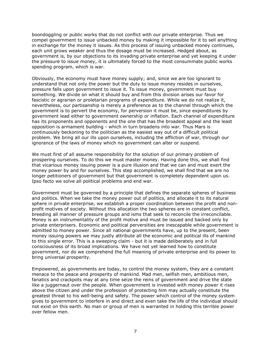boondoggling or public works that do not conflict with our private enterprise. Thus we compel government to issue unbacked money by making it impossible for it to sell anything in exchange for the money it issues. As this process of issuing unbacked money continues, each unit grows weaker and thus the dosage must be increased. Hedged about, as government is, by our objections to its invading private enterprise and yet keeping it under the pressure to issue money, it is ultimately forced to the most consummate public works spending program, which is war.

Obviously, the economy must have money supply; and, since we are too ignorant to understand that not only the power but the duty to issue money resides in ourselves, pressure falls upon government to issue it. To issue money, government must buy something. We divide on what it should buy and from this division arises our favor for fascistic or agrarian or proletarian programs of expenditure. While we do not realize it, nevertheless, our partisanship is merely a preference as to the channel through which the government is to pervert the economy, for perversion it must be, since expenditures by government lead either to government ownership or inflation. Each channel of expenditure has its proponents and opponents and the one that has the broadest appeal and the least opposition is armament building - which in turn broadens into war. Thus Mars is continuously beckoning to the politician as the easiest way out of a difficult political problem. We bring all our ills upon ourselves, including the affliction of war, through our ignorance of the laws of money which no government can alter or suspend.

We must first of all assume responsibility for the solution of our primary problem of prospering ourselves. To do this we must master money. Having done this, we shall find that vicarious money issuing power is a pure illusion and that we can and must exert the money power by and for ourselves. This step accomplished, we shall find that we are no longer petitioners of government but that government is completely dependent upon us. Ipso facto we solve all political problems and end war.

Government must be governed by a principle that defines the separate spheres of business and politics. When we take the money power out of politics, and allocate it to its natural sphere in private enterprise, we establish a proper coordination between the profit and nonprofit motives of society. Without this allocation the two spheres are in constant conflict, breeding all manner of pressure groups and isms that seek to reconcile the irreconcilable. Money is an instrumentality of the profit motive and must be issued and backed only by private enterprisers. Economic and political perversities are inescapable while government is admitted to money power. Since all national governments have, up to the present, been money issuing powers we may justly attribute all the economic and political ills of mankind to this single error. This is a sweeping claim - but it is made deliberately and in full consciousness of its broad implications. We have not yet learned how to constitute government, nor do we comprehend the full meaning of private enterprise and its power to bring universal prosperity.

Empowered, as governments are today, to control the money system, they are a constant menace to the peace and prosperity of mankind. Mad men, selfish men, ambitious men, fanatics and crackpots may at any time seize the reins of government and drive the state like a juggernaut over the people. When government is invested with money power it rises above the citizen and under the profession of protecting him may actually constitute the greatest threat to his well-being and safety. The power which control of the money system gives to government to interfere in and direct and even take the life of the individual should not exist on this earth. No man or group of men is warranted in holding this terrible power over fellow men.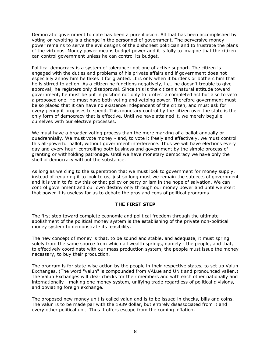Democratic government to date has been a pure illusion. All that has been accomplished by voting or revolting is a change in the personnel of government. The perversive money power remains to serve the evil designs of the dishonest politician and to frustrate the plans of the virtuous. Money power means budget power and it is folly to imagine that the citizen can control government unless he can control its budget.

Political democracy is a system of tolerance; not one of active support. The citizen is engaged with the duties and problems of his private affairs and if government does not especially annoy him he takes it for granted. It is only when it burdens or bothers him that he is stirred to action. As a citizen he functions negatively, i.e., he doesn't trouble to give approval; he registers only disapproval. Since this is the citizen's natural attitude toward government, he must be put in position not only to protest a completed act but also to veto a proposed one. He must have both voting and vetoing power. Therefore government must be so placed that it can have no existence independent of the citizen, and must ask for every penny it proposes to spend. This monetary control by the citizen over the state is the only form of democracy that is effective. Until we have attained it, we merely beguile ourselves with our elective processes.

We must have a broader voting process than the mere marking of a ballot annually or quadrennially. We must vote money - and, to vote it freely and effectively, we must control this all-powerful ballot, without government interference. Thus we will have elections every day and every hour, controlling both business and government by the simple process of granting or withholding patronage. Until we have monetary democracy we have only the shell of democracy without the substance.

As long as we cling to the superstition that we must look to government for money supply, instead of requiring it to look to us, just so long must we remain the subjects of government and it is vain to follow this or that policy or party or ism in the hope of salvation. We can control government and our own destiny only through our money power and until we exert that power it is useless for us to debate the pros and cons of political programs.

## THE FIRST STEP

The first step toward complete economic and political freedom through the ultimate abolishment of the political money system is the establishing of the private non-political money system to demonstrate its feasibility.

The new concept of money is that, to be sound and stable, and adequate, it must spring solely from the same source from which all wealth springs, namely - the people, and that, to effectively coordinate with our mass production system, the people must issue the money necessary, to buy their production.

The program is for state-wise action by the people in their respective states, to set up Valun Exchanges. (The word "valun" is compounded from VALue and UNit and pronounced vallen.) The Valun Exchanges will clear checks for their members and with each other nationally and internationally - making one money system, unifying trade regardless of political divisions, and obviating foreign exchange.

The proposed new money unit is called valun and is to be issued in checks, bills and coins. The valun is to be made par with the 1939 dollar, but entirely disassociated from it and every other political unit. Thus it offers escape from the coming inflation.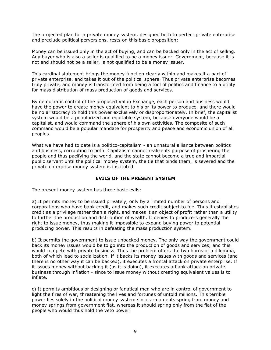The projected plan for a private money system, designed both to perfect private enterprise and preclude political perversions, rests on this basic proposition:

Money can be issued only in the act of buying, and can be backed only in the act of selling. Any buyer who is also a seller is qualified to be a money issuer. Government, because it is not and should not be a seller, is not qualified to be a money issuer.

This cardinal statement brings the money function clearly within and makes it a part of private enterprise, and takes it out of the political sphere. Thus private enterprise becomes truly private, and money is transformed from being a tool of politics and finance to a utility for mass distribution of mass production of goods and services.

By democratic control of the proposed Valun Exchange, each person and business would have the power to create money equivalent to his or its power to produce, and there would be no aristocracy to hold this power exclusively or disproportionately. In brief, the capitalist system would be a popularized and equitable system, because everyone would be a capitalist, and would command the sphere of his own activities. The composite of such command would be a popular mandate for prosperity and peace and economic union of all peoples.

What we have had to date is a politico-capitalism - an unnatural alliance between politics and business, corrupting to both. Capitalism cannot realize its purpose of prospering the people and thus pacifying the world, and the state cannot become a true and impartial public servant until the political money system, the tie that binds them, is severed and the private enterprise money system is instituted.

## EVILS OF THE PRESENT SYSTEM

The present money system has three basic evils:

a) It permits money to be issued privately, only by a limited number of persons and corporations who have bank credit, and makes such credit subject to fee. Thus it establishes credit as a privilege rather than a right, and makes it an object of profit rather than a utility to further the production and distribution of wealth. It denies to producers generally the right to issue money, thus making it impossible to expand buying power to potential producing power. This results in defeating the mass production system.

b) It permits the government to issue unbacked money. The only way the government could back its money issues would be to go into the production of goods and services; and this would compete with private business. Thus the problem offers the two horns of a dilemma, both of which lead to socialization. If it backs its money issues with goods and services (and there is no other way it can be backed), it executes a frontal attack on private enterprise. If it issues money without backing it (as it is doing), it executes a flank attack on private business through inflation - since to issue money without creating equivalent values is to inflate.

c) It permits ambitious or designing or fanatical men who are in control of government to light the fires of war, threatening the lives and fortunes of untold millions. This terrible power lies solely in the political money system since armaments spring from money and money springs from government fiat, whereas it should spring only from the fiat of the people who would thus hold the veto power.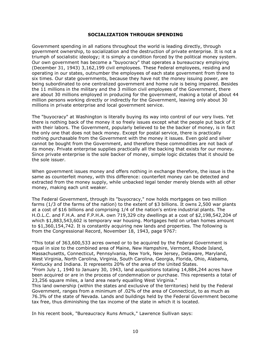## SOCIALIZATION THROUGH SPENDING

Government spending in all nations throughout the world is leading directly, through government ownership, to socialization and the destruction of private enterprise. It is not a triumph of socialistic ideology; it is simply a condition forced by the political money system. Our own government has become a "buyocracy" that operates a bureaucracy employing (December 31, 1943) 3,162,199 civil employees. These Federal employees, residing and operating in our states, outnumber the employees of each state government from three to six times. Our state governments, because they have not the money issuing power, are being subordinated to one centralized government and home rule is being impaired. Besides the 11 millions in the military and the 3 million civil employees of the Government, there are about 30 millions employed in producing for the government, making a total of about 44 million persons working directly or indirectly for the Government, leaving only about 30 millions in private enterprise and local government service.

The "buyocracy" at Washington is literally buying its way into control of our very lives. Yet there is nothing back of the money it so freely issues except what the people put back of it with their labors. The Government, popularly believed to be the backer of money, is in fact the only one that does not back money. Except for postal service, there is practically nothing purchasable from the Government with the money it issues. Even gold and silver cannot be bought from the Government, and therefore these commodities are not back of its money. Private enterprise supplies practically all the backing that exists for our money. Since private enterprise is the sole backer of money, simple logic dictates that it should be the sole issuer.

When government issues money and offers nothing in exchange therefore, the issue is the same as counterfeit money, with this difference: counterfeit money can be detected and extracted from the money supply, while unbacked legal tender merely blends with all other money, making each unit weaker.

The Federal Government, through its "buyocracy," now holds mortgages on two million farms (1/3 of the farms of the nation) to the extent of \$3 billions. It owns 2,500 war plants at a cost of \$16 billions and comprising 1/4 of the nation's entire industrial plants. The H.O.L.C. and F.H.A. and F.P.H.A. own 719,329 city dwellings at a cost of \$2,198,542,204 of which \$1,883,543,602 is temporary war housing. Mortgages held on urban homes amount to \$1,360,154,742. It is constantly acquiring new lands and properties. The following is from the Congressional Record, November 18, 1943, page 9767:

"This total of 363,600,533 acres owned or to be acquired by the Federal Government is equal in size to the combined area of Maine, New Hampshire, Vermont, Rhode Island, Massachusetts, Connecticut, Pennsylvania, New York, New Jersey, Delaware, Maryland, West Virginia, North Carolina, Virginia, South Carolina, Georgia, Florida, Ohio, Alabama, Kentucky and Indiana. It represents 20% of the area of the United States.

"From July 1, 1940 to January 30, 1943, land acquisitions totaling 14,884,244 acres have been acquired or are in the process of condemnation or purchase. This represents a total of 23,256 square miles, a land area nearly equalling West Virginia."

This land ownership (within the states and exclusive of the territories) held by the Federal Government, ranges from a minimum of .02% of the area of Connecticut, to as much as 76.3% of the state of Nevada. Lands and buildings held by the Federal Government become tax free, thus diminishing the tax income of the state in which it is located.

In his recent book, "Bureaucracy Runs Amuck," Lawrence Sullivan says: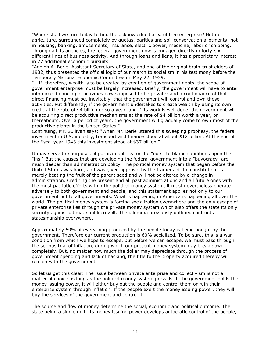"Where shall we turn today to find the acknowledged area of free enterprise? Not in agriculture, surrounded completely by quotas, parities and soil-conservation allotments; not in housing, banking, amusements, insurance, electric power, medicine, labor or shipping. Through all its agencies, the federal government now is engaged directly in forty-six different lines of business activity. And through loans and liens, it has a proprietary interest in 77 additional economic pursuits.

"Adolph A. Berle, Assistant Secretary of State, and one of the original brain-trust elders of 1932, thus presented the official logic of our march to socialism in his testimony before the Temporary National Economic Committee on May 22, 1939:

"...If, therefore, wealth is to be created by creation of government debts, the scope of government enterprise must be largely increased. Briefly, the government will have to enter into direct financing of activities now supposed to be private; and a continuance of that direct financing must be, inevitably, that the government will control and own these activities. Put differently, if the government undertakes to create wealth by using its own credit at the rate of \$4 billion or so a year, and if its work is well done, the government will be acquiring direct productive mechanisms at the rate of \$4 billion worth a year, or thereabouts. Over a period of years, the government will gradually come to own most of the productive plants in the United States."

Continuing, Mr. Sullivan says: "When Mr. Berle uttered this sweeping prophesy, the federal investment in U.S. industry, transport and finance stood at about \$12 billion. At the end of the fiscal year 1943 this investment stood at \$37 billion."

It may serve the purposes of partisan politics for the "outs" to blame conditions upon the "ins." But the causes that are developing the federal government into a "buyocracy" are much deeper than administration policy. The political money system that began before the United States was born, and was given approval by the framers of the constitution, is merely beating the fruit of the parent seed and will not be altered by a change in administration. Crediting the present and all past administrations and all future ones with the most patriotic efforts within the political money system, it must nevertheless operate adversely to both government and people; and this statement applies not only to our government but to all governments. What is happening in America is happening all over the world. The political money system is forcing socialization everywhere and the only escape of private enterprise lies through the private money system which also offers the state its only security against ultimate public revolt. The dilemma previously outlined confronts statesmanship everywhere.

Approximately 60% of everything produced by the people today is being bought by the government. Therefore our current production is 60% socialized. To be sure, this is a war condition from which we hope to escape, but before we can escape, we must pass through the serious trial of inflation, during which our present money system may break down completely. But, no matter how much the dollar may depreciate through the process of government spending and lack of backing, the title to the property acquired thereby will remain with the government.

So let us get this clear: The issue between private enterprise and collectivism is not a matter of choice as long as the political money system prevails. If the government holds the money issuing power, it will either buy out the people and control them or ruin their enterprise system through inflation. If the people exert the money issuing power, they will buy the services of the government and control it.

The source and flow of money determine the social, economic and political outcome. The state being a single unit, its money issuing power develops autocratic control of the people,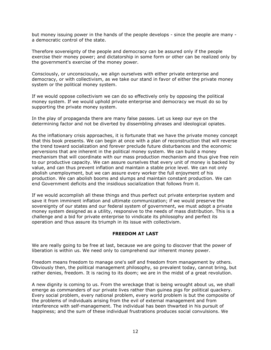but money issuing power in the hands of the people develops - since the people are many a democratic control of the state.

Therefore sovereignty of the people and democracy can be assured only if the people exercise their money power; and dictatorship in some form or other can be realized only by the government's exercise of the money power.

Consciously, or unconsciously, we align ourselves with either private enterprise and democracy, or with collectivism, as we take our stand in favor of either the private money system or the political money system.

If we would oppose collectivism we can do so effectively only by opposing the political money system. If we would uphold private enterprise and democracy we must do so by supporting the private money system.

In the play of propaganda there are many false passes. Let us keep our eye on the determining factor and not be diverted by dissembling phrases and ideological opiates.

As the inflationary crisis approaches, it is fortunate that we have the private money concept that this book presents. We can begin at once with a plan of reconstruction that will reverse the trend toward socialization and forever preclude future disturbances and the economic perversions that are inherent in the political money system. We can build a money mechanism that will coordinate with our mass production mechanism and thus give free rein to our productive capacity. We can assure ourselves that every unit of money is backed by value, and can thus prevent inflation and maintain a stable price level. We can not only abolish unemployment, but we can assure every worker the full enjoyment of his production. We can abolish booms and slumps and maintain constant production. We can end Government deficits and the insidious socialization that follows from it.

If we would accomplish all these things and thus perfect out private enterprise system and save it from imminent inflation and ultimate communization; if we would preserve the sovereignty of our states and our federal system of government, we must adopt a private money system designed as a utility, responsive to the needs of mass distribution. This is a challenge and a bid for private enterprise to vindicate its philosophy and perfect its operation and thus assure its triumph in its issue with collectivism.

# FREEDOM AT LAST

We are really going to be free at last, because we are going to discover that the power of liberation is within us. We need only to comprehend our inherent money power.

Freedom means freedom to manage one's self and freedom from management by others. Obviously then, the political management philosophy, so prevalent today, cannot bring, but rather denies, freedom. It is racing to its doom; we are in the midst of a great revolution.

A new dignity is coming to us. From the wreckage that is being wrought about us, we shall emerge as commanders of our private lives rather than guinea pigs for political quackery. Every social problem, every national problem, every world problem is but the composite of the problems of individuals arising from the evil of external management and from interference with self-management. The individual has been thwarted in his pursuit of happiness; and the sum of these individual frustrations produces social convulsions. We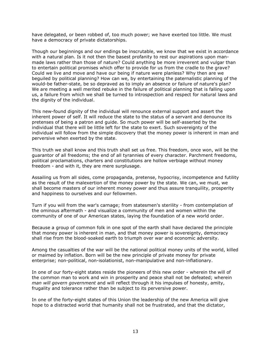have delegated, or been robbed of, too much power; we have exerted too little. We must have a democracy of private dictatorships.

Though our beginnings and our endings be inscrutable, we know that we exist in accordance with a natural plan. Is it not then the basest profanity to rest our aspirations upon manmade laws rather than those of nature? Could anything be more irreverent and vulgar than to entertain political promises which offer to provide for us from the cradle to the grave? Could we live and move and have our being if nature were planless? Why then are we beguiled by political planning? How can we, by entertaining the paternalistic planning of the would-be father-state, be so depraved as to imply an absence or failure of nature's plan? We are meeting a well merited rebuke in the failure of political planning that is falling upon us, a failure from which we shall be turned to introspection and respect for natural laws and the dignity of the individual.

This new-found dignity of the individual will renounce external support and assert the inherent power of self. It will reduce the state to the status of a servant and denounce its pretenses of being a patron and guide. So much power will be self-asserted by the individual that there will be little left for the state to exert. Such sovereignty of the individual will follow from the simple discovery that the money power is inherent in man and perversive when exerted by the state.

This truth we shall know and this truth shall set us free. This freedom, once won, will be the guarantor of all freedoms; the end of all tyrannies of every character. Parchment freedoms, political proclamations, charters and constitutions are hollow verbiage without money freedom - and with it, they are mere surplusage.

Assailing us from all sides, come propaganda, pretense, hypocrisy, incompetence and futility as the result of the malexertion of the money power by the state. We can, we must, we shall become masters of our inherent money power and thus assure tranquility, prosperity and happiness to ourselves and our fellowmen.

Turn if you will from the war's carnage; from statesmen's sterility - from contemplation of the ominous aftermath - and visualize a community of men and women within the community of one of our American states, laying the foundation of a new world order.

Because a group of common folk in one spot of the earth shall have declared the principle that money power is inherent in man, and that money power is sovereignty, democracy shall rise from the blood-soaked earth to triumph over war and economic adversity.

Among the casualties of the war will be the national political money units of the world, killed or maimed by inflation. Born will be the new principle of private money for private enterprise; non-political, non-isolationist, non-manipulative and non-inflationary.

In one of our forty-eight states reside the pioneers of this new order - wherein the will of the common man to work and win in prosperity and peace shall not be defeated; wherein man will govern government and will reflect through it his impulses of honesty, amity, frugality and tolerance rather than be subject to its perversive power.

In one of the forty-eight states of this Union the leadership of the new America will give hope to a distracted world that humanity shall not be frustrated, and that the dictator,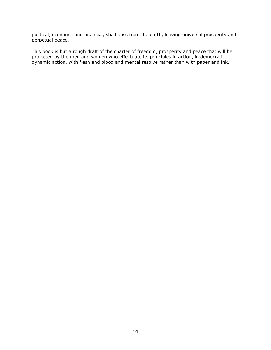political, economic and financial, shall pass from the earth, leaving universal prosperity and perpetual peace.

This book is but a rough draft of the charter of freedom, prosperity and peace that will be projected by the men and women who effectuate its principles in action, in democratic dynamic action, with flesh and blood and mental resolve rather than with paper and ink.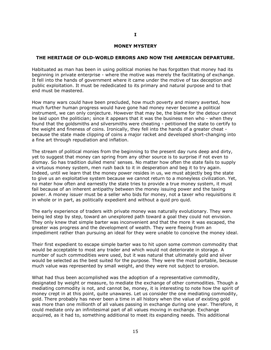#### MONEY MYSTERY

#### THE HERITAGE OF OLD-WORLD ERRORS AND NOW THE AMERICAN DEPARTURE.

Habituated as man has been in using political monies he has forgotten that money had its beginning in private enterprise - where the motive was merely the facilitating of exchange. It fell into the hands of government where it came under the motive of tax deception and public exploitation. It must be rededicated to its primary and natural purpose and to that end must be mastered.

How many wars could have been precluded, how much poverty and misery averted, how much further human progress would have gone had money never become a political instrument, we can only conjecture. However that may be, the blame for the detour cannot be laid upon the politician; since it appears that it was the business men who - when they found that the goldsmiths and silversmiths were cheating - petitioned the state to certify to the weight and fineness of coins. Ironically, they fell into the hands of a greater cheat because the state made clipping of coins a major racket and developed short-changing into a fine art through repudiation and inflation.

The stream of political monies from the beginning to the present day runs deep and dirty, yet to suggest that money can spring from any other source is to surprise if not even to dismay. So has tradition dulled mens' senses. No matter how often the state fails to supply a virtuous money system, men rush back to it in desperation and beg it to try again. Indeed, until we learn that the money power resides in us, we must abjectly beg the state to give us an exploitative system because we cannot return to a moneyless civilization. Yet, no mater how often and earnestly the state tries to provide a true money system, it must fail because of an inherent antipathy between the money issuing power and the taxing power. A money issuer must be a seller who bids for money, not a taxer who requisitions it in whole or in part, as politically expedient and without a quid pro quid.

The early experience of traders with private money was naturally evolutionary. They were being led step by step, toward an unexplored path toward a goal they could not envision. They only knew that simple barter was inconvenient and that the more it was escaped, the greater was progress and the development of wealth. They were fleeing from an impediment rather than pursuing an ideal for they were unable to conceive the money ideal.

Their first expedient to escape simple barter was to hit upon some common commodity that would be acceptable to most any trader and which would not deteriorate in storage. A number of such commodities were used, but it was natural that ultimately gold and silver would be selected as the best suited for the purpose. They were the most portable, because much value was represented by small weight, and they were not subject to erosion.

What had thus been accomplished was the adoption of a representative commodity, designated by weight or measure, to mediate the exchange of other commodities. Though a mediating commodity is not, and cannot be, money, it is interesting to note how the spirit of money crept in at this point, quite unawares. Let us consider the one mediating commodity, gold. There probably has never been a time in all history when the value of existing gold was more than one millionth of all values passing in exchange during one year. Therefore, it could mediate only an infinitesimal part of all values moving in exchange. Exchange acquired, as it had to, something additional to meet its expanding needs. This additional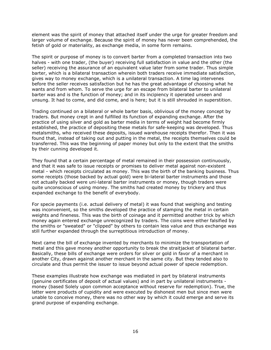element was the spirit of money that attached itself under the urge for greater freedom and larger volume of exchange. Because the spirit of money has never been comprehended, the fetish of gold or materiality, as exchange media, in some form remains.

The spirit or purpose of money is to convert barter from a completed transaction into two halves - with one trader, (the buyer) receiving full satisfaction in value and the other (the seller) receiving the assurance of an equivalent value later from some trader. Thus simple barter, which is a bilateral transaction wherein both traders receive immediate satisfaction, gives way to money exchange, which is a unilateral transaction. A time lag intervenes before the seller receives satisfaction but he has the great advantage of choosing what he wants and from whom. To serve the urge for an escape from bilateral barter to unilateral barter was and is the function of money; and in its incipiency it operated unseen and unsung. It had to come, and did come, and is here; but it is still shrouded in superstition.

Trading continued on a bilateral or whole barter basis, oblivious of the money concept by traders. But money crept in and fulfilled its function of expanding exchange. After the practice of using silver and gold as barter media in terms of weight had become firmly established, the practice of depositing these metals for safe-keeping was developed. Thus metalsmiths, who received these deposits, issued warehouse receipts therefor. Then it was found that, instead of taking out and putting in the metal, the receipts themselves could be transferred. This was the beginning of paper money but only to the extent that the smiths by their cunning developed it.

They found that a certain percentage of metal remained in their possession continuously, and that it was safe to issue receipts or promises to deliver metal against non-existent metal - which receipts circulated as money. This was the birth of the banking business. Thus some receipts (those backed by actual gold) were bi-lateral barter instruments and those not actually backed were uni-lateral barter instruments or money, though traders were quite unconscious of using money. The smiths had created money by trickery and thus expanded exchange to the benefit of everybody.

For specie payments (i.e. actual delivery of metal) it was found that weighing and testing was inconvenient, so the smiths developed the practice of stamping the metal in certain weights and fineness. This was the birth of coinage and it permitted another trick by which money again entered exchange unrecognized by traders. The coins were either falsified by the smiths or "sweated" or "clipped" by others to contain less value and thus exchange was still further expanded through the surreptitious introduction of money.

Next came the bill of exchange invented by merchants to minimize the transportation of metal and this gave money another opportunity to break the straitjacket of bilateral barter. Basically, these bills of exchange were orders for silver or gold in favor of a merchant in another City, drawn against another merchant in the same city. But they tended also to circulate and thus permit the issuer to issue beyond actual power of specie redemption.

These examples illustrate how exchange was mediated in part by bilateral instruments (genuine certificates of deposit of actual values) and in part by unilateral instruments money (based Solely upon common acceptance without reserve for redemption). True, the latter were products of cupidity and were executed by dishonest men but since men were unable to conceive money, there was no other way by which it could emerge and serve its grand purpose of expanding exchange.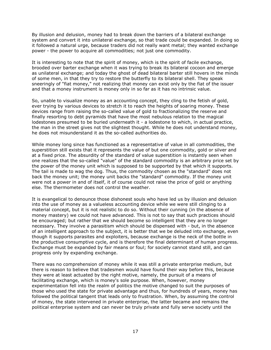By illusion and delusion, money had to break down the barriers of a bilateral exchange system and convert it into unilateral exchange, so that trade could be expanded. In doing so it followed a natural urge, because traders did not really want metal; they wanted exchange power - the power to acquire all commodities; not just one commodity.

It is interesting to note that the spirit of money, which is the spirit of facile exchange, brooded over barter exchange when it was trying to break its bilateral cocoon and emerge as unilateral exchange; and today the ghost of dead bilateral barter still hovers in the minds of some men, in that they try to restore the butterfly to its bilateral shell. They speak sneeringly of "fiat money," not realizing that money can exist only by the fiat of the issuer and that a money instrument is money only in so far as it has no intrinsic value.

So, unable to visualize money as an accounting concept, they cling to the fetish of gold, ever trying by various devices to stretch it to reach the heights of soaring money. These devices range from raising the so-called value of gold to fractionalizing the reserve and finally resorting to debt pyramids that have the most nebulous relation to the magical lodestones presumed to be buried underneath it - a lodestone to which, in actual practice, the man in the street gives not the slightest thought. While he does not understand money, he does not misunderstand it as the so-called authorities do.

While money long since has functioned as a representative of value in all commodities, the superstition still exists that it represents the value of but one commodity, gold or silver and at a fixed price. The absurdity of the standard of value superstition is instantly seen when one realizes that the so-called "value" of the standard commodity is an arbitrary price set by the power of the money unit which is supposed to be supported by that which it supports. The tail is made to wag the dog. Thus, the commodity chosen as the "standard" does not back the money unit; the money unit backs the "standard" commodity. If the money unit were not a power in and of itself, it of course could not raise the price of gold or anything else. The thermometer does not control the weather.

It is evangelical to denounce those dishonest souls who have led us by illusion and delusion into the use of money as a valueless accounting device while we were still clinging to a material concept, but it is not realistic to do so. Without their cunning (in the absence of money mastery) we could not have advanced. This is not to say that such practices should be encouraged; but rather that we should become so intelligent that they are no longer necessary. They involve a parasitism which should be dispensed with - but, in the absence of an intelligent approach to the subject, it is better that we be deluded into exchange, even though it supports parasites and exploiters, because exchange is the neck of the bottle in the productive consumptive cycle, and is therefore the final determinant of human progress. Exchange must be expanded by fair means or foul; for society cannot stand still, and can progress only by expanding exchange.

There was no comprehension of money while it was still a private enterprise medium, but there is reason to believe that tradesmen would have found their way before this, because they were at least actuated by the right motive, namely, the pursuit of a means of facilitating exchange, which is money's sole purpose. When, however, money experimentation fell into the realm of politics the motive changed to suit the purposes of those who used the state for private advantage and thus, for hundreds of years, money has followed the political tangent that leads only to frustration. When, by assuming the control of money, the state intervened in private enterprise, the latter became and remains the political enterprise system and can never be truly private and fully serve society until the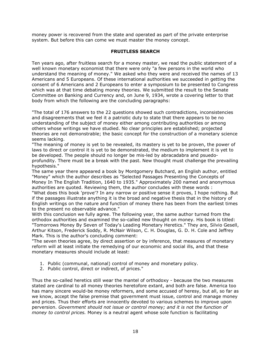money power is recovered from the state and operated as part of the private enterprise system. But before this can come we must master the money concept.

# FRUITLESS SEARCH

Ten years ago, after fruitless search for a money master, we read the public statement of a well known monetary economist that there were only "a few persons in the world who understand the meaning of money." We asked who they were and received the names of 13 Americans and 5 Europeans. Of these international authorities we succeeded in getting the consent of 6 Americans and 2 Europeans to enter a symposium to be presented to Congress which was at that time debating money theories. We submitted the result to the Senate Committee on Banking and Currency and, on June 9, 1934, wrote a covering letter to that body from which the following are the concluding paragraphs:

"The total of 176 answers to the 22 questions showed such contradictions, inconsistencies and disagreements that we feel it a patriotic duty to state that there appears to be no understanding of the subject of money either among contributing authorities or among others whose writings we have studied. No clear principles are established; projected theories are not demonstrable; the basic concept for the construction of a monetary science seems lacking.

"The meaning of money is yet to be revealed, its mastery is yet to be proven, the power of laws to direct or control it is yet to be demonstrated, the medium to implement it is yet to be developed. The people should no longer be mis-led by abracadabra and psuedoprofundity. There must be a break with the past. New thought must challenge the prevailing hypothesis."

The same year there appeared a book by Montgomery Butchard, an English author, entitled "Money" which the author describes as "Selected Passages Presenting the Concepts of Money In The English Tradition, 1640 to 1935." Approximately 200 named and anonymous authorities are quoted. Reviewing them, the author concludes with these words :

"What does this book 'prove'? In any narrow or positive sense it proves, I hope nothing. But if the passages illustrate anything it is the broad and negative thesis that in the history of English writings on the nature and function of money there has been from the earliest times to the present no observable advance."

With this conclusion we fully agree. The following year, the same author turned from the orthodox authorities and examined the so-called new thought on money. His book is titled: "Tomorrows Money By Seven of Today's Leading Monetary Heretics." They are, Silvio Gesell, Arthur Kitson, Frederick Soddy, R. McNair Wilson, C. H. Douglas, G. D. H. Cole and Jeffrey Mark. This is the author's concluding comment:

"The seven theories agree, by direct assertion or by inference, that measures of monetary reform will at least initiate the remedying of our economic and social ills, and that these monetary measures should include at least:

- 1. Public (communal, national) control of money and monetary policy.
- 2. Public control, direct or indirect, of prices."

Thus the so-called heretics still wear the mantel of orthodoxy - because the two measures stated are cardinal to all money theories heretofore extant, and both are false. America too has many sincere would-be money reformers, and some accused of heresy, but all, so far as we know, accept the false premise that government must issue, control and manage money and prices. Thus their efforts are innocently devoted to various schemes to improve upon perversion. Government should not issue or control money; and it is not the function of money to control prices. Money is a neutral agent whose sole function is facilitating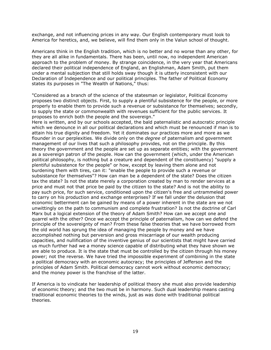exchange, and not influencing prices in any way. Our English contemporary must look to America for heretics, and, we believe, will find them only in the Valun school of thought.

Americans think in the English tradition, which is no better and no worse than any other, for they are all alike in fundamentals. There has been, until now, no independent American approach to the problem of money. By strange coincidence, in the very year that Americans declared their political independence of England, an Englishman, Adam Smith, put them under a mental subjection that still holds sway though it is utterly inconsistent with our Declaration of Independence and our political principles. The father of Political Economy states its purposes in "The Wealth of Nations," thus:

"Considered as a branch of the science of the statesman or legislator, Political Economy proposes two distinct objects. First, to supply a plentiful subsistence for the people, or more properly to enable them to provide such a revenue or subsistance for themselves; secondly, to supply the state or commonwealth with revenues sufficient for the public services. It proposes to enrich both the people and the sovereign."

Here is written, and by our schools accepted, the bald paternalistic and autocratic principle which we denounce in all our political declarations and which must be renounced if man is to attain his true dignity and freedom. Yet it dominates our practices more and more as we flounder in our perplexities. We divide only on the *degree* of paternalism and government management of our lives that such a philosophy provides, not on the principle. By this theory the government and the people are set up as separate entities; with the government as a sovereign patron of the people. How can the government (which, under the American political philosophy, is nothing but a creature and dependent of the constituency) "supply a plentiful subsistence for the people" or how, except by leaving them alone and not burdening them with tires, can it: "enable the people to provide such a revenue or subsistance for themselves"? How can man be a dependent of the state? Does the citizen tax the state? Is not the state merely a corporation created by man to render services at a price and must not that price be paid by the citizen to the state? And is not the ability to pay such price, for such service, conditioned upon the citizen's free and untrammeled power to carry on his production and exchange enterprises? If we fall under the delusion that economic betterment can be gained by means of a power inherent in the state are we not unwittingly on the path to communism and complete frustration? Is not the doctrine of Carl Marx but a logical extension of the theory of Adam Smith? How can we accept one and quarrel with the other? Once we accept the principle of paternalism, how can we defend the principle of the sovereignty of man? From these false theories that we have borrowed from the old world has sprung the idea of managing the people by money and we have accomplished nothing but perversion and gross miscarriage of our wealth producing capacities, and nullification of the inventive genius of our scientists that might have carried us much further had we a money science capable of distributing what they have shown we are able to produce. It is the state that must be controlled by the citizen through his money power; not the reverse. We have tried the impossible experiment of combining in the state a political democracy with an economic autocracy; the principles of Jefferson and the principles of Adam Smith. Political democracy cannot work without economic democracy; and the money power is the franchise of the latter.

If America is to vindicate her leadership of political theory she must also provide leadership of economic theory; and the two must be in harmony. Such dual leadership means casting traditional economic theories to the winds, just as was done with traditional political theories.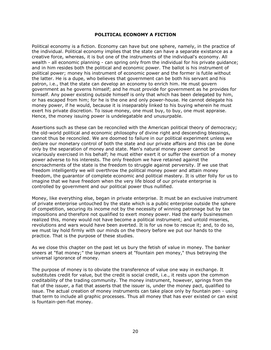## POLITICAL ECONOMY A FICTION

Political economy is a fiction. Economy can have but one sphere, namely, in the practice of the individual. Political economy implies that the state can have a separate existance as a creative force, whereas, it is but one of the instruments of the individual's economy. All wealth - all economic planning - can spring only from the individual for his private guidance; and in him resides both the political and economic power. The ballot is his instrument of political power; money his instrument of economic power and the former is futile without the latter. He is a dupe, who believes that government can be both his servant and his patron, i.e., that the state can develop an economy to enrich him. He must govern government as he governs himself; and he must provide for government as he provides for himself. Any power existing outside himself is only that which has been delegated by him, or has escaped from him; for he is the one and only power-house. He cannot delegate his money power, if he would, because it is inseparably linked to his buying wherein he must exert his private discretion. To issue money, one must buy, to buy, one must appraise. Hence, the money issuing power is undelegatable and unusurpable.

Assertions such as these can be reconciled with the American political theory of democracy; the old-world political and economic philosophy of divine right and descending blessings, cannot thus be reconciled. We are doomed to failure in our political experiment unless we declare our monetary control of both the state and our private affairs and this can be done only by the separation of money and state. Man's natural money power cannot be vicariously exercised in his behalf; he must either exert it or suffer the exertion of a money power adverse to his interests. The only freedom we have retained against the encroachments of the state is the freedom to struggle against perversity. If we use that freedom intelligently we will overthrow the political money power and attain money freedom, the guarantor of complete economic and political mastery. It is utter folly for us to imagine that we have freedom when the very life blood of our private enterprise is controlled by government and our political power thus nullified.

Money, like everything else, began in private enterprise. It must be an exclusive instrument of private enterprise untouched by the state which is a public enterprise outside the sphere of competition, securing its income not by the necessity of winning patronage but by tax impositions and therefore not qualified to exert money power. Had the early businessmen realized this, money would not have become a political instrument; and untold miseries, revolutions and wars would have been averted. It is for us now to rescue it; and, to do so, we must lay hold firmly with our minds on the theory before we put our hands to the practice. That is the purpose of these studies.

As we close this chapter on the past let us bury the fetish of value in money. The banker sneers at "fiat money;" the layman sneers at "fountain pen money," thus betraying the universal ignorance of money.

The purpose of money is to obviate the transference of value one way in exchange. It substitutes credit for value, but the credit is social credit, i.e., it rests upon the common creditability of the trading community. The money instrument, however, springs from the fiat of the issuer, a fiat that asserts that the issuer is, under the money pact, qualified to issue. The actual creation of money instruments can take place only by fountain pen - using that term to include all graphic processes. Thus all money that has ever existed or can exist is fountain-pen-fiat money.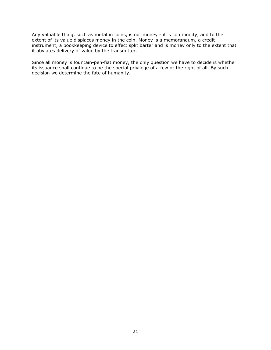Any valuable thing, such as metal in coins, is not money - it is commodity, and to the extent of its value displaces money in the coin. Money is a memorandum, a credit instrument, a bookkeeping device to effect split barter and is money only to the extent that it obviates delivery of value by the transmitter.

Since all money is fountain-pen-fiat money, the only question we have to decide is whether its issuance shall continue to be the special privilege of a few or the right of all. By such decision we determine the fate of humanity.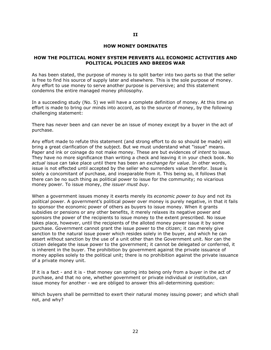#### HOW MONEY DOMINATES

#### HOW THE POLITICAL MONEY SYSTEM PERVERTS ALL ECONOMIC ACTIVITIES AND POLITICAL POLICIES AND BREEDS WAR

As has been stated, the purpose of money is to split barter into two parts so that the seller is free to find his source of supply later and elsewhere. This is the sole purpose of money. Any effort to use money to serve another purpose is perversive; and this statement condemns the entire managed money philosophy.

In a succeeding study (No. 5) we will have a complete definition of money. At this time an effort is made to bring our minds into accord, as to the source of money, by the following challenging statement:

There has never been and can never be an issue of money except by a buyer in the act of purchase.

Any effort made to refute this statement (and strong effort to do so should be made) will bring a great clarification of the subject. But we must understand what "issue" means. Paper and ink or coinage do not make money. These are but evidences of *intent* to issue. They have no more significance than writing a check and leaving it in your check book. No actual issue can take place until there has been an exchange for value. In other words, issue is not effected until accepted by the seller who surrenders value therefor. Issue is solely a concomitant of purchase, and inseparable from it. This being so, it follows that there can be no such thing as political power to issue for the community; no vicarious money power. To issue money, the issuer must buy.

When a government issues money it exerts merely its *economic power to buy* and not its political power. A government's political power over money is purely negative, in that it fails to sponsor the economic power of others as buyers to issue money. When it grants subsidies or pensions or any other benefits, it merely relaxes its negative power and sponsors the power of the recipients to issue money to the extent prescribed. No issue takes place, however, until the recipients of the alloted money power issue it by some purchase. Government cannot grant the issue power to the citizen; it can merely give sanction to the natural issue power which resides solely in the buyer, and which he can assert without sanction by the use of a unit other than the Government unit. Nor can the citizen delegate the issue power to the government; it cannot be delegated or conferred, it is inherent in the buyer. The prohibition by government against the private issuance of money applies solely to the political unit; there is no prohibition against the private issuance of a private money unit.

If it is a fact - and it is - that money can spring into being only from a buyer in the act of purchase, and that no one, whether government or private individual or institution, can issue money for another - we are obliged to answer this all-determining question:

Which buyers shall be permitted to exert their natural money issuing power; and which shall not, and why?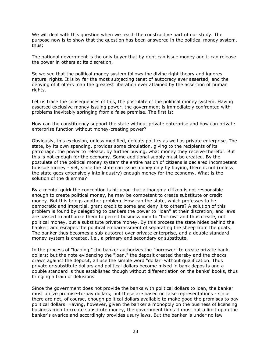We will deal with this question when we reach the constructive part of our study. The purpose now is to show that the question has been answered in the political money system, thus:

The national government is the only buyer that by right can issue money and it can release the power in others at its discretion.

So we see that the political money system follows the divine right theory and ignores natural rights. It is by far the most subjecting tenet of autocracy ever asserted; and the denying of it offers man the greatest liberation ever attained by the assertion of human rights.

Let us trace the consequences of this, the postulate of the political money system. Having asserted exclusive money issuing power, the government is immediately confronted with problems inevitably springing from a false premise. The first is:

How can the constituency support the state without private enterprise and how can private enterprise function without money-creating power?

Obviously, this exclusion, unless modified, defeats politics as well as private enterprise. The state, by its own spending, provides some circulation, giving to the recipients of its patronage, the power to release, by further buying, what money they receive therefor. But this is not enough for the economy. Some additional supply must be created. By the postulate of the political money system the entire nation of citizens is declared incompetent to issue money - yet, since the state can issue money only by buying, there is not (unless the state goes extensively into industry) enough money for the economy. What is the solution of the dilemma?

By a mental quirk the conception is hit upon that although a citizen is not responsible enough to create political money, he may be competent to create substitute or credit money. But this brings another problem. How can the state, which professes to be democratic and impartial, grant credit to some and deny it to others? A solution of this problem is found by delegating to bankers the power to "loan" at their discretion; and laws are passed to authorize them to permit business men to "borrow" and thus create, not political money, but a substitute private money. By this process the state hides behind the banker, and escapes the political embarrassment of separating the sheep from the goats. The banker thus becomes a sub-autocrat over private enterprise, and a double standard money system is created, i.e., a primary and secondary or substitute.

In the process of "loaning," the banker authorizes the "borrower" to create private bank dollars; but the note evidencing the "loan," the deposit created thereby and the checks drawn against the deposit, all use the simple word "dollar" without qualification. Thus private or substitute dollars and political dollars become mixed in bank deposits and a double standard is thus established though without differentiation on the banks' books, thus bringing a train of delusions.

Since the government does not provide the banks with political dollars to loan, the banker must utilize promise-to-pay dollars; but these are based on false representations - since there are not, of course, enough political dollars available to make good the promises to pay political dollars. Having, however, given the banker a monopoly on the business of licensing business men to create substitute money, the government finds it must put a limit upon the banker's avarice and accordingly provides usury laws. But the banker is under no law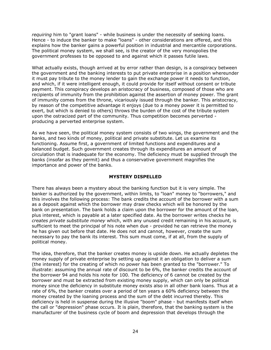requiring him to "grant loans" - while business is under the necessity of seeking loans. Hence - to induce the banker to make "loans" - other considerations are offered, and this explains how the banker gains a powerful position in industrial and mercantile corporations. The political money system, we shall see, is the creator of the very monopolies the government professes to be opposed to and against which it passes futile laws.

What actually exists, though arrived at by error rather than design, is a conspiracy between the government and the banking interests to put private enterprise in a position whereunder it must pay tribute to the money lender to gain the exchange power it needs to function, and which, if it were intelligent enough, it could provide for itself without consent or tribute payment. This conspiracy develops an aristocracy of business, composed of those who are recipients of immunity from the prohibition against the assertion of money power. The grant of immunity comes from the throne, vicariously issued through the banker. This aristocracy, by reason of the competitive advantage it enjoys (due to a money power it is permitted to exert, but which is denied to others) throws the burden of the cost of the tribute system upon the ostracized part of the community. Thus competition becomes perverted producing a perverted enterprise system.

As we have seen, the political money system consists of two wings, the government and the banks, and two kinds of money, political and private substitute. Let us examine its functioning. Assume first, a government of limited functions and expenditures and a balanced budget. Such government creates through its expenditures an amount of circulation that is inadequate for the economy. The deficiency must be supplied through the banks (insofar as they permit) and thus a conservative government magnifies the importance and power of the banks.

# MYSTERY DISPELLED

There has always been a mystery about the banking function but it is very simple. The banker is authorized by the government, within limits, to "loan" money to "borrowers," and this involves the following process: The bank credits the account of the borrower with a sum as a deposit against which the borrower may draw checks which will be honored by the bank on presentation. The bank holds a claim upon the borrower for the amount of the loan, plus interest, which is payable at a later specified date. As the borrower writes checks he creates private substitute money which, with any unused credit remaining in his account, is sufficient to meet the principal of his note when due - provided he can retrieve the money he has given out before that date. He does not and cannot, however, create the sum necessary to pay the bank its interest. This sum must come, if at all, from the supply of political money.

The idea, therefore, that the banker creates money is upside down. He actually depletes the money supply of private enterprise by setting up against it an obligation to deliver a sum (the interest) for the creating of which no power has been granted to the "borrower." To illustrate: assuming the annual rate of discount to be 6%, the banker credits the account of the borrower 94 and holds his note for 100. The deficiency of 6 cannot be created by the borrower and must be extracted from existing money supply, which can only be political money since the deficiency in substitute money exists also in all other bank loans. Thus at a rate of 6%, the banker creates over a period of ten years a 60% deficiency between the money created by the loaning process and the sum of the debt incurred thereby. This deficiency is held in suspense during the illusive "boom" phase - but manifests itself when the call or "depression" phase occurs. It is plain, therefore, that the banking system is the manufacturer of the business cycle of boom and depression that develops through the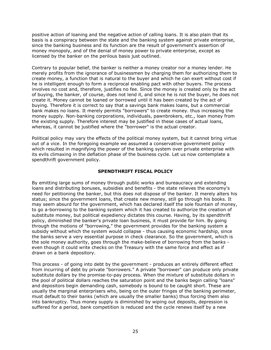positive action of loaning and the negative action of calling loans. It is also plain that its basis is a conspiracy between the state and the banking system against private enterprise, since the banking business and its function are the result of government's assertion of money monopoly, and of the denial of money power to private enterprise, except as licensed by the banker on the perilous basis just outlined.

Contrary to popular belief, the banker is neither a money creator nor a money lender. He merely profits from the ignorance of businessmen by charging them for authorizing them to create money, a function that is natural to the buyer and which he can exert without cost if he is intelligent enough to form a reciprocal enabling pact with other buyers. The process involves no cost and, therefore, justifies no fee. Since the money is created only by the act of buying, the banker, of course, does not lend it, and since he is not the buyer, he does not create it. Money cannot be loaned or borrowed until it has been created by the act of buying. Therefore it is correct to say that a savings bank makes loans, but a commercial bank makes no loans. It merely permits "borrowers" to create money. thus increasing the money supply. Non-banking corporations, individuals, pawnbrokers, etc., loan money from the existing supply. Therefore interest may be justified in these cases of actual loans, whereas, it cannot be justified where the "borrower" is the actual creator.

Political policy may vary the effects of the political money system, but it cannot bring virtue out of a vice. In the foregoing example we assumed a conservative government policy which resulted in magnifying the power of the banking system over private enterprise with its evils climaxing in the deflation phase of the business cycle. Let us now contemplate a spendthrift government policy.

# SPENDTHRIFT FISCAL POLICY

By emitting large sums of money through public works and bureaucracy and extending loans and distributing bonuses, subsidies and benefits - the state relieves the economy's need for petitioning the banker, but this does not dispose of the banker. It merely alters his status; since the government loans, that create new money, still go through his books. It may seem absurd for the government, which has declared itself the sole fountain of money, to go a-borrowing to the banking system which it has created to authorize the creation of substitute money, but political expediency dictates this course. Having, by its spendthrift policy, diminished the banker's private loan business, it must provide for him. By going through the motions of "borrowing," the government provides for the banking system a subsidy without which the system would collapse - thus causing economic hardship, since the banks serve a very essential purpose in check clearance. So the government, which is the sole money authority, goes through the make-believe of borrowing from the banks even though it could write checks on the Treasury with the same force and effect as if drawn on a bank depository.

This process - of going into debt by the government - produces an entirely different effect from incurring of debt by private "borrowers." A private "borrower" can produce only private substitute dollars by the promise-to-pay process. When the mixture of substitute dollars in the pool of political dollars reaches the saturation point and the banks begin calling "loans" and depositors begin demanding cash, somebody is bound to be caught short. These are usually the marginal enterprisers who, being on the outer fringes of the banking perimeter, must default to their banks (which are usually the smaller banks) thus forcing them also into bankruptcy. Thus money supply is diminished by wiping out deposits, depression is suffered for a period, bank competition is reduced and the cycle renews itself by a new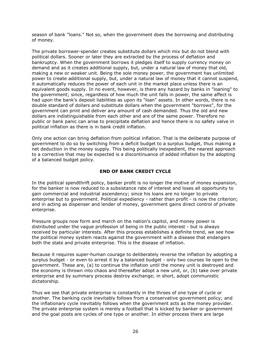season of bank "loans." Not so, when the government does the borrowing and distributing of money.

The private borrower-spender creates substitute dollars which mix but do not blend with political dollars. Sooner or later they are extracted by the process of deflation and bankruptcy. When the government borrows it pledges itself to supply currency money on demand and as it creates additional supply, but, under a natural law of money that old, making a new or weaker unit. Being the sole money power, the government has unlimited power to create additional supply, but, under a natural law of money that it cannot suspend, it automatically reduces the power of each unit in the market place unless there is an equivalent goods supply. In no event, however, is there any hazard by banks in "loaning" to the government; since, regardless of how much the unit falls in power, the same affect is had upon the bank's deposit liabilities as upon its "loan" assets. In other words, there is no double standard of dollars and substitute dollars when the government "borrows", for the government can print and deliver any amount of cash demanded. Thus the old and new dollars are indistinguishable from each other and are of the same power. Therefore no public or bank panic can arise to precipitate deflation and hence there is no safety valve in political inflation as there is in bank credit inflation.

Only one action can bring deflation from political inflation. That is the deliberate purpose of government to do so by switching from a deficit budget to a surplus budget, thus making a net deduction in the money supply. This being politically inexpedient, the nearest approach to a corrective that may be expected is a discontinuance of added inflation by the adopting of a balanced budget policy.

# END OF BANK CREDIT CYCLE

In the political spendthrift policy, banker profit is no longer the motive of money expansion, for the banker is now reduced to a subsistance rate of interest and loses all opportunity to gain commercial and industrial ascendency; since his loans are no longer to private enterprise but to government. Political expediency - rather than profit - is now the criterion; and in acting as dispenser and lender of money, government gains direct control of private enterprise.

Pressure groups now form and march on the nation's capitol, and money power is distributed under the vague profession of being in the public interest - but is always received by particular interests. After this process establishes a definite trend, we see how the political money system reacts against the government with a disease that endangers both the state and private enterprise. This is the disease of inflation.

Because it requires super-human courage to deliberately reverse the inflation by adopting a surplus budget - or even to arrest it by a balanced budget - only two courses lie open to the government. These are, (a) to continue the inflation until the money unit is destroyed and the economy is thrown into chaos and thereafter adopt a new unit, or, (b) take over private enterprise and by summary process destroy exchange; in short, adopt communistic dictatorship.

Thus we see that private enterprise is constantly in the throes of one type of cycle or another. The banking cycle inevitably follows from a conservative government policy; and the inflationary cycle inevitably follows when the government acts as the money provider. The private enterprise system is merely a football that is kicked by banker or government and the goal posts are cycles of one type or another. In either process there are large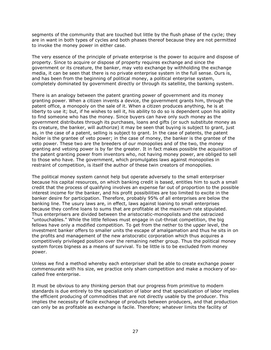segments of the community that are touched but little by the flush phase of the cycle; they are in want in both types of cycles and both phases thereof because they are not permitted to invoke the money power in either case.

The very essence of the principle of private enterprise is the power to acquire and dispose of property. Since to acquire or dispose of property requires exchange and since the government or its creature, the banker, may veto exchange by withholding the exchange media, it can be seen that there is no private enterprise system in the full sense. Ours is, and has been from the beginning of political money, a political enterprise system, completely dominated by government directly or through its satellite, the banking system.

There is an analogy between the patent granting power of government and its money granting power. When a citizen invents a device, the government grants him, through the patent office, a monopoly on the sale of it. When a citizen produces anything, he is at liberty to use it; but, if he wishes to sell it, his ability to do so is dependent upon his ability to find someone who has the money. Since buyers can have only such money as the government distributes through its purchases, loans and gifts (or such substitute money as its creature, the banker, will authorize) it may be seen that buying is subject to grant, just as, in the case of a patent, selling is subject to grant. In the case of patents, the patent holder is the grantee of veto power; in the case of money, the banker is the grantee of the veto power. These two are the breeders of our monopolies and of the two, the money granting and vetoing power is by far the greater. It in fact makes possible the acquisition of the patent granting power from inventors who, not having money power, are obliged to sell to those who have. The government, which promulgates laws against monopolies in restraint of competition, is itself the author of these twin creators of monopolies.

The political money system cannot help but operate adversely to the small enterpriser because his capital resources, on which banking credit is based, entitles him to such a small credit that the process of qualifying involves an expense far out of proportion to the possible interest income for the banker, and his profit possibilities are too limited to excite in the banker desire for participation. Therefore, probably 95% of all enterprises are below the banking line. The usury laws are, in effect, laws against loaning to small enterprises because they confine loans to sums that are profitable at the maximum rate stipulated. Thus enterprisers are divided between the aristocratic-monopolists and the ostracized "untouchables." While the little fellows must engage in cut-throat competition, the big fellows have only a modified competition. To get from the nether to the upper level, the investment banker offers to smaller units the escape of amalgamation and thus he sits in on the profits and management of the new aristocratic corporation which thus acquires a competitively privileged position over the remaining nether group. Thus the political money system forces bigness as a means of survival. To be little is to be excluded from money power.

Unless we find a method whereby each enterpriser shall be able to create exchange power commensurate with his size, we practice only sham competition and make a mockery of socalled free enterprise.

It must be obvious to any thinking person that our progress from primitive to modern standards is due entirely to the specialization of labor and that specialization of labor implies the efficient producing of commodities that are not directly usable by the producer. This implies the necessity of facile exchange of products between producers, and that production can only be as profitable as exchange is facile. Therefore; whatever limits the facility of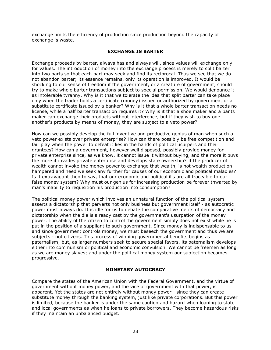exchange limits the efficiency of production since production beyond the capacity of exchange is waste.

# EXCHANGE IS BARTER

Exchange proceeds by barter, always has and always will, since values will exchange only for values. The introduction of money into the exchange process is merely to split barter into two parts so that each part may seek and find its reciprocal. Thus we see that we do not abandon barter; its essence remains, only its operation is improved. It would be shocking to our sense of freedom if the government, or a creature of government, should try to make whole barter transactions subject to special permission. We would denounce it as intolerable tyranny. Why is it that we tolerate the idea that split barter can take place only when the trader holds a certificate (money) issued or authorized by government or a substitute certificate issued by a banker? Why is it that a whole barter transaction needs no license, while a half barter transaction requires it? Why is it that a shoe maker and a pants maker can exchange their products without interference, but if they wish to buy one another's products by means of money, they are subject to a veto power?

How can we possibly develop the full inventive and productive genius of man when such a veto power exists over private enterprise? How can there possibly be free competition and fair play when the power to defeat it lies in the hands of political usurpers and their grantees? How can a government, however well disposed, possibly provide money for private enterprise since, as we know, it cannot issue it without buying, and the more it buys the more it invades private enterprise and develops state ownership? If the producer of wealth cannot invoke the money power to exchange that wealth, is not wealth production hampered and need we seek any further for causes of our economic and political maladies? Is it extravagant then to say, that our economic and political ills are all traceable to our false money system? Why must our genius for increasing production be forever thwarted by man's inability to requisition his production into consumption?

The political money power which involves an unnatural function of the political system asserts a dictatorship that perverts not only business but government itself - as autocratic power must always do. It is idle for us to debate the comparative merits of democracy and dictatorship when the die is already cast by the government's usurpation of the money power. The ability of the citizen to control the government simply does not exist while he is put in the position of a suppliant to such government. Since money is indispensable to us and since government controls money, we must beseech the government and thus we are subjects - not citizens. This process of winning governmental benefits begins as paternalism; but, as larger numbers seek to secure special favors, its paternalism develops either into communism or political and economic convulsion. We cannot be freemen as long as we are money slaves; and under the political money system our subjection becomes progressive.

# MONETARY AUTOCRACY

Compare the states of the American Union with the Federal Government, and the virtue of government without money power, and the vice of government with that power, is apparent. Yet the states are not entirely without money power - since they can create substitute money through the banking system, just like private corporations. But this power is limited, because the banker is under the same caution and hazard when loaning to state and local governments as when he loans to private borrowers. They become hazardous risks if they maintain an unbalanced budget.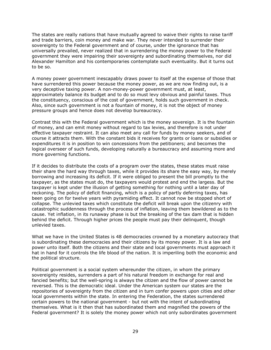The states are really nations that have mutually agreed to waive their rights to raise tariff and trade barriers, coin money and make war. They never intended to surrender their sovereignty to the Federal government and of course, under the ignorance that has universally prevailed, never realized that in surrendering the money power to the Federal government they were impairing their sovereignty and subordinating themselves, nor did Alexander Hamilton and his contemporaries contemplate such eventuality. But it turns out to be so.

A money power government inescapably draws power to itself at the expense of those that have surrendered this power because the money power, as we are now finding out, is a very deceptive taxing power. A non-money-power government must, at least, approximately balance its budget and to do so must levy obvious and painful taxes. Thus the constituency, conscious of the cost of government, holds such government in check. Also, since such government is not a fountain of money, it is not the object of money pressure groups and hence does not develop bureaucracy.

Contrast this with the Federal government which is the money sovereign. It is the fountain of money, and can emit money without regard to tax levies, and therefore is not under effective taxpayer restraint. It can also meet any call for funds by money seekers, and of course it attracts them. With the constant bids it receives for grants or loans or subsidies or expenditures it is in position to win concessions from the petitioners; and becomes the logical overseer of such funds, developing naturally a bureaucracy and assuming more and more governing functions.

If it decides to distribute the costs of a program over the states, these states must raise their share the hard way through taxes, while it provides its share the easy way, by merely borrowing and increasing its deficit. If it were obliged to present the bill promptly to the taxpayer, as the states must do, the taxpayers would protest and end the largess. But the taxpayer is kept under the illusion of getting something for nothing until a later day of reckoning. The policy of deficit financing, which is a policy of partly deferring taxes, has been going on for twelve years with pyramiding effect. It cannot now be stopped short of collapse. The unlevied taxes which constitute the deficit will break upon the citizenry with catastrophic suddenness through the process of inflation, leaving them bewildered as to the cause. Yet inflation, in its runaway phase is but the breaking of the tax dam that is hidden behind the deficit. Through higher prices the people must pay their delinquent, though unlevied taxes.

What we have in the United States is 48 democracies crowned by a monetary autocracy that is subordinating these democracies and their citizens by its money power. It is a law and power unto itself. Both the citizens and their state and local governments must approach it hat in hand for it controls the life blood of the nation. It is imperiling both the economic and the political structure.

Political government is a social system whereunder the citizen, in whom the primary sovereignty resides, surrenders a part of his natural freedom in exchange for real and fancied benefits; but the well-spring is always the citizen and the flow of power cannot be reversed. This is the democratic ideal. Under the American system our states are the repositories of sovereignty from the citizen and in turn confer powers upon cities and other local governments within the state. In entering the Federation, the states surrendered certain powers to the national government - but not with the intent of subordinating themselves. What is it then that has subordinated them and magnified the powers of the Federal government? It is solely the money power which not only subordinates government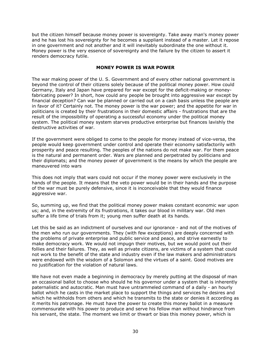but the citizen himself because money power is sovereignty. Take away man's money power and he has lost his sovereignty for he becomes a suppliant instead of a master. Let it repose in one government and not another and it will inevitably subordinate the one without it. Money power is the very essence of sovereignty and the failure by the citizen to assert it renders democracy futile.

# MONEY POWER IS WAR POWER

The war making power of the U. S. Government and of every other national government is beyond the control of their citizens solely because of the political money power. How could Germany, Italy and Japan have prepared for war except for the deficit-making or moneyfabricating power? In short, how could any people be brought into aggressive war except by financial deception? Can war be planned or carried out on a cash basis unless the people are in favor of it? Certainly not. The money power is the war power; and the appetite for war in politicians is created by their frustrations in their domestic affairs - frustrations that are the result of the impossibility of operating a successful economy under the political money system. The political money system starves productive enterprise but finances lavishly the destructive activities of war.

If the government were obliged to come to the people for money instead of vice-versa, the people would keep government under control and operate their economy satisfactorily with prosperity and peace resulting. The peoples of the nations do not make war. For them peace is the natural and permanent order. Wars are planned and perpetrated by politicians and their diplomats; and the money power of government is the means by which the people are maneuvered into wars

This does not imply that wars could not occur if the money power were exclusively in the hands of the people. It means that the veto power would be in their hands and the purpose of the war must be purely defensive, since it is inconceivable that they would finance aggressive war.

So, summing up, we find that the political money power makes constant economic war upon us; and, in the extremity of its frustrations, it takes our blood in military war. Old men suffer a life time of trials from it; young men suffer death at its hands.

Let this be said as an indictment of ourselves and our ignorance - and not of the motives of the men who run our governments. They (with few exceptions) are deeply concerned with the problems of private enterprise and public service and peace, and strive earnestly to make democracy work. We would not impugn their motives, but we would point out their follies and their failures. They, as well as private citizens, are victims of a system that could not work to the benefit of the state and industry even if the law makers and administrators were endowed with the wisdom of a Solomon and the virtues of a saint. Good motives are no justification for the violation of natural laws.

We have not even made a beginning in democracy by merely putting at the disposal of man an occasional ballot to choose who should he his governor under a system that is inherently paternalistic and autocratic. Man must have untrammeled command of a daily - an hourly ballot which he casts in the market place to support the things and services he desires and which he withholds from others and which he transmits to the state or denies it according as it merits his patronage. He must have the power to create this money ballot in a measure commensurate with his power to produce and serve his fellow man without hindrance from his servant, the state. The moment we limit or thwart or bias this money power, which is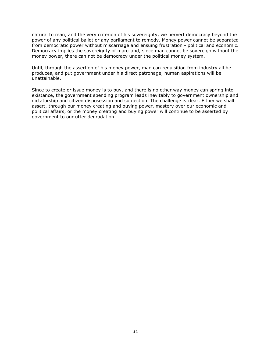natural to man, and the very criterion of his sovereignty, we pervert democracy beyond the power of any political ballot or any parliament to remedy. Money power cannot be separated from democratic power without miscarriage and ensuing frustration - political and economic. Democracy implies the sovereignty of man; and, since man cannot be sovereign without the money power, there can not be democracy under the political money system.

Until, through the assertion of his money power, man can requisition from industry all he produces, and put government under his direct patronage, human aspirations will be unattainable.

Since to create or issue money is to buy, and there is no other way money can spring into existance, the government spending program leads inevitably to government ownership and dictatorship and citizen disposession and subjection. The challenge is clear. Either we shall assert, through our money creating and buying power, mastery over our economic and political affairs, or the money creating and buying power will continue to be asserted by government to our utter degradation.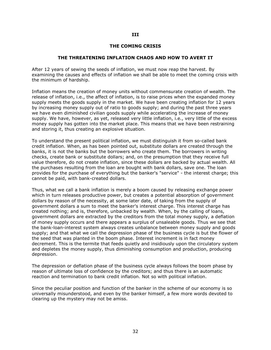## III

## THE COMING CRISIS

#### THE THREATENING INFLATION CHAOS AND HOW TO AVERT IT

After 12 years of sewing the seeds of inflation, we must now reap the harvest. By examining the causes and effects of inflation we shall be able to meet the coming crisis with the minimum of hardship.

Inflation means the creation of money units without commensurate creation of wealth. The release of inflation, i.e., the affect of inflation, is to raise prices when the expanded money supply meets the goods supply in the market. We have been creating inflation for 12 years by increasing money supply out of ratio to goods supply; and during the past three years we have even diminished civilian goods supply while accelerating the increase of money supply. We have, however, as yet, released very little inflation, i.e., very little of the excess money supply has gotten into the market place. This means that we have been restraining and storing it, thus creating an explosive situation.

To understand the present political inflation, we must distinguish it from so-called bank credit inflation. When, as has been pointed out, substitute dollars are created through the banks, it is not the banks but the borrowers who create them. The borrowers in writing checks, create bank or substitute dollars; and, on the presumption that they receive full value therefore, do not create inflation, since these dollars are backed by actual wealth. All the purchases resulting from the loan are bought with bank dollars, save one. The loan provides for the purchase of everything but the banker's "service" - the interest charge; this cannot be paid, with bank-created dollars.

Thus, what we call a bank inflation is merely a boom caused by releasing exchange power which in turn releases productive power, but creates a potential absorption of government dollars by reason of the necessity, at some later date, of taking from the supply of government dollars a sum to meet the banker's interest charge. This interest charge has created nothing; and is, therefore, unbacked by wealth. When, by the calling of loans, government dollars are extracted by the creditors from the total money supply, a deflation of money supply occurs and there appears a surplus of unsaleable goods. Thus we see that the bank-loan-interest system always creates unbalance between money supply and goods supply; and that what we call the depression phase of the business cycle is but the flower of the seed that was planted in the boom phase. Interest increment is in fact money decrement. This is the termite that feeds quietly and insidiously upon the circulatory system and depletes the money supply, thus diminishing consumption and production, producing depression.

The depression or deflation phase of the business cycle always follows the boom phase by reason of ultimate loss of confidence by the creditors; and thus there is an automatic reaction and termination to bank credit inflation. Not so with political inflation.

Since the peculiar position and function of the banker in the scheme of our economy is so universally misunderstood, and even by the banker himself, a few more words devoted to clearing up the mystery may not be amiss.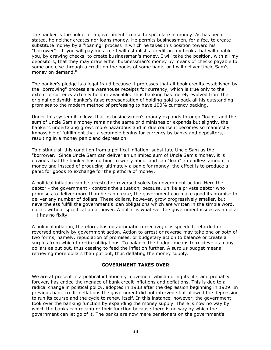The banker is the holder of a government license to speculate in money. As has been stated, he neither creates nor loans money. He permits businessmen, for a fee, to create substitute money by a "loaning" process in which he takes this position toward his "borrower": "If you will pay me a fee I will establish a credit on my books that will enable you, by drawing checks, to create businessman's money. I will take the position, with all my depositors, that they may draw either businessman's money by means of checks payable to some one else through a credit on the books of some bank, or I will deliver Uncle Sam's money on demand."

The banker's pledge is a legal fraud because it professes that all book credits established by the "borrowing" process are warehouse receipts for currency, which is true only to the extent of currency actually held or available. Thus banking has merely evolved from the original goldsmith-banker's false representation of holding gold to back all his outstanding promises to the modern method of professing to have 100% currency backing.

Under this system it follows that as businessmen's money expands through "loans" and the sum of Uncle Sam's money remains the same or diminishes or expands but slightly, the banker's undertaking grows more hazardous and in due course it becomes so manifestly impossible of fulfillment that a scramble begins for currency by banks and depositors, resulting in a money panic and depression.

To distinguish this condition from a political inflation, substitute Uncle Sam as the "borrower." Since Uncle Sam can deliver an unlimited sum of Uncle Sam's money, it is obvious that the banker has nothing to worry about and can "loan" an endless amount of money and instead of producing ultimately a panic for money, the effect is to produce a panic for goods to exchange for the plethora of money.

A political inflation can be arrested or reversed solely by government action. Here the debtor - the government - controls the situation, because, unlike a private debtor who promises to deliver more than he can create, the government can make good its promise to deliver any number of dollars. These dollars, however, grow progressively smaller, but nevertheless fulfill the government's loan obligations which are written in the simple word, dollar, without specification of power. A dollar is whatever the government issues as a dollar - it has no fixity.

A political inflation, therefore, has no automatic corrective; it is speeded, retarded or reversed entirely by government action. Action to arrest or reverse may take one or both of two forms, namely, repudiation of promises, or budgetary action to balance or create a surplus from which to retire obligations. To balance the budget means to retrieve as many dollars as put out, thus ceasing to feed the inflation further. A surplus budget means retrieving more dollars than put out, thus deflating the money supply.

## GOVERNMENT TAKES OVER

We are at present in a political inflationary movement which during its life, and probably forever, has ended the menace of bank credit inflations and deflations. This is due to a radical change in political policy, adopted in 1933 after the depression beginning in 1929. In previous bank credit deflations the government did not intervene but allowed the depression to run its course and the cycle to renew itself. In this instance, however, the government took over the banking function by expanding the money supply. There is now no way by which the banks can recapture their function because there is no way by which the government can let go of it. The banks are now mere pensioners on the government's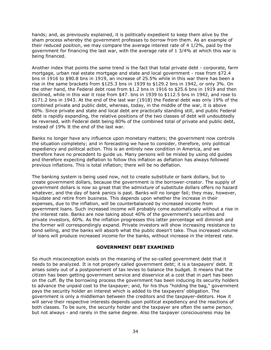hands; and, as previously explained, it is politically expedient to keep them alive by the sham process whereby the government professes to borrow from them. As an example of their reduced position, we may compare the average interest rate of 4 1/2%, paid by the government for financing the last war, with the average rate of 1 3/4% at which this war is being financed.

Another index that points the same trend is the fact that total private debt - corporate, farm mortgage, urban real estate mortgage and state and local government - rose from \$72.4 bns in 1916 to \$90.8 bns in 1919, an increase of 25.5% while in this war there has been a rise in the same brackets from \$125.3 bns in 1939 to \$129.2 bns in 1942, or only 3%. On the other hand, the Federal debt rose from \$1.2 bns in 1916 to \$25.6 bns in 1919 and then declined, while in this war it rose from \$47. bns in 1939 to \$112.5 bns in 1942, and rose to \$171.2 bns in 1943. At the end of the last war (1918) the Federal debt was only 19% of the combined private and public debt, whereas, today, in the middle of the war, it is above 60%. Since private and state and local debt are practically standing still, and public Federal debt is rapidly expanding, the relative positions of the two classes of debt will undoubtedly be reversed, with Federal debt being 80% of the combined total of private and public debt, instead of 19% It the end of the last war.

Banks no longer have any influence upon monetary matters; the government now controls the situation completely; and in forecasting we have to consider, therefore, only political expediency and political action. This is an entirely new condition in America, and we therefore have no precedent to guide us. Many persons will be misled by using old guides and therefore expecting deflation to follow this inflation as deflation has always followed previous inflations. This is total inflation; there will be no deflation.

The banking system is being used now, not to create substitute or bank dollars, but to create government dollars, because the government is the borrower-creator. The supply of government dollars is now so great that the admixture of substitute dollars offers no hazard whatever, and the day of bank panics is past. Banks will no longer fail; they may, however, liquidate and retire from business. This depends upon whether the increase in their expenses, due to the inflation, will be counterbalanced by increased income from government loans. Such increased income will probably come automatically without a rise in the interest rate. Banks are now taking about 40% of the government's securities and private investors, 60%. As the inflation progresses this latter percentage will diminish and the former will correspondingly expand. Private investors will show increasing resistance to bond selling, and the banks will absorb what the public doesn't take. Thus increased volume of loans will produce increased income for the banks, without increase in the interest rate.

## GOVERNMENT DEBT EXAMINED

So much misconception exists on the meaning of the so-called government debt that it needs to be analyzed. It is not properly called government debt; it is a taxpayers' debt. It arises solely out of a postponement of tax levies to balance the budget. It means that the citizen has been getting government service and disservice at a cost that in part has been on the cuff. By the borrowing process the government has been inducing its security holders to advance the unpaid cost to the taxpayer; and, for his thus "holding the bag," government pays the security holder an interest which is added to the taxpayers' obligation. The government is only a middleman between the creditors and the taxpayer-debtors. How it will serve their respective interests depends upon political expediency and the reactions of both classes. To be sure, the security holder and the taxpayer are often the same person, but not always - and rarely in the same degree. Also the taxpayer consciousness may be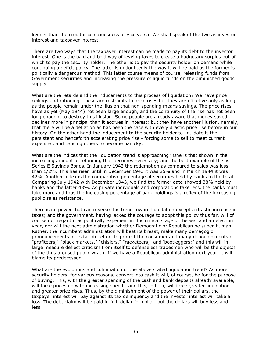keener than the creditor consciousness or vice versa. We shall speak of the two as investor interest and taxpayer interest.

There are two ways that the taxpayer interest can be made to pay its debt to the investor interest. One is the bald and bold way of levying taxes to create a budgetary surplus out of which to pay the security holder. The other is to pay the security holder on demand while continuing a deficit policy. The latter is undoubtedly the way it will be paid as the former is politically a dangerous method. This latter course means of course, releasing funds from Government securities and increasing the pressure of liquid funds on the diminished goods supply.

What are the retards and the inducements to this process of liquidation? We have price ceilings and rationing. These are restraints to price rises but they are effective only as long as the people remain under the illusion that non-spending means savings. The price rises have as yet (May 1944) not been large enough, and the continuity of the rise has not been long enough, to destroy this illusion. Some people are already aware that money saved, declines more in principal than it accrues in interest; but they have another illusion, namely, that there will be a deflation as has been the case with every drastic price rise before in our history. On the other hand the inducement to the security holder to liquidate is the persistent and henceforth accelerating price rise - forcing some to sell to meet current expenses, and causing others to become panicky.

What are the indices that the liquidation trend is approaching? One is that shown in the increasing amount of refunding that becomes necessary; and the best example of this is Series E Savings Bonds. In January 1942 the redemption as compared to sales was less than 1/2%. This has risen until in December 1943 it was 25% and in March 1944 it was 42%. Another index is the comparative percentage of securities held by banks to the total. Comparing July 1942 with December 1943, we find the former date showed 38% held by banks and the latter 43%. As private individuals and corporations take less, the banks must take more and thus the increasing percentage of bank holdings is a reflex of the increasing public sales resistance.

There is no power that can reverse this trend toward liquidation except a drastic increase in taxes; and the government, having lacked the courage to adopt this policy thus far, will of course not regard it as politically expedient in this critical stage of the war and an election year, nor will the next administration whether Democratic or Republican be super-human. Rather, the incumbent administration will beat its breast, make many demagogic pronouncements of its faithful effort to protect the consumer and many denouncements of "profiteers," "black markets," "chislers," "racketeers," and 'bootleggers;" and this will in large measure deflect criticism from itself to defenseless tradesmen who will be the objects of the thus aroused public wrath. If we have a Republican administration next year, it will blame its predecessor.

What are the evolutions and culmination of the above stated liquidation trend? As more security holders, for various reasons, convert into cash it will, of course, be for the purpose of buying. This, with the greater spending of the cash and bank deposits already available, will force prices up with increasing speed - and this, in turn, will force greater liquidation and greater price rises. Thus, by the diminishment of the power of their dollars, the taxpayer interest will pay against its tax delinquency and the investor interest will take a loss. The debt claim will be paid in full, dollar for dollar, but the dollars will buy less and less.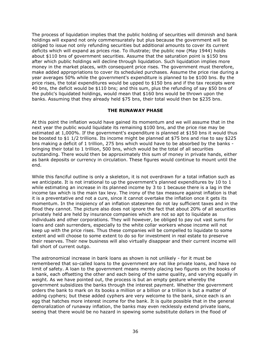The process of liquidation implies that the public holding of securities will diminish and bank holdings will expand not only commensurately but plus because the government will be obliged to issue not only refunding securities but additional amounts to cover its current deficits which will expand as prices rise. To illustrate; the public now (May 1944) holds about \$110 bns of government securities. Assume that the saturation point is \$150 bns after which public holdings will decline through liquidation. Such liquidation implies more money in the market places, with consequent price rises. The government must therefore, make added appropriations to cover its scheduled purchases. Assume the price rise during a year averages 50% while the government's expenditure is planned to be \$100 bns. By the price rises, the total expenditures would be upped to \$150 bns and if the tax receipts were 40 bns, the deficit would be \$110 bns; and this sum, plus the refunding of say \$50 bns of the public's liquidated holdings, would mean that \$160 bns would be thrown upon the banks. Assuming that they already held \$75 bns, their total would then be \$235 bns.

# THE RUNAWAY PHASE

At this point the inflation would have gained its momentum and we will assume that in the next year the public would liquidate its remaining \$100 bns, and the price rise may be estimated at 1,000%. If the government's expenditure is planned at \$150 bns it would thus be boosted to \$1 1/2 trillions. Its income might be planned at \$75 bns and rise to say \$225 bns making a deficit of 1 trillion, 275 bns which would have to be absorbed by the banks bringing their total to 1 trillion, 500 bns, which would be the total of all securities outstanding. There would then be approximately this sum of money in private hands, either as bank deposits or currency in circulation. These figures would continue to mount until the end.

While this fanciful outline is only a skeleton, it is not overdrawn for a total inflation such as we anticipate. It is not irrational to up the government's planned expenditures by 10 to 1 while estimating an increase in its planned income by 3 to 1 because there is a lag in the income tax which is the main tax levy. The irony of the tax measure against inflation is that it is a preventative and not a cure, since it cannot overtake the inflation once it gets its momentum. In the insipiency of an inflation statesmen do not lay sufficient taxes and in the flood they cannot. The picture also does not ignore the fact that about 20% of all securities privately held are held by insurance companies which are not so apt to liquidate as individuals and other corporations. They will however, be obliged to pay out vast sums for loans and cash surrenders, especially to the white collar workers whose income will not keep up with the price rises. Thus these companies will be compelled to liquidate to some extent and will choose to some extent to do so for investment in real estate to preserve their reserves. Their new business will also virtually disappear and their current income will fall short of current outgo.

The astronomical increase in bank loans as shown is not unlikely - for it must be remembered that so-called loans to the government are not like private loans, and have no limit of safety. A loan to the government means merely placing two figures on the books of a bank, each offsetting the other and each being of the same quality, and varying equally in weight. As we have pointed out, the process is but an empty gesture whereby the government subsidizes the banks through the interest payment. Whether the government orders the bank to mark on its books a million or a billion or a trillion is but a matter of adding cyphers; but these added cyphers are very welcome to the bank, since each is an egg that hatches more interest income for the bank. It is quite possible that in the general demoralization of runaway inflation, the banks may even recklessly extend private loans, seeing that there would be no hazard in spewing some substitute dollars in the flood of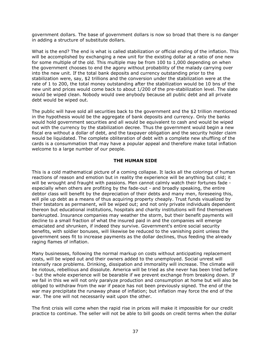government dollars. The base of government dollars is now so broad that there is no danger in adding a structure of substitute dollars.

What is the end? The end is what is called stabilization or official ending of the inflation. This will be accomplished by exchanging a new unit for the existing dollar at a ratio of one new for some multiple of the old. This multiple may be from 100 to 1,000 depending on when the government chooses to end the agony without probability of the malady carrying over into the new unit. If the total bank deposits and currency outstanding prior to the stabilization were, say, \$2 trillions and the conversion under the stabilization were at the rate of 1 to 200, the total money outstanding after the stabilization would be 10 bns of the new unit and prices would come back to about 1/200 of the pre-stabilization level. The slate would be wiped clean. Nobody would owe anybody because all public debt and all private debt would be wiped out.

The public will have sold all securities back to the government and the \$2 trillion mentioned in the hypothesis would be the aggregate of bank deposits and currency. Only the banks would hold government securities and all would be equivalent to cash and would be wiped out with the currency by the stabilization decree. Thus the government would begin a new fiscal era without a dollar of debt, and the taxpayer obligation and the security holder claim would be liquidated. The complete obliteration of debt with a complete new shuffling of the cards is a consummation that may have a popular appeal and therefore make total inflation welcome to a large number of our people.

### THE HUMAN SIDE

This is a cold mathematical picture of a coming collapse. It lacks all the colorings of human reactions of reason and emotion but in reality the experience will be anything but cold; it will be wrought and fraught with passions. Men cannot calmly watch their fortunes fade especially when others are profiting by the fade-out - and broadly speaking, the entire debtor class will benefit by the depreciation of their debts and many men, foreseeing this, will pile up debt as a means of thus acquiring property cheaply. Trust funds visualized by their testators as permanent, will be wiped out; and not only private individuals dependent thereon but educational institutions, hospitals and charity institutions will find themselves bankrupted. Insurance companies may weather the storm, but their benefit payments will decline to a small fraction of what the insured paid in and the companies will emerge emaciated and shrunken, if indeed they survive. Government's entire social security benefits, with soldier bonuses, will likewise be reduced to the vanishing point unless the government sees fit to increase payments as the dollar declines, thus feeding the already raging flames of inflation.

Many businesses, following the normal markup on costs without anticipating replacement costs, will be wiped out and their owners added to the unemployed. Social unrest will intensify race problems. Drinking, dissipation and immorality will increase. The climate will be riotous, rebellious and dissolute. America will be tried as she never has been tried before - but the whole experience will be bearable if we prevent exchange from breaking down. If we fail in this we will not only paralyze production and consumption at home but will also be obliged to withdraw from the war if peace has not been previously signed. The end of the war may precipitate the runaway phase of inflation; but inflation may force the end of the war. The one will not necessarily wait upon the other.

The first crisis will come when the rapid rise in prices will make it impossible for our credit practice to continue. The seller will not be able to bill goods on credit terms when the dollar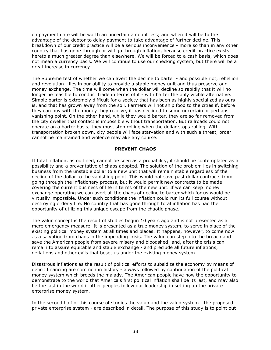on payment date will be worth an uncertain amount less; and when it will be to the advantage of the debtor to delay payment to take advantage of further decline. This breakdown of our credit practice will be a serious inconvenience - more so than in any other country that has gone through or will go through inflation, because credit practice exists hereto a much greater degree than elsewhere. We will be forced to a cash basis, which does not mean a currency basis. We will continue to use our checking system, but there will be a great increase in currency.

The Supreme test of whether we can avert the decline to barter - and possible riot, rebellion and revolution - lies in our ability to provide a stable money unit and thus preserve our money exchange. The time will come when the dollar will decline so rapidly that it will no longer be feasible to conduct trade in terms of it - with barter the only visible alternative. Simple barter is extremely difficult for a society that has been as highly specialized as ours is, and that has grown away from the soil. Farmers will not ship food to the cities if, before they can buy with the money they receive, it has declined to some uncertain or perhaps vanishing point. On the other hand, while they would barter, they are so far removed from the city dweller that contact is impossible without transportation. But railroads could not operate on a barter basis; they must stop rolling when the dollar stops rolling. With transportation broken down, city people will face starvation and with such a threat, order cannot be maintained and violence may ake any course.

## PREVENT CHAOS

If total inflation, as outlined, cannot be seen as a probability, it should be contemplated as a possibility and a preventative of chaos adopted. The solution of the problem lies in switching business from the unstable dollar to a new unit that will remain stable regardless of the decline of the dollar to the vanishing point. This would not save past dollar contracts from going through the inflationary process, but it would permit new contracts to be made covering the current business of life in terms of the new unit. If we can keep money exchange operating we can avert all the chaos of decline to barter which for us would be virtually impossible. Under such conditions the inflation could run its full course without destroying orderly life. No country that has gone through total inflation has had the opportunity of utilizing this unique escape from the chaotic phase.

The valun concept is the result of studies begun 10 years ago and is not presented as a mere emergency measure. It is presented as a true money system, to serve in place of the existing political money system at all times and places. It happens, however, to come now as a salvation from chaos in the impending crisis. The valun can step into the breach and save the American people from severe misery and bloodshed; and, after the crisis can remain to assure equitable and stable exchange - and preclude all future inflations, deflations and other evils that beset us under the existing money system.

Disastrous inflations as the result of political efforts to subsidize the economy by means of deficit financing are common in history - always followed by continuation of the political money system which breeds the malady. The American people have now the opportunity to demonstrate to the world that America's first political inflation shall be its last, and may also be the last in the world if other peoples follow our leadership in setting up the private enterprise money system.

In the second half of this course of studies the valun and the valun system - the proposed private enterprise system - are described in detail. The purpose of this study is to point out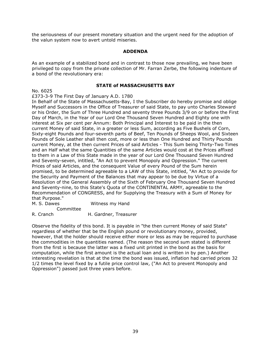the seriousness of our present monetary situation and the urgent need for the adoption of the valun system now to avert untold miseries.

### ADDENDA

As an example of a stabilized bond and in contrast to those now prevailing, we have been privileged to copy from the private collection of Mr. Farran Zerbe, the following indenture of a bond of the revolutionary era:

## STATE of MASSACHUSETTS BAY

No. 6025

## £373-3-9 The First Day of January A.D. 1780

In Behalf of the State of Massachusetts-Bay, I the Subscriber do hereby promise and oblige Myself and Successors in the Office of Treasurer of said State, to pay unto Charles Steward or his Order, the Sum of Three Hundred and seventy three Pounds 3/9 on or before the First Day of March, in the Year of our Lord One Thousand Seven Hundred and Eighty one with interest at Six per cent per Annum: Both Principal and Interest to be paid in the then current Money of said State, in a greater or less Sum, according as Five Bushels of Corn, Sixty-eight Pounds and four-seventh parts of Beef, Ten Pounds of Sheeps Wool, and Sixteen Pounds of Sole Leather shall then cost, more or less than One Hundred and Thirty Pounds current Money, at the then current Prices of said Articles - This Sum being Thirty-Two Times and an Half what the same Quantities of the same Articles would cost at the Prices affixed to them in a Law of this State made in the year of our Lord One Thousand Seven Hundred and Seventy-seven, intitled, "An Act to prevent Monopoly and Oppression." The current Prices of said Articles, and the consequent Value of every Pound of the Sum herein promised, to be determined agreeable to a LAW of this State, intitled, "An Act to provide for the Security and Payment of the Balances that may appear to be due by Virtue of a Resolution of the General Assembly of the Sixth of February One Thousand Seven Hundred and Seventy-nine, to this State's Quota of the CONTINENTAL ARMY, agreeable to the Recommendation of CONGRESS, and for Supplying the Treasury with a Sum of Money for that Purpose."

M. S. Dawes Witness my Hand

 Committee R. Cranch H. Gardner, Treasurer

Observe the fidelity of this bond. It is payable in "the then current Money of said State" regardless of whether that be the English pound or revolutionary money, provided, however, that the holder should receive either more or less as may be required to purchase the commodities in the quantities named. (The reason the second sum stated is different from the first is because the latter was a fixed unit printed in the bond as the basis for computation, while the first amount is the actual loan and is written in by pen.) Another interesting revelation is that at the time the bond was issued, inflation had carried prices 32 1/2 times the level fixed by a futile price control law, ("An Act to prevent Monopoly and Oppression") passed just three years before.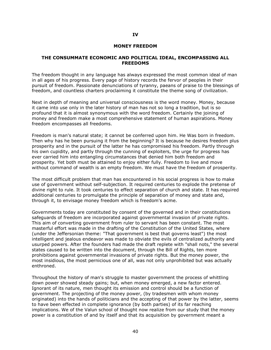#### MONEY FREEDOM

#### THE CONSUMMATE ECONOMIC AND POLITICAL IDEAL, ENCOMPASSING ALL **FREEDOMS**

The freedom thought in any language has always expressed the most common ideal of man in all ages of his progress. Every page of history records the fervor of peoples in their pursuit of freedom. Passionate denunciations of tyranny, paeans of praise to the blessings of freedom, and countless charters proclaiming it constitute the theme song of civilization.

Next in depth of meaning and universal consciousness is the word money. Money, because it came into use only in the later history of man has not so long a tradition, but is so profound that it is almost synonymous with the word freedom. Certainly the joining of money and freedom make a most comprehensive statement of human aspirations. Money freedom encompasses all freedoms.

Freedom is man's natural state; it cannot be conferred upon him. He Was born in freedom. Then why has he been pursuing it from the beginning? It is because he desires freedom plus prosperity and in the pursuit of the latter he has compromised his freedom. Partly through his own cupidity, and partly through the cunning of exploiters, the urge for progress has ever carried him into entangling circumstances that denied him both freedom and prosperity. Yet both must be attained to enjoy either fully. Freedom to live and move without command of wealth is an empty freedom. We must have the freedom of prosperity.

The most difficult problem that man has encountered in his social progress is how to make use of government without self-subjection. It required centuries to explode the pretense of divine right to rule. It took centuries to effect separation of church and state. It has required additional centuries to promulgate the principle of separation of money and state and, through it, to envisage money freedom which is freedom's acme.

Governments today are constituted by consent of the governed and in their constitutions safeguards of freedom are incorporated against governmental invasion of private rights. This aim of converting government from ruler to servant has been constant. The most masterful effort was made in the drafting of the Constitution of the United States, where (under the Jeffersonian theme: "That government is best that governs least") the most intelligent and jealous endeavor was made to obviate the evils of centralized authority and usurped powers. After the founders had made the draft replete with "shall nots," the several states caused to be written into the document, through the Bill of Rights, ten more prohibitions against governmental invasions of private rights. But the money power, the most insidious, the most pernicious one of all, was not only unprohibited but was actually enthroned.

Throughout the history of man's struggle to master government the process of whittling down power showed steady gains; but, when money emerged, a new factor entered. Ignorant of its nature, men thought its emission and control should be a function of government. The projecting of the money power, (by tradesmen with whom money originated) into the hands of politicians and the accepting of that power by the latter, seems to have been effected in complete ignorance (by both parties) of its far reaching implications. We of the Valun school of thought now realize from our study that the money power is a constitution of and by itself and that its acquisition by government meant a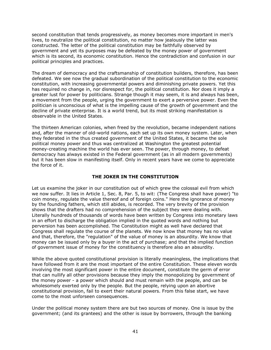second constitution that tends progressively, as money becomes more important in men's lives, to neutralize the political constitution, no matter how jealously the latter was constructed. The letter of the political constitution may be faithfully observed by government and yet its purposes may be defeated by the money power of government which is its second, its economic constitution. Hence the contradiction and confusion in our political principles and practices.

The dream of democracy and the craftsmanship of constitution builders, therefore, has been defeated. We see now the gradual subordination of the political constitution to the economic constitution, with increasing governmental powers and diminishing private powers. Yet this has required no change in, nor disrespect for, the political constitution. Nor does it imply a greater lust for power by politicians. Strange though it may seem, it is and always has been, a movement from the people, urging the government to exert a perversive power. Even the politician is unconscious of what is the impelling cause of the growth of government and the decline of private enterprise. It is a world trend, but its most striking manifestation is observable in the United States.

The thirteen American colonies, when freed by the revolution, became independent nations and, after the manner of old-world nations, each set up its own money system. Later, when they federated in the thus created government of the United States, it became the sole political money power and thus was centralized at Washington the greatest potential money-creating machine the world has ever seen. The power, through money, to defeat democracy has always existed in the Federal government (as in all modern governments) but it has been slow in manifesting itself. Only in recent years have we come to appreciate the force of it.

# THE JOKER IN THE CONSTITUTION

Let us examine the joker in our constitution out of which grew the colossal evil from which we now suffer. It lies in Article 1, Sec. 8, Par. 5, to wit: (The Congress shall have power) "to coin money, regulate the value thereof and of foreign coins." Here the ignorance of money by the founding fathers, which still abides, is recorded. The very brevity of the provision shows that the drafters had no comprehension of the subject they were dealing with. Literally hundreds of thousands of words have been written by Congress into monetary laws in an effort to discharge the obligation implied in the quoted words and nothing but perversion has been accomplished. The Constitution might as well have declared that Congress shall regulate the course of the planets. We now know that money has no value and that, therefore, the "regulation" of the value of money is an absurdity. We know that money can be issued only by a buyer in the act of purchase; and that the implied function of government issue of money for the constituency is therefore also an absurdity.

While the above quoted constitutional provision is literally meaningless, the implications that have followed from it are the most important of the entire Constitution. These eleven words involving the most significant power in the entire document, constitute the germ of error that can nullify all other provisions because they imply the monopolizing by government of the money power - a power which should and must remain with the people, and can be wholesomely exerted only by the people. But the people, relying upon an abortive constitutional provision, fail to exert their natural powers. From this false start, we have come to the most unforseen consequences.

Under the political money system there are but two sources of money. One is issue by the government; (and its grantees) and the other is issue by borrowers, through the banking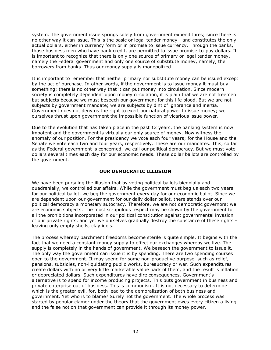system. The government issue springs solely from government expenditures; since there is no other way it can issue. This is the basic or legal tender money - and constitutes the only actual dollars, either in currency form or in promise to issue currency. Through the banks, those business men who have bank credit, are permitted to issue promise-to-pay dollars. It is important to recognize that there is only one source of primary or legal tender money, namely the Federal government and only one source of substitute money, namely, the borrowers from banks. Thus our money supply is monopolized.

It is important to remember that neither primary nor substitute money can be issued except by the act of purchase. In other words, if the government is to issue money it must buy something; there is no other way that it can put money into circulation. Since modern society is completely dependent upon money circulation, it is plain that we are not freemen but subjects because we must beseech our government for this life blood. But we are not subjects by government mandate; we are subjects by dint of ignorance and inertia. Government does not deny us the right to exert our natural power to issue money; we ourselves thrust upon government the impossible function of vicarious issue power.

Due to the evolution that has taken place in the past 12 years, the banking system is now impotent and the government is virtually our only source of money. Now witness the anomaly of our position. For the presidency we vote each four years; for the House and the Senate we vote each two and four years, respectively. These are our mandates. This, so far as the Federal government is concerned, we call our political democracy. But we must vote dollars several times each day for our economic needs. These dollar ballots are controlled by the government.

## OUR DEMOCRATIC ILLUSION

We have been pursuing the illusion that by voting political ballots biennially and quadrenially, we controlled our affairs. While the government must beg us each two years for our political ballot, we beg the government every day for our economic ballot. Since we are dependent upon our government for our daily dollar ballot, there stands over our political democracy a monetary autocracy. Therefore, we are not democratic governors; we are economic subjects. The most scrupulous respect may be shown by the government for all the prohibitions incorporated in our political constitution against governmental invasion of our private rights, and yet we ourselves gradually destroy the substance of these rights leaving only empty shells, clay idols.

The process whereby parchment freedoms become sterile is quite simple. It begins with the fact that we need a constant money supply to effect our exchanges whereby we live. The supply is completely in the hands of government. We beseech the government to issue it. The only way the government can issue it is by spending. There are two spending courses open to the government. It may spend for some non-productive purpose, such as relief, pensions, subsidies, non-liquidating public works, bureaucracy or war. Such expenditures create dollars with no or very little marketable value back of them, and the result is inflation or depreciated dollars. Such expenditures have dire consequences. Government's alternative is to spend for income producing projects. This puts government in business and private enterprise out of business. This is communism. It is not necessary to determine which is the greater evil, for, both lead to the demoralization of both business and government. Yet who is to blame? Surely not the government. The whole process was started by popular clamor under the theory that the government owes every citizen a living and the false notion that government can provide it through its money power.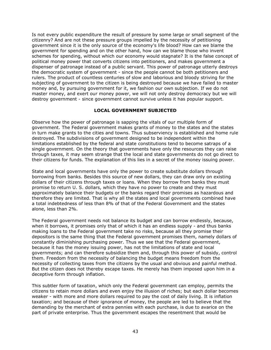Is not every public expenditure the result of pressure by some large or small segment of the citizenry? And are not these pressure groups impelled by the necessity of petitioning government since it is the only source of the economy's life blood? How can we blame the government for spending and on the other hand, how can we blame those who invent schemes for spending, without which our economy would stagnate? It is the false concept of political money power that converts citizens into petitioners, and makes government a dispenser of patronage instead of a public servant. This power of patronage utterly destroys the democratic system of government - since the people cannot be both petitioners and rulers. The product of countless centuries of slow and laborious and bloody striving for the subjecting of government to the citizen is being destroyed because we have failed to master money and, by pursuing government for it, we fashion our own subjection. If we do not master money, and exert our money power, we will not only destroy democracy but we will destroy government - since government cannot survive unless it has popular support.

# LOCAL GOVERNMENT SUBJECTED

Observe how the power of patronage is sapping the vitals of our multiple form of government. The Federal government makes grants of money to the states and the states in turn make grants to the cities and towns. Thus subserviency is established and home rule destroyed. The subdivisions of government designed to be independent within the limitations established by the federal and state constitutions tend to become satraps of a single government. On the theory that governments have only the resources they can raise through taxes, it may seem strange that the local and state governments do not go direct to their citizens for funds. The explanation of this lies in a secret of the money issuing power.

State and local governments have only the power to create substitute dollars through borrowing from banks. Besides this source of new dollars, they can draw only on existing dollars of their citizens through taxes or loans. When they borrow from banks they must promise to return U. S. dollars, which they have no power to create and they must approximately balance their budgets or the banks regard their promises as hazardous and therefore they are limited. That is why all the states and local governments combined have a total indebtedness of less than 8% of that of the Federal Government and the states alone, less than 2%.

The Federal government needs not balance its budget and can borrow endlessly, because, when it borrows, it promises only that of which it has an endless supply - and thus banks making loans to the Federal government take no risks, because all they promise their depositors is the same thing that the Federal government promises them, namely dollars of constantly diminishing purchasing power. Thus we see that the Federal government, because it has the money issuing power, has not the limitations of state and local governments; and can therefore subsidize them and, through this power of subsidy, control them. Freedom from the necessity of balancing the budget means freedom from the necessity of collecting taxes from the citizens by the usual and obvious and painful method. But the citizen does not thereby escape taxes. He merely has them imposed upon him in a deceptive form through inflation.

This subtler form of taxation, which only the Federal government can employ, permits the citizens to retain more dollars and even enjoy the illusion of riches; but each dollar becomes weaker - with more and more dollars required to pay the cost of daily living. It is inflation taxation; and because of their ignorance of money, the people are led to believe that the demanding by the merchant of extra pennies with each purchase, is due to avarice on the part of private enterprise. Thus the government escapes the resentment that would be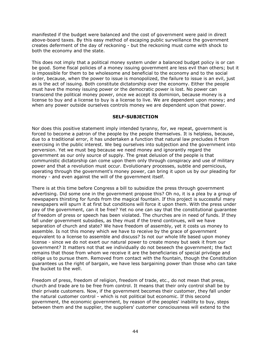manifested if the budget were balanced and the cost of government were paid in direct above-board taxes. By this easy method of escaping public surveillance the government creates deferment of the day of reckoning - but the reckoning must come with shock to both the economy and the state.

This does not imply that a political money system under a balanced budget policy is or can be good. Some fiscal policies of a money issuing government are less evil than others; but it is impossible for them to be wholesome and beneficial to the economy and to the social order, because, when the power to issue is monopolized, the failure to issue is an evil, just as is the act of issuing. Both constitute dictatorship over the economy. Either the people must have the money issuing power or the democratic power is lost. No power can transcend the political money power, once we accept its dominion, because money is a license to buy and a license to buy is a license to live. We are dependent upon money; and when any power outside ourselves controls money we are dependent upon that power.

## SELF-SUBJECTION

Nor does this positive statement imply intended tyranny, for, we repeat, government is forced to become a patron of the people by the people themselves. It is helpless, because, due to a traditional error, it has undertaken a function that natural law precludes it from exercising in the public interest. We beg ourselves into subjection and the government into perversion. Yet we must beg because we need money and ignorantly regard the government as our only source of supply. The great delusion of the people is that communistic dictatorship can come upon them only through conspiracy and use of military power and that a revolution must occur. Evolutionary processes, subtle and pernicious, operating through the government's money power, can bring it upon us by our pleading for money - and even against the will of the government itself.

There is at this time before Congress a bill to subsidize the press through government advertising. Did some one in the government propose this? Oh no, it is a plea by a group of newspapers thirsting for funds from the magical fountain. If this project is successful many newspapers will spurn it at first but conditions will force it upon them. With the press under pay of the government, can it be free? Yet no one can say that the constitutional guarantee of freedom of press or speech has been violated. The churches are in need of funds. If they fall under government subsidies, as they must if the trend continues, will we have separation of church and state? We have freedom of assembly, yet it costs us money to assemble. Is not this money which we have to receive by the grace of government equivalent to a license to assemble and discuss? Is not our whole life based upon money license - since we do not exert our natural power to create money but seek it from our government? It matters not that we individually do not beseech the government; the fact remains that those from whom we receive it are the beneficiaries of special privilege and oblige us to pursue them. Removed from contact with the fountain, though the Constitution guarantees us the right of bargain, we have less bargaining power than those who can take the bucket to the well.

Freedom of press, freedom of religion, freedom of trade, etc., do not mean that press, church and trade are to be free from control. It means that their only control shall be by their private customers. Now, if the government becomes their customer, they fall under the natural customer control - which is not political but economic. If this second government, the economic government, by reason of the peoples' inability to buy, steps between them and the supplier, the suppliers' customer consciousness will extend to the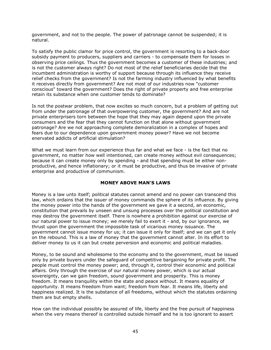government, and not to the people. The power of patronage cannot be suspended; it is natural.

To satisfy the public clamor for price control, the government is resorting to a back-door subsidy payment to producers, suppliers and carriers - to compensate them for losses in observing price ceilings. Thus the government becomes a customer of these industries; and is not the customer always right? Do not most of the relief beneficiaries decide that the incumbent administration is worthy of support because through its influence they receive relief checks from the government? Is not the farming industry influenced by what benefits it receives directly from government? Are not most of our industries now "customer conscious" toward the government? Does the right of private property and free enterprise retain its substance when one customer tends to dominate?

Is not the postwar problem, that now excites so much concern, but a problem of getting out from under the patronage of that overpowering customer, the government? And are not private enterprisers torn between the hope that they may again depend upon the private consumers and the fear that they cannot function on that alone without government patronage? Are we not approaching complete demoralization in a complex of hopes and fears due to our dependence upon government money power? Have we not become enervated addicts of artificial stimulation?

What we must learn from our experience thus far and what we face - is the fact that no government, no matter how well intentioned, can create money without evil consequences; because it can create money only by spending - and that spending must be either nonproductive, and hence inflationary; or it must be productive, and thus be invasive of private enterprise and productive of communism.

## MONEY ABOVE MAN'S LAWS

Money is a law unto itself; political statutes cannot amend and no power can transcend this law, which ordains that the issuer of money commands the sphere of its influence. By giving the money power into the hands of the government we gave it a second, an economic, constitution that prevails by unseen and unsung processes over the political constitution and may destroy the government itself. There is nowhere a prohibition against our exercise of our natural power to issue money; we merely fail to exert it - and, by our ignorance, we thrust upon the government the impossible task of vicarious money issuance. The government cannot issue money for us; it can issue it only for itself; and we can get it only on the rebound. This is a law of money that the government cannot alter. In its effort to deliver money to us it can but create perversion and economic and political maladies.

Money, to be sound and wholesome to the economy and to the government, must be issued only by private buyers under the safeguard of competitive bargaining for private profit. The people must control the money power; and, through it, control their economic and political affairs. Only through the exercise of our natural money power, which is our actual sovereignty, can we gain freedom, sound government and prosperity. This is money freedom. It means tranquility within the state and peace without. It means equality of opportunity. It means freedom from want; freedom from fear. It means life, liberty and happiness realized. It is the substance of all freedoms, without which the statutes ordaining them are but empty shells.

How can the individual possibly be assured of life, liberty and the free pursuit of happiness when the very means thereof is controlled outside himself and he is too ignorant to assert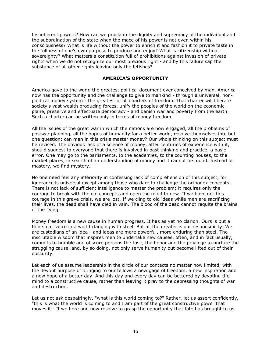his inherent powers? How can we proclaim the dignity and supremacy of the individual and the subordination of the state when the mace of his power is not even within his consciousness? What is life without the power to enrich it and fashion it to private taste in the fullness of one's own purpose to produce and enjoy? What is citizenship without sovereignty? What matters a constitution full of prohibitions against invasion of private rights when we do not recognize our most precious right - and by this failure sap the substance of all other rights leaving only the fetishes?

## AMERICA'S OPPORTUNITY

America gave to the world the greatest political document ever conceived by man. America now has the opportunity and the challenge to give to mankind - through a universal, nonpolitical money system - the greatest of all charters of freedom. That charter will liberate society's vast wealth producing forces, unify the peoples of the world on the economic plane, preserve and effectuate democracy - and banish war and poverty from the earth. Such a charter can be written only in terms of money freedom.

All the issues of the great war in which the nations are now engaged, all the problems of postwar planning, all the hopes of humanity for a better world, resolve themselves into but one question: can man in this crisis master money? Our whole thinking on this subject must be revised. The obvious lack of a science of money, after centuries of experience with it, should suggest to everyone that there is involved in past thinking and practice, a basic error. One may go to the parliaments, to the academies, to the counting houses, to the market places, in search of an understanding of money and it cannot be found. Instead of mastery, we find mystery.

No one need feel any inferiority in confessing lack of comprehension of this subject, for ignorance is universal except among those who dare to challenge the orthodox concepts. There is not lack of sufficient intelligence to master the problem; it requires only the courage to break with the old concepts and open the mind to new. If we have not this courage in this grave crisis, we are lost. If we cling to old ideas while men are sacrificing their lives, the dead shall have died in vain. The blood of the dead cannot requite the brains of the living.

Money freedom is a new cause in human progress. It has as yet no clarion. Ours is but a thin small voice in a world clanging with steel. But all the greater is our responsibility. We are custodians of an idea - and ideas are more powerful, more enduring than steel. The inscrutable wisdom that inspires men to undertake new causes, often, and in fact usually, commits to humble and obscure persons the task, the honor and the privilege to nurture the struggling cause, and, by so doing, not only serve humanity but become lifted out of their obscurity.

Let each of us assume leadership in the circle of our contacts no matter how limited, with the devout purpose of bringing to our fellows a new gage of freedom, a new inspiration and a new hope of a better day. And this day and every day can be bettered by devoting the mind to a constructive cause, rather than leaving it prey to the depressing thoughts of war and destruction.

Let us not ask despairingly, "what is this world coming to?" Rather, let us assert confidently, "this is what the world is coming to and I am part of the great constructive power that moves it." If we here and now resolve to grasp the opportunity that fate has brought to us,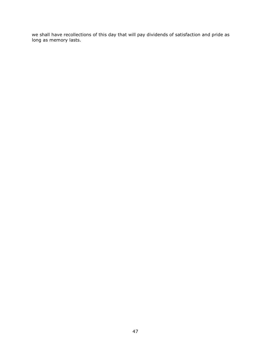we shall have recollections of this day that will pay dividends of satisfaction and pride as long as memory lasts.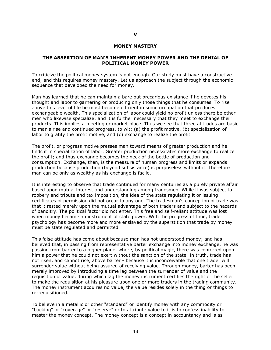#### MONEY MASTERY

#### THE ASSERTION OF MAN'S INHERENT MONEY POWER AND THE DENIAL OF POLITICAL MONEY POWER

To criticize the political money system is not enough. Our study must have a constructive end; and this requires money mastery. Let us approach the subject through the economic sequence that developed the need for money.

Man has learned that he can maintain a bare but precarious existance if he devotes his thought and labor to garnering or producing only those things that he consumes. To rise above this level of life he must become efficient in some occupation that produces exchangeable wealth. This specialization of labor could yield no profit unless there be other men who likewise specialize; and it is further necessary that they meet to exchange their products. This implies a meeting or market place. Thus we see that three attitudes are basic to man's rise and continued progress, to wit: (a) the profit motive, (b) specialization of labor to gratify the profit motive, and (c) exchange to realize the profit.

The profit, or progress motive presses man toward means of greater production and he finds it in specialization of labor. Greater production necessitates more exchange to realize the profit; and thus exchange becomes the neck of the bottle of production and consumption. Exchange, then, is the measure of human progress and limits or expands production because production (beyond subsistance) is purposeless without it. Therefore man can be only as wealthy as his exchange is facile.

It is interesting to observe that trade continued for many centuries as a purely private affair based upon mutual interest and understanding among tradesmen. While it was subject to robbery and tribute and tax imposition, the idea of the state regulating it or issuing certificates of permission did not occur to any one. The tradesman's conception of trade was that it rested merely upon the mutual advantage of both traders and subject to the hazards of banditry. The political factor did not enter. This free and self-reliant attitude was lost when money became an instrument of state power. With the progress of time, trade psychology has become more and more enslaved by the superstition that trade by money must be state regulated and permitted.

This false attitude has come about because man has not understood money; and has believed that, in passing from representative barter exchange into money exchange, he was passing from barter to a higher plane, where, by political magic, there was conferred upon him a power that he could not exert without the sanction of the state. In truth, trade has not risen, and cannot rise, above barter - because it is inconceivable that one trader will surrender value without being assured of receiving value. Through money, barter has been merely improved by introducing a time lag between the surrender of value and the requisition of value, during which lag the money instrument certifies the right of the seller to make the requisition at his pleasure upon one or more traders in the trading community. The money instrument acquires no value, the value resides solely in the thing or things to re-requisitioned.

To believe in a metallic or other "standard" or identify money with any commodity or "backing" or "coverage" or "reserve" or to attribute value to it is to confess inability to master the money concept. The money concept is a concept in accountancy and is as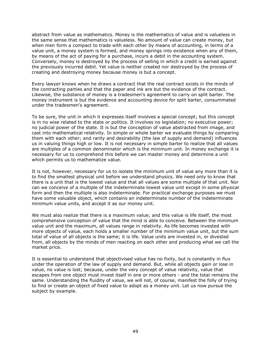abstract from value as mathematics. Money is the mathematics of value and is valueless in the same sense that mathematics is valueless. No amount of value can create money, but when men form a compact to trade with each other by means of accounting, in terms of a value unit, a money system is formed, and money springs into existence when any of them, by means of the act of paying for a purchase, incurs a debit in the accounting system. Conversely, money is destroyed by the process of selling in which a credit is earned against the previously incurred debit. Yet value is neither created nor destroyed by the process of creating and destroying money because money is but a concept.

Every lawyer knows when he draws a contract that the real contract exists in the minds of the contracting parties and that the paper and ink are but the evidence of the contract. Likewise, the substance of money is a tradesmen's agreement to carry on split barter. The money instrument is but the evidence and accounting device for split barter, consummated under the tradesmen's agreement.

To be sure, the unit in which it expresses itself involves a special concept; but this concept is in no wise related to the state or politics. It involves no legislation; no executive power; no judicial power of the state. It is but the conception of value abstracted from image, and cast into mathematical relativity. In simple or whole barter we evaluate things by comparing them with each other; and rarity and desirability (the law of supply and demand) influences us in valuing things high or low. It is not necessary in simple barter to realize that all values are multiples of a common denominator which is the minimum unit. In money exchange it is necessary for us to comprehend this before we can master money and determine a unit which permits us to mathematize value.

It is not, however, necessary for us to isolate the minimum unit of value any more than it is to find the smallest physical unit before we understand physics. We need only to know that there is a unit that is the lowest value and that all values are some multiple of that unit. Nor can we conceive of a multiple of the indeterminate lowest value unit except in some physical form and then the multiple is also indeterminate. For practical exchange purposes we must have some valuable object, which contains an indeterminate number of the indeterminate minimum value units, and accept it as our money unit.

We must also realize that there is a maximum value; and this value is life itself, the most comprehensive conception of value that the mind is able to conceive. Between the minimum value unit and the maximum, all values range in relativity. As life becomes invested with more objects of value, each holds a smaller number of the minimum value unit, but the sum total of value of all objects is the same; it is life. Value units are invested in, or divested from, all objects by the minds of men reacting on each other and producing what we call the market price.

It is essential to understand that objectivised value has no fixity, but is constantly in flux under the operation of the law of supply and demand. But, while all objects gain or lose in value, no value is lost; because, under the very concept of value relativity, value that escapes from one object must invest itself in one or more others - and the total remains the same. Understanding the fluidity of value, we will not, of course, manifest the folly of trying to find or create an object of fixed value to adopt as a money unit. Let us now pursue the subject by example.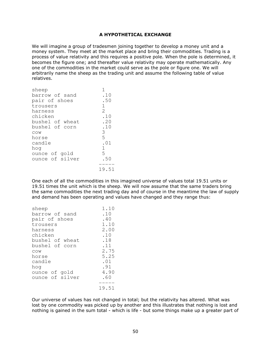## A HYPOTHETICAL EXCHANGE

We will imagine a group of tradesmen joining together to develop a money unit and a money system. They meet at the market place and bring their commodities. Trading is a process of value relativity and this requires a positive pole. When the pole is determined, it becomes the figure one; and thereafter value relativity may operate mathematically. Any one of the commodities in the market could serve as the pole or figure one. We will arbitrarily name the sheep as the trading unit and assume the following table of value relatives.

| sheep           |                             |
|-----------------|-----------------------------|
| barrow of sand  | .10                         |
| pair of shoes   | .50                         |
| trousers        | $\mathbf{1}$                |
| harness         | $\mathcal{D}_{\mathcal{L}}$ |
| chicken         | .10                         |
| bushel of wheat | .20                         |
| bushel of corn  | .10                         |
| COW             | 3                           |
| horse           | 5                           |
| candle          | .01                         |
| hoq             | $\mathbf{1}$                |
| ounce of gold   | 5                           |
| ounce of silver | .50                         |
|                 |                             |
|                 | 19.51                       |

One each of all the commodities in this imagined universe of values total 19.51 units or 19.51 times the unit which is the sheep. We will now assume that the same traders bring the same commodities the next trading day and of course in the meantime the law of supply and demand has been operating and values have changed and they range thus:

| sheep           | 1.10  |
|-----------------|-------|
| barrow of sand  | .10   |
| pair of shoes   | .40   |
| trousers        | 1.10  |
| harness         | 2.00  |
| chicken         | .10   |
| bushel of wheat | .18   |
| bushel of corn  | .11   |
| COW             | 2.75  |
| horse           | 5.25  |
| candle          | .01   |
| hoq             | .91   |
| ounce of gold   | 4.90  |
| ounce of silver | .60   |
|                 |       |
|                 | 19.51 |

Our universe of values has not changed in total; but the relativity has altered. What was lost by one commodity was picked up by another and this illustrates that nothing is lost and nothing is gained in the sum total - which is life - but some things make up a greater part of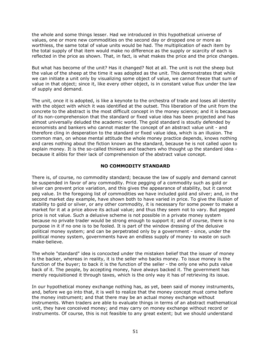the whole and some things lesser. Had we introduced in this hypothetical universe of values, one or more new commodities on the second day or dropped one or more as worthless, the same total of value units would be had. The multiplication of each item by the total supply of that item would make no difference as the supply or scarcity of each is reflected in the price as shown. That, in fact, is what makes the price and the price changes.

But what has become of the unit? Has it changed? Not at all. The unit is not the sheep but the value of the sheep at the time it was adopted as the unit. This demonstrates that while we can initiate a unit only by visualizing some object of value, we cannot freeze that sum of value in that object; since it, like every other object, is in constant value flux under the law of supply and demand.

The unit, once it is adopted, is like a keynote to the orchestra of trade and loses all identity with the object with which it was identified at the outset. This liberation of the unit from the concrete to the abstract is the most difficult concept in the money science; and it is because of its non-comprehension that the standard or fixed value idea has been projected and has almost universally deluded the academic world. The gold standard is stoutly defended by economists and bankers who cannot master the concept of an abstract value unit - and therefore cling in desperation to the standard or fixed value idea, which is an illusion. The common man, on whose mental attitude the whole money practice depends, knows nothing and cares nothing about the fiction known as the standard, because he is not called upon to explain money. It is the so-called thinkers and teachers who thought up the standard idea because it alibis for their lack of comprehension of the abstract value concept.

## NO COMMODITY STANDARD

There is, of course, no commodity standard; because the law of supply and demand cannot be suspended in favor of any commodity. Price pegging of a commodity such as gold or silver can prevent price variation, and this gives the appearance of stability, but it cannot peg value. In the foregoing list of commodities we have included gold and silver; and, in the second market day example, have shown both to have varied in price. To give the illusion of stability to gold or silver, or any other commodity, it is necessary for some power to make a market for it at a price above its actual value; and thus they seem not to vary. But pegged price is not value. Such a delusive scheme is not possible in a private money system because no private trader would be strong enough to support it; and of course, there is no purpose in it if no one is to be fooled. It is part of the window dressing of the delusive political money system; and can be perpetrated only by a government - since, under the political money system, governments have an endless supply of money to waste on such make-believe.

The whole "standard" idea is concocted under the mistaken belief that the issuer of money is the backer, whereas in reality, it is the seller who backs money. To issue money is the function of the buyer; to back it is the function of the seller - the only one who puts value back of it. The people, by accepting money, have always backed it. The government has merely requisitioned it through taxes, which is the only way it has of retrieving its issue.

In our hypothetical money exchange nothing has, as yet, been said of money instruments, and, before we go into that, it is well to realize that the money concept must come before the money instrument; and that there may be an actual money exchange without instruments. When traders are able to evaluate things in terms of an abstract mathematical unit, they have conceived money; and may carry on money exchange without record or instruments. Of course, this is not feasible to any great extent; but we should understand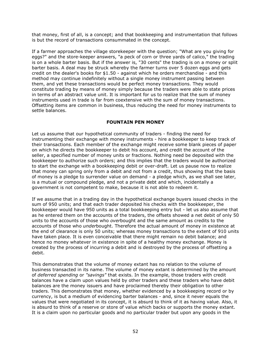that money, first of all, is a concept; and that bookkeeping and instrumentation that follows is but the record of transactions consummated in the concept.

If a farmer approaches the village storekeeper with the question; "What are you giving for eggs?" and the store-keeper answers, "a peck of corn or three yards of calico," the trading is on a whole barter basis. But if the answer is, "30 cents" the trading is on a money or split barter basis. A deal may be struck whereby the farmer turns over 5 dozen eggs and gets credit on the dealer's books for \$1.50 - against which he orders merchandise - and this method may continue indefinitely without a single money instrument passing between them, and yet these transactions would be perfect money transactions. They would constitute trading by means of money simply because the traders were able to state prices in terms of an abstract value unit. It is important for us to realize that the sum of money instruments used in trade is far from coextensive with the sum of money transactions. Offsetting items are common in business, thus reducing the need for money instruments to settle balances.

## FOUNTAIN PEN MONEY

Let us assume that our hypothetical community of traders - finding the need for instrumenting their exchange with money instruments - hire a bookkeeper to keep track of their transactions. Each member of the exchange might receive some blank pieces of paper on which he directs the bookkeeper to debit his account, and credit the account of the seller, a specified number of money units or fractions. Nothing need be deposited with the bookkeeper to authorize such orders; and this implies that the traders would be authorized to start the exchange with a bookkeeping debit or over-draft. Let us pause now to realize that money can spring only from a debit and not from a credit, thus showing that the basis of money is a pledge to surrender value on demand - a pledge which, as we shall see later, is a mutual or compound pledge, and not a private debt and which, incidentally a government is not competent to make, because it is not able to redeem it.

If we assume that in a trading day in the hypothetical exchange buyers issued checks in the sum of 950 units; and that each trader deposited his checks with the bookkeeper, the bookkeeper would have 950 units as a total bookkeeping entry but - let us also assume that as he entered them on the accounts of the traders, the offsets showed a net debit of only 50 units to the accounts of those who overbought and the same amount as credits to the accounts of those who *under*bought. Therefore the actual amount of money in existence at the end of clearance is only 50 units; whereas money transactions to the extent of 910 units have taken place. It is even conceivable that there might remain no debit balance; and hence no money whatever in existence in spite of a healthy money exchange. Money is created by the process of incurring a debit and is destroyed by the process of offsetting a debit.

This demonstrates that the volume of money extant has no relation to the volume of business transacted in its name. The volume of money extant is determined by the amount of deferred spending or "savings" that exists. In the example, those traders with credit balances have a claim upon values held by other traders and these traders who have debit balances are the money issuers and have proclaimed thereby their obligation to other traders. This demonstrates that money, whether evidenced by a bookkeeping record or by currency, is but a medium of evidencing barter balances - and, since it never equals the values that were negotiated in its concept, it is absurd to think of it as having value. Also, it is absurd to think of a reserve or store of value which backs or supports the money extant. It is a claim upon no particular goods and no particular trader but upon any goods in the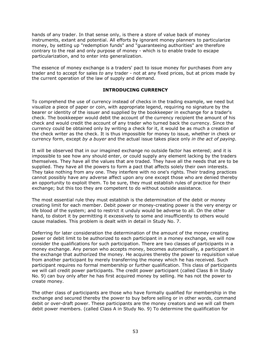hands of any trader. In that sense only, is there a store of value back of money instruments, extant and potential. All efforts by ignorant money planners to particularize money, by setting up "redemption funds" and "guaranteeing authorities" are therefore contrary to the real and only purpose of money - which is to enable trade to escape particularization, and to enter into generalization.

The essence of money exchange is a traders' pact to issue money for purchases from any trader and to accept for sales to any trader - not at any fixed prices, but at prices made by the current operation of the law of supply and demand.

## INTRODUCING CURRENCY

To comprehend the use of currency instead of checks in the trading example, we need but visualize a piece of paper or coin, with appropriate legend, requiring no signature by the bearer or identity of the issuer and supplied by the bookkeeper in exchange for a trader's check. The bookkeeper would debit the account of the currency recipient the amount of his check and would credit the account of any trader who turned back the currency. Since the currency could be obtained only by writing a check for it, it would be as much a creation of the check writer as the check. It is thus impossible for money to issue, whether in check or currency form, except by a buyer and the actual issue takes place only in the act of paying.

It will be observed that in our imagined exchange no outside factor has entered; and it is impossible to see how any should enter, or could supply any element lacking by the traders themselves. They have all the values that are traded. They have all the needs that are to be supplied. They have all the powers to form a pact that affects solely their own interests. They take nothing from any one. They interfere with no one's rights. Their trading practices cannot possibly have any adverse affect upon any one except those who are denied thereby an opportunity to exploit them. To be sure, they must establish rules of practice for their exchange; but this too they are competent to do without outside assistance.

The most essential rule they must establish is the determination of the debit or money creating limit for each member. Debit power or money-creating power is the very energy or life blood of the system; and to restrict it unduly would be adverse to all. On the other hand, to distort it by permitting it excessively to some and insufficiently to others would cause maladies. This problem is dealt with in detail in Study No. 7.

Deferring for later consideration the determination of the amount of the money creating power or debit limit to be authorized to each participant in a money exchange, we will now consider the qualifications for such participation. There are two classes of participants in a money exchange. Any person who accepts money, becomes automatically, a participant in the exchange that authorized the money. He acquires thereby the power to requisition value from another participant by merely transferring the money which he has received. Such participant requires no formal membership or further qualification. This class of participants we will call credit power participants. The credit power participant (called Class B in Study No. 9) can buy only after he has first acquired money by selling. He has not the power to create money.

The other class of participants are those who have formally qualified for membership in the exchange and secured thereby the power to buy before selling or in other words, command debit or over-draft power. These participants are the money creators and we will call them debit power members. (called Class A in Study No. 9) To determine the qualification for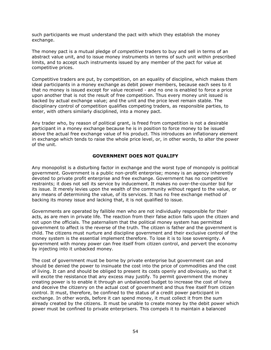such participants we must understand the pact with which they establish the money exchange.

The money pact is a mutual pledge of *competitive* traders to buy and sell in terms of an abstract value unit, and to issue money instruments in terms of such unit within prescribed limits, and to accept such instruments issued by any member of the pact for value at competitive prices.

Competitive traders are put, by competition, on an equality of discipline, which makes them ideal participants in a money exchange as debit power members, because each sees to it that no money is issued except for value received - and no one is enabled to force a price upon another that is not the result of free competition. Thus every money unit issued is backed by actual exchange value; and the unit and the price level remain stable. The disciplinary control of competition qualifies competing traders, as responsible parties, to enter, with others similarly disciplined, into a money pact.

Any trader who, by reason of political grant, is freed from competition is not a desirable participant in a money exchange because he is in position to force money to be issued above the actual free exchange value of his product. This introduces an inflationary element in exchange which tends to raise the whole price level, or, in other words, to alter the power of the unit.

## GOVERNMENT DOES NOT QUALIFY

Any monopolist is a disturbing factor in exchange and the worst type of monopoly is political government. Government is a public non-profit enterprise; money is an agency inherently devoted to private profit enterprise and free exchange. Government has no competitive restraints; it does not sell its service by inducement. It makes no over-the-counter bid for its issue. It merely levies upon the wealth of the community without regard to the value, or any means of determining the value, of its services. It has no free exchange method of backing its money issue and lacking that, it is not qualified to issue.

Governments are operated by fallible men who are not individually responsible for their acts, as are men in private life. The reaction from their false action falls upon the citizen and not upon the officials. The paternalism that the political money system has permitted government to affect is the reverse of the truth. The citizen is father and the government is child. The citizens must nurture and discipline government and their exclusive control of the money system is the essential implement therefore. To lose it is to lose sovereignty. A government with money power can free itself from citizen control, and pervert the economy by injecting into it unbacked money.

The cost of government must be borne by private enterprise but government can and should be denied the power to insinuate the cost into the price of commodities and the cost of living. It can and should be obliged to present its costs openly and obviously, so that it will excite the resistance that any excess may justify. To permit government the money creating power is to enable it through an unbalanced budget to increase the cost of living and deceive the citizenry on the actual cost of government and thus free itself from citizen control. It must, therefore, be confined to the status of a credit power participant in exchange. In other words, before it can spend money, it must collect it from the sum already created by the citizens. It must be unable to create money by the debit power which power must be confined to private enterprisers. This compels it to maintain a balanced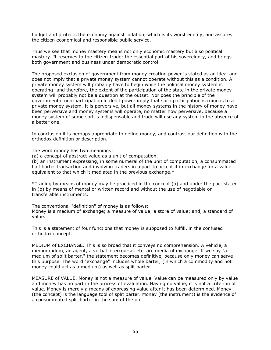budget and protects the economy against inflation, which is its worst enemy, and assures the citizen economical and responsible public service.

Thus we see that money mastery means not only economic mastery but also political mastery. It reserves to the citizen-trader the essential part of his sovereignty, and brings both government and business under democratic control.

The proposed exclusion of government from money creating power is stated as an ideal and does not imply that a private money system cannot operate without this as a condition. A private money system will probably have to begin while the political money system is operating; and therefore, the extent of the participation of the state in the private money system will probably not be a question at the outset. Nor does the principle of the governmental non-participation in debit power imply that such participation is ruinous to a private money system. It is perversive, but all money systems in the history of money have been perversive and money systems will operate, no matter how perversive, because a money system of some sort is indispensable and trade will use any system in the absence of a better one.

In conclusion it is perhaps appropriate to define money, and contrast our definition with the orthodox definition or description.

The word money has two meanings:

(a) a concept of abstract value as a unit of computation.

(b) an instrument expressing, in some numeral of the unit of computation, a consummated half barter transaction and involving traders in a pact to accept it in exchange for a value equivalent to that which it mediated in the previous exchange.\*

\*Trading by means of money may be practiced in the concept (a) and under the pact stated in (b) by means of mental or written record and without the use of negotiable or transferable instruments.

The conventional "definition" of money is as follows: Money is a medium of exchange; a measure of value; a store of value; and, a standard of value.

This is a statement of four functions that money is supposed to fulfill, in the confused orthodox concept.

MEDIUM of EXCHANGE. This is so broad that it conveys no comprehension. A vehicle, a memorandum, an agent, a verbal intercourse, etc. are media of exchange. If we say "a medium of split barter," the statement becomes definitive, because only money can serve this purpose. The word "exchange" includes whole barter, (in which a commodity and not money could act as a medium) as well as split barter.

MEASURE of VALUE. Money is not a measure of value. Value can be measured only by value and money has no part in the process of evaluation. Having no value, it is not a criterion of value. Money is merely a means of expressing value after it has been determined. Money (the concept) is the language tool of split barter. Money (the instrument) is the evidence of a consummated split barter in the sum of the unit.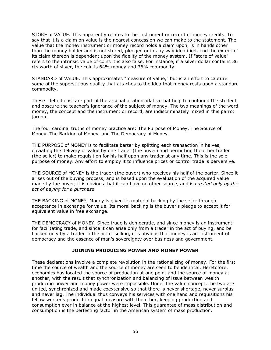STORE of VALUE. This apparently relates to the instrument or record of money credits. To say that it is a claim on value is the nearest concession we can make to the statement. The value that the money instrument or money record holds a claim upon, is in hands other than the money holder and is not stored, pledged or in any way identified, end the extent of its claim thereon is dependent upon the fidelity of the money system. If "store of value" refers to the intrinsic value of coins it is also false. For instance, if a silver dollar contains 36 cts worth of silver, the coin is 64% money and 36% commodity.

STANDARD of VALUE. This approximates "measure of value," but is an effort to capture some of the superstitious quality that attaches to the idea that money rests upon a standard commodity.

These "definitions" are part of the arsenal of abracadabra that help to confound the student and obscure the teacher's ignorance of the subject of money. The two meanings of the word money, the concept and the instrument or record, are indiscriminately mixed in this parrot jargon.

The four cardinal truths of money practice are: The Purpose of Money, The Source of Money, The Backing of Money, and The Democracy of Money.

THE PURPOSE of MONEY is to facilitate barter by splitting each transaction in halves, obviating the delivery of value by one trader (the buyer) and permitting the other trader (the seller) to make requisition for his half upon any trader at any time. This is the sole purpose of money. Any effort to employ it to influence prices or control trade is perversive.

THE SOURCE of MONEY is the trader (the buyer) who receives his half of the barter. Since it arises out of the buying process, and is based upon the evaluation of the acquired value made by the buyer, it is obvious that it can have no other source, and is *created only by the* act of paying for a purchase.

THE BACKING of MONEY. Money is given its material backing by the seller through acceptance in exchange for value. Its moral backing is the buyer's pledge to accept it for equivalent value in free exchange.

THE DEMOCRACY of MONEY. Since trade is democratic, and since money is an instrument for facilitating trade, and since it can arise only from a trader in the act of buying, and be backed only by a trader in the act of selling, it is obvious that money is an instrument of democracy and the essence of man's sovereignty over business and government.

# JOINING PRODUCING POWER AND MONEY POWER

These declarations involve a complete revolution in the rationalizing of money. For the first time the source of wealth and the source of money are seen to be identical. Heretofore, economics has located the source of production at one point and the source of money at another, with the result that synchronization and balancing of issue between wealth producing power and money power were impossible. Under the valun concept, the two are united, synchronized and made coextensive so that there is never shortage, never surplus and never lag. The individual thus conveys his services with one hand and requisitions his fellow worker's product in equal measure with the other, keeping production and consumption ever in balance at the highest level. This guarantee of mass distribution and consumption is the perfecting factor in the American system of mass production.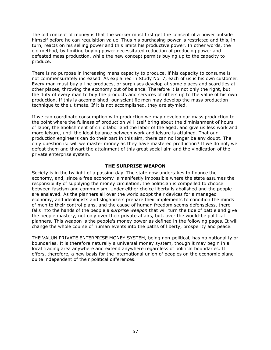The old concept of money is that the worker must first get the consent of a power outside himself before he can requisition value. Thus his purchasing power is restricted and this, in turn, reacts on his selling power and this limits his productive power. In other words, the old method, by limiting buying power necessitated reduction of producing power and defeated mass production, while the new concept permits buying up to the capacity to produce.

There is no purpose in increasing mans capacity to produce, if his capacity to consume is not commensurately increased. As explained in Study No. 7, each of us is his own customer. Every man must buy all he produces, or surpluses develop at some places and scarcities at other places, throwing the economy out of balance. Therefore it is not only the right, but the duty of every man to buy the products and services of others up to the value of his own production. If this is accomplished, our scientific men may develop the mass production technique to the ultimate. If it is not accomplished, they are stymied.

If we can coordinate consumption with production we may develop our mass production to the point where the fullness of production will itself bring about the diminishment of hours of labor, the abolishment of child labor and the labor of the aged, and give us less work and more leisure, until the ideal balance between work and leisure is attained. That our production engineers can do their part in this aim, there can no longer be any doubt. The only question is: will we master money as they have mastered production? If we do not, we defeat them and thwart the attainment of this great social aim and the vindication of the private enterprise system.

## THE SURPRISE WEAPON

Society is in the twilight of a passing day. The state now undertakes to finance the economy, and, since a free economy is manifestly impossible where the state assumes the responsibility of supplying the money circulation, the politician is compelled to choose between fascism and communism. Under either choice liberty is abolished and the people are enslaved. As the planners all over the world adopt their devices for a managed economy, and ideologists and sloganizers prepare their implements to condition the minds of men to their control plans, and the cause of human freedom seems defenseless, there falls into the hands of the people a *surprise weapon* that will turn the tide of battle and give the people mastery, not only over their private affairs, but, over the would-be political planners. This weapon is the people's money power as defined in the following pages. It will change the whole course of human events into the paths of liberty, prosperity and peace.

THE VALUN PRIVATE ENTERPRISE MONEY SYSTEM, being non-political, has no nationality or boundaries. It is therefore naturally a universal money system, though it may begin in a local trading area anywhere and extend anywhere regardless of political boundaries. It offers, therefore, a new basis for the international union of peoples on the economic plane quite independent of their political differences.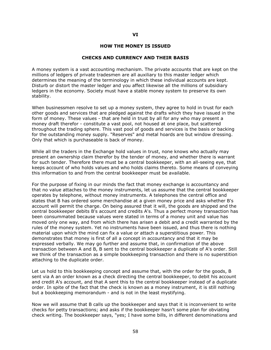### VI

#### HOW THE MONEY IS ISSUED

#### CHECKS AND CURRENCY AND THEIR BASIS

A money system is a vast accounting mechanism. The private accounts that are kept on the millions of ledgers of private tradesmen are all auxiliary to this master ledger which determines the meaning of the terminology in which these individual accounts are kept. Disturb or distort the master ledger and you affect likewise all the millions of subsidiary ledgers in the economy. Society must have a stable money system to preserve its own stability.

When businessmen resolve to set up a money system, they agree to hold in trust for each other goods and services that are pledged against the drafts which they have issued in the form of money. These values - that are held in trust by all for any who may present a money draft therefor - constitute a vast pool, not housed at one place, but scattered throughout the trading sphere. This vast pool of goods and services is the basis or backing for the outstanding money supply. "Reserves" and metal hoards are but window dressing. Only that which is purchaseable is back of money.

While all the traders in the Exchange hold values in trust, none knows who actually may present an ownership claim therefor by the tender of money, and whether there is warrant for such tender. Therefore there must be a central bookkeeper, with an all-seeing eye, that keeps account of who holds values and who holds claims thereto. Some means of conveying this information to and from the central bookkeeper must be available.

For the purpose of fixing in our minds the fact that money exchange is accountancy and that no value attaches to the money instruments, let us assume that the central bookkeeper operates by telephone, without money instruments. A telephones the central office and states that B has ordered some merchandise at a given money price and asks whether B's account will permit the charge. On being assured that it will, the goods are shipped and the central bookkeeper debits B's account and credits A's. Thus a perfect money transaction has been consummated because values were stated in terms of a money unit and value has moved only one way, and from which there has arisen a debit and a credit warranted by the rules of the money system. Yet no instruments have been issued, and thus there is nothing material upon which the mind can fix a value or attach a superstitious power. This demonstrates that money is first of all a concept in accountancy and that it may be expressed verbally. We may go further and assume that, in confirmation of the above transaction between A and B, B sent to the central bookkeeper a duplicate of A's order. Still we think of the transaction as a simple bookkeeping transaction and there is no superstition attaching to the duplicate order.

Let us hold to this bookkeeping concept and assume that, with the order for the goods, B sent via A an order known as a check directing the central bookkeeper, to debit his account and credit A's account, and that A sent this to the central bookkeeper instead of a duplicate order. In spite of the fact that the check is known as a money instrument, it is still nothing but a bookkeeping memorandum - and is not in the least mystifying.

Now we will assume that B calls up the bookkeeper and says that it is inconvenient to write checks for petty transactions; and asks if the bookkeeper hasn't some plan for obviating check writing. The bookkeeper says, "yes; I have some bills, in different denominations and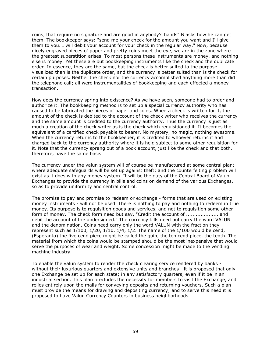coins, that require no signature and are good in anybody's hands" B asks how he can get them. The bookkeeper says: "send me your check for the amount you want and I'll give them to you. I will debit your account for your check in the regular way." Now, because nicely engraved pieces of paper and pretty coins meet the eye, we are in the zone where the greatest superstition arises. To most persons these instruments are money, and nothing else is money. Yet these are but bookkeeping instruments like the check and the duplicate order. In essence, they are the same, but the check is better suited to the purpose visualized than is the duplicate order, and the currency is better suited than is the check for certain purposes. Neither the check nor the currency accomplished anything more than did the telephone call; all were instrumentalities of bookkeeping and each effected a money transaction.

How does the currency spring into existence? As we have seen, someone had to order and authorize it. The bookkeeping method is to set up a special currency authority who has caused to be fabricated the pieces of paper and coins. When a check is written for it, the amount of the check is debited to the account of the check writer who receives the currency and the same amount is credited to the currency authority. Thus the currency is just as much a creation of the check writer as is the check which requisitioned it. It becomes the equivalent of a certified check payable to bearer. No mystery, no magic, nothing awesome. When the currency returns to the bookkeeper, it is credited to whoever returns it and charged back to the currency authority where it is held subject to some other requisition for it. Note that the currency sprang out of a book account, just like the check and that both, therefore, have the same basis.

The currency under the valun system will of course be manufactured at some central plant where adequate safeguards will be set up against theft; and the counterfeiting problem will exist as it does with any money system. It will be the duty of the Central Board of Valun Exchanges to provide the currency in bills and coins on demand of the various Exchanges, so as to provide uniformity and central control.

The promise to pay and promise to redeem or exchange - forms that are used on existing money instruments - will not be used. There is nothing to pay and nothing to redeem in true money. Its purpose is to requisition goods and services, and not to requisition some other form of money. The check form need but say, "Credit the account of ...................... and debit the account of the undersigned." The currency bills need but carry the word VALUN and the denomination. Coins need carry only the word VALUN with the fraction they represent such as  $1/100$ ,  $1/20$ ,  $1/10$ ,  $1/4$ ,  $1/2$ . The name of the  $1/100$  would be cend, (Esperanto) the five cend piece might be called the quin, the ten cend piece, the tenth. The material from which the coins would be stamped should be the most inexpensive that would serve the purposes of wear and weight. Some concession might be made to the vending machine industry.

To enable the valun system to render the check clearing service rendered by banks without their luxurious quarters and extensive units and branches - it is proposed that only one Exchange be set up for each state; in any satisfactory quarters, even if it be in an industrial section. This plan precludes the necessity for members to visit the Exchange, and relies entirely upon the mails for conveying deposits and returning vouchers. Such a plan must provide the means for drawing and depositing currency; and to serve this need it is proposed to have Valun Currency Counters in business neighborhoods.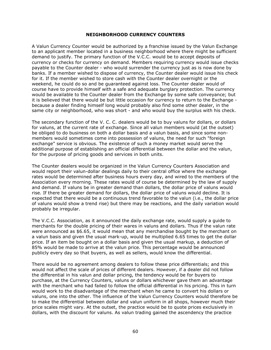### NEIGHBORHOOD CURRENCY COUNTERS

A Valun Currency Counter would be authorized by a franchise issued by the Valun Exchange to an applicant member located in a business neighborhood where there might be sufficient demand to justify. The primary function of the V.C.C. would be to accept deposits of currency or checks for currency on demand. Members requiring currency would issue checks payable to the Counter dealer - who would surrender the currency just as is now done by banks. If a member wished to dispose of currency, the Counter dealer would issue his check for it. If the member wished to store cash with the Counter dealer overnight or the weekend, he could do so and be guaranteed against loss. The Counter dealer would of course have to provide himself with a safe and adequate burglary protection. The currency would be available to the Counter dealer from the Exchange by some safe conveyance; but it is believed that there would be but little occasion for currency to return to the Exchange because a dealer finding himself long would probably also find some other dealer, in the same city or neighborhood, who was short - and who would buy the surplus with his check.

The secondary function of the V. C. C. dealers would be to buy valuns for dollars, or dollars for valuns, at the current rate of exchange. Since all valun members would (at the outset) be obliged to do business on both a dollar basis and a valun basis, and since some nonmembers would sometimes come into possession of valuns, the need for such "foreign exchange" service is obvious. The existence of such a money market would serve the additional purpose of establishing an official differential between the dollar and the valun, for the purpose of pricing goods and services in both units.

The Counter dealers would be organized in the Valun Currency Counters Association and would report their valun-dollar dealings daily to their central office where the exchange rates would be determined after business hours every day, and wired to the members of the Association every morning. These rates would of course be determined by the law of supply and demand. If valuns be in greater demand than dollars, the dollar price of valuns would rise. If there be greater demand for dollars, the dollar price of valuns would decline. It is expected that there would be a continuous trend favorable to the valun (i.e., the dollar price of valuns would show a trend rise) but there may be reactions, and the daily variation would probably be irregular.

The V.C.C. Association, as it announced the daily exchange rate, would supply a guide to merchants for the double pricing of their wares in valuns and dollars. Thus if the valun rate were announced as \$6.65, it would mean that any merchandise bought by the merchant on a valun basis and given the usual mark-up, would be multiplied 6.65 times to get the dollar price. If an item be bought on a dollar basis and given the usual markup, a deduction of 85% would be made to arrive at the valun price. This percentage would be announced publicly every day so that buyers, as well as sellers, would know the differential.

There would be no agreement among dealers to follow these price differentials; and this would not affect the scale of prices of different dealers. However, if a dealer did not follow the differential in his valun and dollar pricing, the tendency would be for buyers to purchase, at the Currency Counters, valuns or dollars whichever gave them an advantage with the merchant who had failed to follow the official differential in his pricing. This in turn would work to the disadvantage of the merchant when he came to convert his dollars or valuns, one into the other. The influence of the Valun Currency Counters would therefore be to make the differential between dollar and valun uniform in all shops, however much their price scales might vary. At the outset, the practice would be to quote prices exclusively in dollars, with the discount for valuns. As valun trading gained the ascendency the practice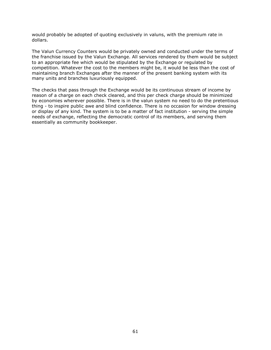would probably be adopted of quoting exclusively in valuns, with the premium rate in dollars.

The Valun Currency Counters would be privately owned and conducted under the terms of the franchise issued by the Valun Exchange. All services rendered by them would be subject to an appropriate fee which would be stipulated by the Exchange or regulated by competition. Whatever the cost to the members might be, it would be less than the cost of maintaining branch Exchanges after the manner of the present banking system with its many units and branches luxuriously equipped.

The checks that pass through the Exchange would be its continuous stream of income by reason of a charge on each check cleared, and this per check charge should be minimized by economies wherever possible. There is in the valun system no need to do the pretentious thing - to inspire public awe and blind confidence. There is no occasion for window dressing or display of any kind. The system is to be a matter of fact institution - serving the simple needs of exchange, reflecting the democratic control of its members, and serving them essentially as community bookkeeper.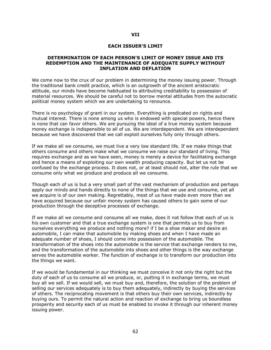## VII

#### EACH ISSUER'S LIMIT

### DETERMINATION OF EACH PERSON'S LIMIT OF MONEY ISSUE AND ITS REDEMPTION AND THE MAINTENANCE OF ADEQUATE SUPPLY WITHOUT INFLATION AND DEFLATION

We come now to the crux of our problem in determining the money issuing power. Through the traditional bank credit practice, which is an outgrowth of the ancient aristocratic attitude, our minds have become habituated to attributing creditability to possession of material resources. We should be careful not to borrow mental attitudes from the autocratic political money system which we are undertaking to renounce.

There is no psychology of grant in our system. Everything is predicated on rights and mutual interest. There is none among us who is endowed with special powers, hence there is none that can favor others. We are pursuing the ideal of a true money system because money exchange is indispensible to all of us. We are interdependent. We are interdependent because we have discovered that we call exploit ourselves fully only through others.

If we make all we consume, we must live a very low standard life. If we make things that others consume and others make what we consume we raise our standard of living. This requires exchange and as we have seen, money is merely a device for facilitating exchange and hence a means of exploiting our own wealth producing capacity. But let us not be confused by the exchange process. It does not, or at least should not, alter the rule that we consume only what we produce and produce all we consume.

Though each of us is but a very small part of the vast mechanism of production and perhaps apply our minds and hands directly to none of the things that we use and consume, yet all we acquire is of our own making. Regrettably, most of us have made even more than we have acquired because our unfair money system has caused others to gain some of our production through the deceptive processes of exchange.

If we make all we consume and consume all we make, does it not follow that each of us is his own customer and that a true exchange system is one that permits us to buy from ourselves everything we produce and nothing more? if I be a shoe maker and desire an automobile, I can make that automobile by making shoes and when I have made an adequate number of shoes, I should come into possession of the automobile. The transformation of the shoes into the automobile is the service that exchange renders to me, and the transformation of the automobile into shoes and other things is the way exchange serves the automobile worker. The function of exchange is to transform our production into the things we want.

If we would be fundamental in our thinking we must conceive it not only the right but the duty of each of us to consume all we produce, or, putting it in exchange terms, we must buy all we sell. If we would sell, we must buy and, therefore, the solution of the problem of selling our services adequately is to buy them adequately, indirectly by buying the services of others. The reciprocating movement is that others buy their own services, indirectly by buying ours. To permit the natural action and reaction of exchange to bring us boundless prosperity and security each of us must be enabled to invoke it through our inherent money issuing power.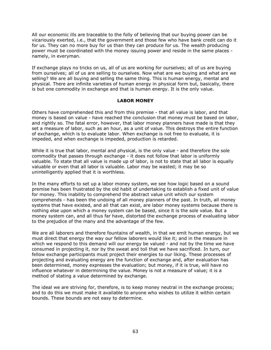All our economic ills are traceable to the folly of believing that our buying power can be vicariously exerted, i.e., that the government and those few who have bank credit can do it for us. They can no more buy for us than they can produce for us. The wealth producing power must be coordinated with the money issuing power and reside in the same places namely, in everyman.

If exchange plays no tricks on us, all of us are working for ourselves; all of us are buying from ourselves; all of us are selling to ourselves. Now what are we buying and what are we selling? We are all buying and selling the same thing. This is human energy, mental and physical. There are infinite varieties of human energy in physical form but, basically, there is but one commodity in exchange and that is human energy. It is the only value.

## LABOR MONEY

Others have comprehended this and from this premise - that all value is labor, and that money is based on value - have reached the conclusion that money must be based on labor, and rightly so. The fatal error, however, that labor money planners have made is that they set a measure of labor, such as an hour, as a unit of value. This destroys the entire function of exchange, which is to evaluate labor. When exchange is not free to evaluate, it is impeded, and when exchange is impeded, production is retarded.

While it is true that labor, mental and physical, is the only value - and therefore the sole commodity that passes through exchange - it does not follow that labor is uniformly valuable. To state that all value is made up of labor, is not to state that all labor is equally valuable or even that all labor is valuable. Labor may be wasted; it may be so unintelligently applied that it is worthless.

In the many efforts to set up a labor money system, we see how logic based on a sound premise has been frustrated by the old habit of undertaking to establish a fixed unit of value for money. This inability to comprehend the abstract value unit which our system comprehends - has been the undoing of all money planners of the past. In truth, all money systems that have existed, and all that can exist, are labor money systems because there is nothing else upon which a money system can be based, since it is the sole value. But a money system can, and all thus far have, distorted the exchange process of evaluating labor to the prejudice of the many and the advantage of the few.

We are all laborers and therefore fountains of wealth, in that we emit human energy, but we must direct that energy the way our fellow laborers would like it; and in the measure in which we respond to this demand will our energy be valued - and not by the time we have consumed in projecting it, nor by the sweat and toil that we have sacrificed. In turn, our fellow exchange participants must project their energies to our liking. These processes of projecting and evaluating energy are the function of exchange and, after evaluation has been determined, money expresses the evaluation; but money, if it is true, will have no influence whatever in determining the value. Money is not a measure of value; it is a method of stating a value determined by exchange.

The ideal we are striving for, therefore, is to keep money neutral in the exchange process; and to do this we must make it available to anyone who wishes to utilize it within certain bounds. These bounds are not easy to determine.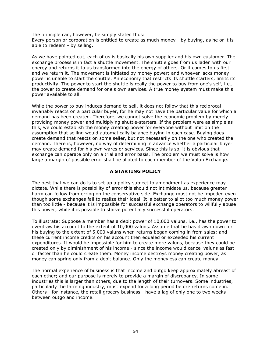The principle can, however, be simply stated thus: Every person or corporation is entitled to create as much money - by buying, as he or it is able to redeem - by selling.

As we have pointed out, each of us is basically his own supplier and his own customer. The exchange process is in fact a shuttle movement. The shuttle goes from us laden with our energy and returns it to us transformed into the energy of others. Or it comes to us first and we return it. The movement is initiated by money power; and whoever lacks money power is unable to start the shuttle. An economy that restricts its shuttle starters, limits its productivity. The power to start the shuttle is really the power to buy from one's self, i.e., the power to create demand for one's own services. A true money system must make this power available to all.

While the power to buy induces demand to sell, it does not follow that this reciprocal invariably reacts on a particular buyer, for he may not have the particular value for which a demand has been created. Therefore, we cannot solve the economic problem by merely providing money power and multiplying shuttle-starters. If the problem were as simple as this, we could establish the money creating power for everyone without limit on the assumption that selling would automatically balance buying in each case. Buying does create demand that reacts on some seller, but not necessarily on the one who created the demand. There is, however, no way of determining in advance whether a particular buyer may create demand for his own wares or services. Since this is so, it is obvious that exchange can operate only on a trial and error basis. The problem we must solve is how large a margin of possible error shall be alloted to each member of the Valun Exchange.

# A STARTING POLICY

The best that we can do is to set up a policy subject to amendment as experience may dictate. While there is possibility of error this should not intimidate us, because greater harm can follow from erring on the conservative side. Exchange must not be impeded even though some exchanges fail to realize their ideal. It is better to allot too much money power than too little - because it is impossible for successful exchange operators to willfully abuse this power; while it is possible to starve potentially successful operators.

To illustrate: Suppose a member has a debit power of 10,000 valuns, i.e., has the power to overdraw his account to the extent of 10,000 valuns. Assume that he has drawn down for his buying to the extent of 5,000 valuns when returns began coming in from sales; and these current income credits on his account then equaled or exceeded his current expenditures. It would be impossible for him to create more valuns, because they could be created only by diminishment of his income - since the income would cancel valuns as fast or faster than he could create them. Money income destroys money creating power, as money can spring only from a debit balance. Only the moneyless can create money.

The normal experience of business is that income and outgo keep approximately abreast of each other; and our purpose is merely to provide a margin of discrepancy. In some industries this is larger than others, due to the length of their turnovers. Some industries, particularly the farming industry, must expend for a long period before returns come in. Others - for instance, the retail grocery business - have a lag of only one to two weeks between outgo and income.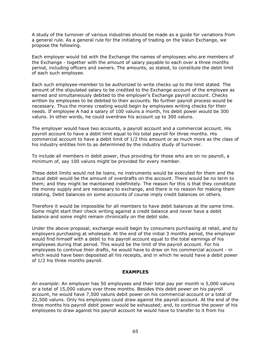A study of the turnover of various industries should be made as a guide for variations from a general rule. As a general rule for the initiating of trading on the Valun Exchange, we propose the following.

Each employer would list with the Exchange the names of employees who are members of the Exchange - together with the amount of salary payable to each over a three months period, including officers and owners. The amounts, so stated, to constitute the debit limit of each such employee.

Each such employee-member to be authorized to write checks up to the limit stated. The amount of the stipulated salary to be credited to the Exchange account of the employee as earned and simultaneously debited to the employer's Exchange payroll account. Checks written by employees to be debited to their accounts. No further payroll process would be necessary. Thus the money creating would begin by employees writing checks for their needs. If employee A had a salary of 100 valuns a month, his debit power would be 300 valuns. In other words, he could overdraw his account up to 300 valuns.

The employer would have two accounts, a payroll account and a commercial account. His payroll account to have a debit limit equal to his total payroll for three months. His commercial account to have a debit limit of 1/2 this amount or as much more as the class of his industry entitles him to as determined by the industry study of turnover.

To include all members in debit power, thus providing for those who are on no payroll, a minimum of, say 100 valuns might be provided for every member.

These debit limits would not be loans, no instruments would be executed for them and the actual debit would be the amount of overdrafts on the account. There would be no term to them; and they might be maintained indefinitely. The reason for this is that they constitute the money supply and are necessary to exchange, and there is no reason for making them rotating. Debit balances on some accounts of course imply credit balances on others.

Therefore it would be impossible for all members to have debit balances at the same time. Some might start their check writing against a credit balance and never have a debit balance and some might remain chronically on the debit side.

Under the above proposal, exchange would begin by consumers purchasing at retail, and by employers purchasing at wholesale. At the end of the initial 3 months period, the employer would find himself with a debit to his payroll account equal to the total earnings of his employees during that period. This would be the limit of the payroll account. For his employees to continue their drafts, he would have to draw on his commercial account - in which would have been deposited all his receipts, and in which he would have a debit power of 1/2 his three months payroll.

## EXAMPLES

An example: An employer has 50 employees and their total pay per month is 5,000 valuns or a total of 15,000 valuns over three months. Besides this debit power on his payroll account, he would have 7,500 valuns debit power on his commercial account or a total of 22,500 valuns. Only his employees could draw against the payroll account. At the end of the three months his payroll debit power would be exhausted; and, to continue the power of his employees to draw against his payroll account he would have to transfer to it from his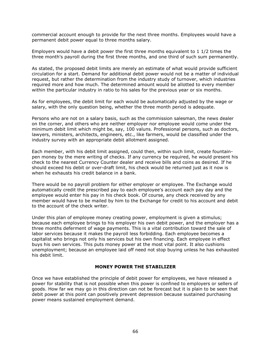commercial account enough to provide for the next three months. Employees would have a permanent debit power equal to three months salary.

Employers would have a debit power the first three months equivalent to 1 1/2 times the three month's payroll during the first three months, and one third of such sum permanently.

As stated, the proposed debit limits are merely an estimate of what would provide sufficient circulation for a start. Demand for additional debit power would not be a matter of individual request, but rather the determination from the industry study of turnover, which industries required more and how much. The determined amount would be allotted to every member within the particular industry in ratio to his sales for the previous year or six months.

As for employees, the debit limit for each would be automatically adjusted by the wage or salary, with the only question being, whether the three month period is adequate.

Persons who are not on a salary basis, such as the commission salesman, the news dealer on the corner, and others who are neither employer nor employee would come under the minimum debit limit which might be, say, 100 valuns. Professional persons, such as doctors, lawyers, ministers, architects, engineers, etc., like farmers, would be classified under the industry survey with an appropriate debit allotment assigned.

Each member, with his debit limit assigned, could then, within such limit, create fountainpen money by the mere writing of checks. If any currency be required, he would present his check to the nearest Currency Counter dealer and receive bills and coins as desired. If he should exceed his debit or over-draft limit, his check would be returned just as it now is when he exhausts his credit balance in a bank.

There would be no payroll problem for either employer or employee. The Exchange would automatically credit the prescribed pay to each employee's account each pay day and the employee would enter his pay in his check book. Of course, any check received by any member would have to be mailed by him to the Exchange for credit to his account and debit to the account of the check writer.

Under this plan of employee money creating power, employment is given a stimulus; because each employee brings to his employer his own debit power, and the employer has a three months deferment of wage payments. This is a vital contribution toward the sale of labor services because it makes the payroll less forbidding. Each employee becomes a capitalist who brings not only his services but his own financing. Each employee in effect buys his own services. This puts money power at the most vital point. It also cushions unemployment; because an employee laid off need not stop buying unless he has exhausted his debit limit.

## MONEY POWER THE STABILIZER

Once we have established the principle of debit power for employees, we have released a power for stability that is not possible when this power is confined to employers or sellers of goods. How far we may go in this direction can not be forecast but it is plain to be seen that debit power at this point can positively prevent depression because sustained purchasing power means sustained employment demand.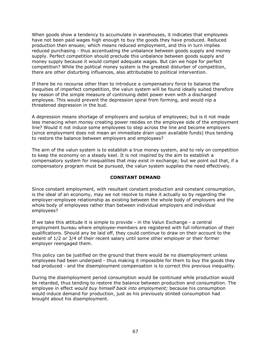When goods show a tendency to accumulate in warehouses, it indicates that employees have not been paid wages high enough to buy the goods they have produced. Reduced production then ensues; which means reduced employment, and this in turn implies reduced purchasing - thus accentuating the unbalance between goods supply and money supply. Perfect competition should preclude this unbalance between goods supply and money supply because it would compel adequate wages. But can we hope for perfect competition? While the political money system is the greatest disturber of competition, there are other disturbing influences, also attributable to political intervention.

If there be no recourse other than to introduce a compensatory force to balance the inequities of imperfect competition, the valun system will be found ideally suited therefore by reason of the simple measure of continuing debit power even with a discharged employee. This would prevent the depression spiral from forming, and would nip a threatened depression in the bud.

A depression means shortage of employers and surplus of employees; but is it not made less menacing when money creating power resides on the employee side of the employment line? Would it not induce some employees to step across the line and become employers (since employment does not mean an immediate drain upon available funds) thus tending to restore the balance between employers and employees?

The aim of the valun system is to establish a true money system, and to rely on competition to keep the economy on a steady keel. It is not inspired by the aim to establish a compensatory system for inequalities that may exist in exchange; but we point out that, if a compensatory program must be pursued, the valun system supplies the need effectively.

# CONSTANT DEMAND

Since constant employment, with resultant constant production and constant consumption, is the ideal of an economy, may we not resolve to make it actually so by regarding the employer-employee relationship as existing between the whole body of employers and the whole body of employees rather than between individual employers and individual employees?

If we take this attitude it is simple to provide - in the Valun Exchange - a central employment bureau where employee-members are registered with full information of their qualifications. Should any be laid off, they could continue to draw on their account to the extent of 1/2 or 3/4 of their recent salary until some other employer or their former employer reengaged them.

This policy can be justified on the ground that there would be no disemployment unless employees had been underpaid - thus making it impossible for them to buy the goods they had produced - and the disemployment compensation is to correct this previous inequality.

During the disemployment period consumption would be continued while production would be retarded, thus tending to restore the balance between production and consumption. The employee in effect would buy himself back into employment; because his consumption would induce demand for production, just as his previously stinted consumption had brought about his disemployment.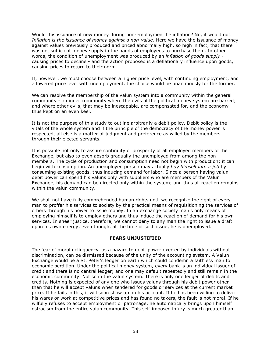Would this issuance of new money during non-employment be inflation? No, it would not. Inflation is the issuance of money against a non-value. Here we have the issuance of money against values previously produced and priced abnormally high, so high in fact, that there was not sufficient money supply in the hands of employees to purchase them. In other words, the condition of unemployment was produced by an *inflation of goods supply* causing prices to decline - and the action proposed is a deflationary influence upon goods, causing prices to return to their norm.

If, however, we must choose between a higher price level, with continuing employment, and a lowered price level with unemployment, the choice would be unanimously for the former.

We can resolve the membership of the valun system into a community within the general community - an inner community where the evils of the political money system are barred; and where other evils, that may be inescapable, are compensated for, and the economy thus kept on an even keel.

It is not the purpose of this study to outline arbitrarily a debit policy. Debit policy is the vitals of the whole system and if the principle of the democracy of the money power is respected, all else is a matter of judgment and preference as willed by the members through their elected servants.

It is possible not only to assure continuity of prosperity of all employed members of the Exchange, but also to even absorb gradually the unemployed from among the nonmembers. The cycle of production and consumption need not begin with production; it can begin with consumption. An unemployed person may actually buy himself into a job by consuming existing goods, thus inducing demand for labor. Since a person having valun debit power can spend his valuns only with suppliers who are members of the Valun Exchange, his demand can be directed only within the system; and thus all reaction remains within the valun community.

We shall not have fully comprehended human rights until we recognize the right of every man to proffer his services to society by the practical means of requisitioning the services of others through his power to issue money. In an exchange society man's only means of employing himself is to employ others and thus induce the reaction of demand for his own services. In sheer justice, therefore, we cannot deny to any man the right to issue a draft upon his own energy, even though, at the time of such issue, he is unemployed.

## FEARS UNJUSTIFIED

The fear of moral delinquency, as a hazard to debit power exerted by individuals without discrimination, can be dismissed because of the unity of the accounting system. A Valun Exchange would be a St. Peter's ledger on earth which could condemn a faithless man to economic perdition. Under the political money system, every bank is an individual issuer of credit and there is no central ledger; and one may default repeatedly and still remain in the economic community. Not so in the valun system. There is only one ledger of debits and credits. Nothing is expected of any one who issues valuns through his debit power other than that he will accept valuns when tendered for goods or services at the current market price. If he fails in this, it will soon show up on his account. If he has been willing to deliver his wares or work at competitive prices and has found no takers, the fault is not moral. If he wilfully refuses to accept employment or patronage, he automatically brings upon himself ostracism from the entire valun community. This self-imposed injury is much greater than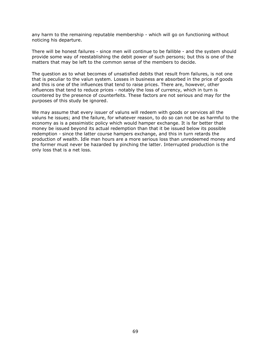any harm to the remaining reputable membership - which will go on functioning without noticing his departure.

There will be honest failures - since men will continue to be fallible - and the system should provide some way of reestablishing the debit power of such persons; but this is one of the matters that may be left to the common sense of the members to decide.

The question as to what becomes of unsatisfied debits that result from failures, is not one that is peculiar to the valun system. Losses in business are absorbed in the price of goods and this is one of the influences that tend to raise prices. There are, however, other influences that tend to reduce prices - notably the loss of currency, which in turn is countered by the presence of counterfeits. These factors are not serious and may for the purposes of this study be ignored.

We may assume that every issuer of valuns will redeem with goods or services all the valuns he issues; and the failure, for whatever reason, to do so can not be as harmful to the economy as is a pessimistic policy which would hamper exchange. It is far better that money be issued beyond its actual redemption than that it be issued below its possible redemption - since the latter course hampers exchange, and this in turn retards the production of wealth. Idle man hours are a more serious loss than unredeemed money and the former must never be hazarded by pinching the latter. Interrupted production is the only loss that is a net loss.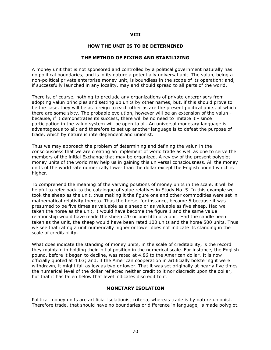### VIII

### HOW THE UNIT IS TO BE DETERMINED

### THE METHOD OF FIXING AND STABILIZING

A money unit that is not sponsored and controlled by a political government naturally has no political boundaries; and is in its nature a potentially universal unit. The valun, being a non-political private enterprise money unit, is boundless in the scope of its operation; and, if successfully launched in any locality, may and should spread to all parts of the world.

There is, of course, nothing to preclude any organizations of private enterprisers from adopting valun principles and setting up units by other names, but, if this should prove to be the case, they will be as foreign to each other as are the present political units, of which there are some sixty. The probable evolution, however will be an extension of the valun because, if it demonstrates its success, there will be no need to imitate it - since participation in the valun system will be open to all. An universal monetary language is advantageous to all; and therefore to set up another language is to defeat the purpose of trade, which by nature is interdependent and unionist.

Thus we may approach the problem of determining and defining the valun in the consciousness that we are creating an implement of world trade as well as one to serve the members of the initial Exchange that may be organized. A review of the present polyglot money units of the world may help us in gaining this universal consciousness. All the money units of the world rate numerically lower than the dollar except the English pound which is higher.

To comprehend the meaning of the varying positions of money units in the scale, it will be helpful to refer back to the catalogue of value relatives in Study No. 5. In this example we took the sheep as the unit, thus making it the figure one and other commodities were set in mathematical relativity thereto. Thus the horse, for instance, became 5 because it was presumed to be five times as valuable as a sheep or as valuable as five sheep. Had we taken the horse as the unit, it would have become the figure 1 and the same value relationship would have made the sheep .20 or one fifth of a unit. Had the candle been taken as the unit, the sheep would have been rated 100 units and the horse 500 units. Thus we see that rating a unit numerically higher or lower does not indicate its standing in the scale of creditability.

What does indicate the standing of money units, in the scale of creditability, is the record they maintain in holding their initial position in the numerical scale. For instance, the English pound, before it began to decline, was rated at 4.86 to the American dollar. It is now officially quoted at 4.03; and, if the American cooperation in artificially bolstering it were withdrawn, it might fall as low as two or lower. That it was set originally at nearly five times the numerical level of the dollar reflected neither credit to it nor discredit upon the dollar, but that it has fallen below that level indicates discredit to it.

### MONETARY ISOLATION

Political money units are artificial isolationist criteria, whereas trade is by nature unionist. Therefore trade, that should have no boundaries or difference in language, is made polyglot.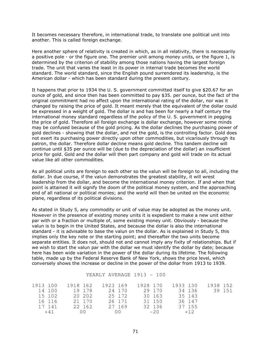It becomes necessary therefore, in international trade, to translate one political unit into another. This is called foreign exchange.

Here another sphere of relativity is created in which, as in all relativity, there is necessarily a positive pole - or the figure one. The premier unit among money units, or the figure 1, is determined by the criterion of stability among those nations having the largest foreign trade. The unit that varies the least in its power in internal trade becomes the world standard. The world standard, since the English pound surrendered its leadership, is the American dollar - which has been standard during the present century.

It happens that prior to 1934 the U. S. government committed itself to give \$20.67 for an ounce of gold, and since then has been committed to pay \$35. per ounce, but the fact of the original commitment had no affect upon the international rating of the dollar, nor was it changed by raising the price of gold. It meant merely that the equivalent of the dollar could be expressed in a weight of gold. The dollar is and has been for nearly a half century the international money standard regardless of the policy of the U. S. government in pegging the price of gold. Therefore all foreign exchange is dollar exchange, however some minds may be confused because of the gold pricing. As the dollar declines the purchasing power of gold declines - showing that the dollar, and not the gold, is the controlling factor. Gold does not exert its purchasing power directly upon other commodities, but vicariously through its patron, the dollar. Therefore dollar decline means gold decline. This tandem decline will continue until \$35 per ounce will be (due to the depreciation of the dollar) an insufficient price for gold. Gold and the dollar will then part company and gold will trade on its actual value like all other commodities.

As all political units are foreign to each other so the valun will be foreign to all, including the dollar. In due course, if the valun demonstrates the greatest stability, it will wrest leadership from the dollar, and become the international money criterion. If and when that point is attained it will signify the doom of the political money system, and the approaching end of all national or political monies; and the world will then be united on the economic plane, regardless of its political divisions.

As stated in Study 5, any commodity or unit of value may be adopted as the money unit. However in the presence of existing money units it is expedient to make a new unit either par with or a fraction or multiple of, some existing money unit. Obviously - because the valun is to begin in the United States, and because the dollar is also the international standard - it is advisable to base the valun on the dollar. As is explained in Study 5, this implies only the key note or the starting point; and thereafter the two units become separate entities. It does not, should not and cannot imply any fixity of relationships. But if we wish to start the valun par with the dollar we must identify the dollar by date; because here has been wide variation in the power of the dollar during its lifetime. The following table, made up by the Federal Reserve Bank of New York, shows the price level, which conversely shows the increase or decline in the power of the dollar from 1913 to 1939.

#### YEARLY AVERAGE 1913 - 100

| 1913 100 |        | 1918 162 |             | 1923 169 |            | 1928 170 |        | 1933 130 |        | 1938 152 |        |
|----------|--------|----------|-------------|----------|------------|----------|--------|----------|--------|----------|--------|
|          | 14 100 |          | 19 178      |          | 24 170     |          | 29 170 |          | 34 136 |          | 39 151 |
|          | 15 102 |          | 20 202      |          | 25 172     |          | 30 163 |          | 35 143 |          |        |
|          | 16 116 |          | 21 170      |          | 26 171     |          | 31 150 |          | 36 147 |          |        |
|          | 17 141 |          | 22 162      |          | 27 169     |          | 32 136 |          | 37 155 |          |        |
|          | $+41$  |          | $(1)$ $(2)$ |          | $( ) \cap$ |          | $-2.0$ |          | $+12$  |          |        |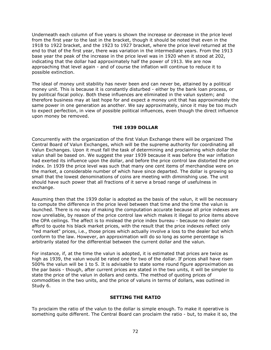Underneath each column of five years is shown the increase or decrease in the price level from the first year to the last in the bracket, though it should be noted that even in the 1918 to 1922 bracket, and the 1923 to 1927 bracket, where the price level returned at the end to that of the first year, there was variation in the intermediate years. From the 1913 base year the peak of the increase in the price level was in 1920 when it stood at 202, indicating that the dollar had approximately half the power of 1913. We are now approaching that level again - and of course the inflation will continue to reduce it to possible extinction.

The ideal of money unit stability has never been and can never be, attained by a political money unit. This is because it is constantly disturbed - either by the bank loan process, or by political fiscal policy. Both these influences are eliminated in the valun system; and therefore business may at last hope for and expect a money unit that has approximately the same power in one generation as another. We say approximately, since it may be too much to expect perfection, in view of possible political influences, even though the direct influence upon money be removed.

# THE 1939 DOLLAR

Concurrently with the organization of the first Valun Exchange there will be organized The Central Board of Valun Exchanges, which will be the supreme authority for coordinating all Valun Exchanges. Upon it must fall the task of determining and proclaiming which dollar the valun shall be based on. We suggest the year 1939 because it was before the war inflation had exerted its influence upon the dollar, and before the price control law distorted the price index. In 1939 the price level was such that many one cent items of merchandise were on the market, a considerable number of which have since departed. The dollar is growing so small that the lowest denominations of coins are meeting with diminishing use. The unit should have such power that all fractions of it serve a broad range of usefulness in exchange.

Assuming then that the 1939 dollar is adopted as the basis of the valun, it will be necessary to compute the difference in the price level between that time and the time the valun is launched. There is no way of making the computation accurate because all price indexes are now unreliable, by reason of the price control law which makes it illegal to price items above the OPA ceilings. The affect is to mislead the price index bureau - because no dealer can afford to quote his black market prices, with the result that the price indexes reflect only "red market" prices, i.e., those prices which actually involve a loss to the dealer but which conform to the law. However, an approximation will do so long as some percentage is arbitrarily stated for the differential between the current dollar and the valun.

For instance, if, at the time the valun is adopted, it is estimated that prices are twice as high as 1939, the valun would be rated one for two of the dollar. If prices shall have risen 500% the valun will be 1 to 5. It is advisable to state some round figure approximation as the par basis - though, after current prices are stated in the two units, it will be simpler to state the price of the valun in dollars and cents. The method of quoting prices of commodities in the two units, and the price of valuns in terms of dollars, was outlined in Study 6.

# SETTING THE RATIO

To proclaim the ratio of the valun to the dollar is simple enough. To make it operative is something quite different. The Central Board can proclaim the ratio - but, to make it so, the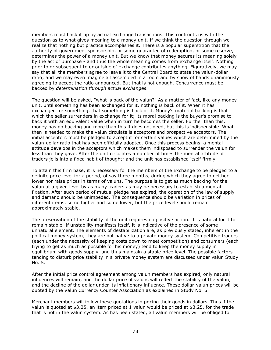members must back it up by actual exchange transactions. This confronts us with the question as to what gives meaning to a money unit. If we think the question through we realize that nothing but practice accomplishes it. There is a popular superstition that the authority of government sponsorship, or some guarantee of redemption, or some reserve, determines the power of a money unit. But we know that money secures its meaning solely by the act of purchase - and thus the whole meaning comes from exchange itself. Nothing prior to or subsequent to or outside of exchange contributes anything. Figuratively, we may say that all the members agree to leave it to the Central Board to state the valun-dollar ratio; and we may even imagine all assembled in a room and by show of hands unanimously agreeing to accept the ratio announced. But that is not enough. Concurrence must be backed by determination through actual exchanges.

The question will be asked, "what is back of the valun?" As a matter of fact, like any money unit, until something has been exchanged for it, nothing is back of it. When it has exchanged for something, that something is back of it. Money's material backing is that which the seller surrenders in exchange for it; its moral backing is the buyer's promise to back it with an equivalent value when in turn he becomes the seller. Further than this, money has no backing and more than this it does not need, but this is indispensible. What then is needed to make the valun circulate is acceptors and prospective acceptors. The initial acceptors must be pledged to accept it for certain values which are determined by the valun-dollar ratio that has been officially adopted. Once this process begins, a mental attitude develops in the acceptors which makes them indisposed to surrender the valun for less than they gave. After the unit circulates a number of times the mental attitude of traders jells into a fixed habit of thought; and the unit has established itself firmly.

To attain this firm base, it is necessary for the members of the Exchange to be pledged to a definite price level for a period, of say three months, during which they agree to neither lower nor raise prices in terms of valuns. The purpose is to get as much backing for the valun at a given level by as many traders as may be necessary to establish a mental fixation. After such period of mutual pledge has expired, the operation of the law of supply and demand should be unimpeded. The consequence should be variation in prices of different items, some higher and some lower, but the price level should remain approximately stable.

The preservation of the stability of the unit requires no positive action. It is natural for it to remain stable. If unstability manifests itself, it is indicative of the presence of some unnatural element. The elements of destabilization are, as previously stated, inherent in the political money system; they are not native to a private money system. Competitive traders (each under the necessity of keeping costs down to meet competition) and consumers (each trying to get as much as possible for his money) tend to keep the money supply in equilibrium with goods supply, and thus maintain a stable price level. The possible factors tending to disturb price stability in a private money system are discussed under valun Study No. 5.

After the initial price control agreement among valun members has expired, only natural influences will remain; and the dollar price of valuns will reflect the stability of the valun, and the decline of the dollar under its inflationary influence. These dollar-valun prices will be quoted by the Valun Currency Counter Association as explained in Study No. 6.

Merchant members will follow these quotations in pricing their goods in dollars. Thus if the valun is quoted at \$3.25, an item priced at 1 valun would be priced at \$3.25, for the trade that is not in the valun system. As has been stated, all valun members will be obliged to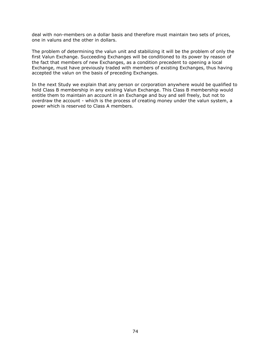deal with non-members on a dollar basis and therefore must maintain two sets of prices, one in valuns and the other in dollars.

The problem of determining the valun unit and stabilizing it will be the problem of only the first Valun Exchange. Succeeding Exchanges will be conditioned to its power by reason of the fact that members of new Exchanges, as a condition precedent to opening a local Exchange, must have previously traded with members of existing Exchanges, thus having accepted the valun on the basis of preceding Exchanges.

In the next Study we explain that any person or corporation anywhere would be qualified to hold Class B membership in any existing Valun Exchange. This Class B membership would entitle them to maintain an account in an Exchange and buy and sell freely, but not to overdraw the account - which is the process of creating money under the valun system, a power which is reserved to Class A members.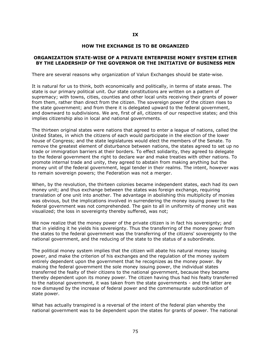#### HOW THE EXCHANGE IS TO BE ORGANIZED

#### ORGANIZATION STATE-WISE OF A PRIVATE ENTERPRISE MONEY SYSTEM EITHER BY THE LEADERSHIP OF THE GOVERNOR OR THE INITIATIVE OF BUSINESS MEN

There are several reasons why organization of Valun Exchanges should be state-wise.

It is natural for us to think, both economically and politically, in terms of state areas. The state is our primary political unit. Our state constitutions are written on a pattern of supremacy; with towns, cities, counties and other local units receiving their grants of power from them, rather than direct from the citizen. The sovereign power of the citizen rises to the state government; and from there it is delegated upward to the federal government, and downward to subdivisions. We are, first of all, citizens of our respective states; and this implies citizenship also in local and national governments.

The thirteen original states were nations that agreed to enter a league of nations, called the United States, in which the citizens of each would participate in the election of the lower house of Congress; and the state legislatures would elect the members of the Senate. To remove the greatest element of disturbance between nations, the states agreed to set up no trade or immigration barriers at their borders. To effect solidarity, they agreed to delegate to the federal government the right to declare war and make treaties with other nations. To promote internal trade and unity, they agreed to abstain from making anything but the money unit of the federal government, legal tender in their realms. The intent, however was to remain sovereign powers; the Federation was not a merger.

When, by the revolution, the thirteen colonies became independent states, each had its own money unit; and thus exchange between the states was foreign exchange, requiring translation of one unit into another. The advantage in abolishing this multiplicity of monies was obvious, but the implications involved in surrendering the money issuing power to the federal government was not comprehended. The gain to all in uniformity of money unit was visualized; the loss in sovereignty thereby suffered, was not;

We now realize that the money power of the private citizen is in fact his sovereignty; and that in yielding it he yields his sovereignty. Thus the transferring of the money power from the states to the federal government was the transferring of the citizens' sovereignty to the national government, and the reducing of the state to the status of a subordinate.

The political money system implies that the citizen will abate his natural money issuing power, and make the criterion of his exchanges and the regulation of the money system entirely dependent upon the government that he recognizes as the money power. By making the federal government the sole money issuing power, the individual states transferred the fealty of their citizens to the national government, because they became thereby dependent upon its money power. The citizen having thus had his fealty transferred to the national government, it was taken from the state governments - and the latter are now dismayed by the increase of federal power and the commensurate subordination of state power.

What has actually transpired is a reversal of the intent of the federal plan whereby the national government was to be dependent upon the states for grants of power. The national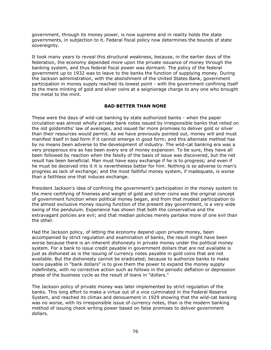government, through its money power, is now supreme and in reality holds the state governments, in subjection to it. Federal fiscal policy now determines the bounds of state sovereignty.

It took many years to reveal this structural weakness, because, in the earlier days of the federation, the economy depended more upon the private issuance of money through the banking system, and thus federal fiscal power was dormant. The policy of the federal government up to 1932 was to leave to the banks the function of supplying money. During the Jackson administration, with the abolishment of the United States Bank, government participation in money supply reached its lowest point - with the government confining itself to the mere minting of gold and silver coins at a seigniorage charge to any one who brought the metal to the mint.

# BAD BETTER THAN NONE

These were the days of wild-cat banking by state authorized banks - when the paper circulation was almost wholly private bank notes issued by irresponsible banks that relied on the old goldsmiths' law of averages, and issued far more promises to deliver gold or silver than their resources would permit. As we have previously pointed out, money will and must manifest itself in bad form if it cannot emerge in good form; and this alternate method has by no means been adverse to the development of industry. The wild-cat banking era was a very prosperous era as has been every era of money expansion. To be sure, they have all been followed by reaction when the falsity of the basis of issue was discovered, but the net result has been beneficial. Man must have easy exchange if he is to progress; and even if he must be deceived into it it is nevertheless better for him. Nothing is so adverse to man's progress as lack of exchange; and the most faithful money system, if inadequate, is worse than a faithless one that induces exchange.

President Jackson's idea of confining the government's participation in the money system to the mere certifying of fineness and weight of gold and silver coins was the original concept of government function when political money began, and from that modest participation to the almost exclusive money issuing function of the present day government, is a very wide swing of the pendulum. Experience has shown that both the conservative and the extravagant policies are evil; and that median policies merely partake more of one evil than the other.

Had the Jackson policy, of letting the economy depend upon private money, been accompanied by strict regulation and examination of banks, the result might have been worse because there is an inherent dishonesty in private money under the political money system. For a bank to issue credit payable in government dollars that are not available is just as dishonest as is the issuing of currency notes payable in gold coins that are not available. But the dishonesty cannot be eradicated; because to authorize banks to make loans payable in "bank dollars" is to give them the power to expand the money supply indefinitely, with no corrective action such as follows in the periodic deflation or depression phase of the business cycle as the result of loans in "dollars."

The Jackson policy of private money was later implemented by strict regulation of the banks. This long effort to make a virtue out of a vice culminated in the Federal Reserve System, and reached its climax and denouement in 1929 showing that the wild-cat banking was no worse, with its irresponsible issue of currency notes, than is the modern banking method of issuing check writing power based on false promises to deliver government dollars.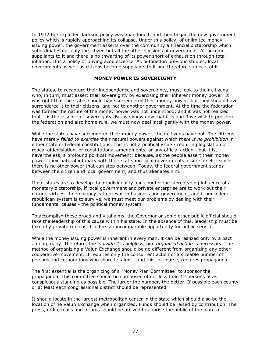In 1932 the exploded Jackson policy was abandoned; and then began the new government policy which is rapidly approaching its collapse. Under this policy, of unlimited moneyissuing power, the government asserts over the community a financial dictatorship which subordinates not only the citizen but all the other divisions of government. All become suppliants to it and there is no thwarting of its power short of exhaustion through total inflation. It is a policy of buying acquiescence. As outlined in previous studies, local governments as well as citizens become suppliants to it and therefore subjects of it.

## MONEY POWER IS SOVEREIGNTY

The states, to recapture their independence and sovereignty, must look to their citizens who, in turn, must assert their sovereignty by exercising their inherent money power. It was right that the states should have surrendered their money power; but they should have surrendered it to their citizens, and not to another government. At the time the federation was formed the nature of the money power was not understood; and it was not realized that it is the essence of sovereignty. But we know now that it is and if we wish to preserve the federation and also home rule, we must now deal intelligently with the money power.

While the states have surrendered their money power, their citizens have not. The citizens have merely failed to exercise their natural powers against which there is no prohibition in either state or federal constitutions. This is not a political issue - requiring legislation or repeal of legislation, or constitutional amendments, or any official action - but it is, nevertheless, a profound political movement; because, as the people assert their money power, their natural intimacy with their state and local governments asserts itself - since there is no other power that can step between. Today, the federal government stands between the citizen and local government, and thus alienates him.

If our states are to develop their individuality and counter the stereotyping influence of a monetary dictatorship, if local government and private enterprise are to work out their natural virtues, if democracy is to prevail in business and government, and if our federal republican system is to survive, we must meet our problems by dealing with their fundamental causes - the political money system.

To accomplish these broad and vital aims, the Governor or some other public official should take the leadership of this cause within his state. In the absence of this, leadership must be taken by private citizens. It offers an incomparable opportunity for public service.

While the money issuing power is inherent in every man, it can be realized only by a pact among many. Therefore, the *individual* is helpless, and *organized action* is necessary. The method of organizing a Valun Exchange should be no different from organizing any other cooperative movement. It requires only the concurrent action of a sizeable number of persons and corporations who share its aims - and this, of course, requires propaganda.

The first essential is the organizing of a "Money Plan Committee" to sponsor the propaganda. This committee should be composed of not less than 12 persons of as conspicuous standing as possible. The larger the number, the better. If possible each county or at least each congressional district should be represented.

It should locate in the largest metropolitan center in the state which should also be the location of he Valun Exchange when organized. Funds should be raised by contribution. The press, radio, mails and forums should be utilized to apprise the public of the plan to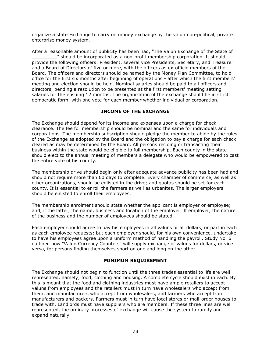organize a state Exchange to carry on money exchange by the valun non-political, private enterprise money system.

After a reasonable amount of publicity has been had, "The Valun Exchange of the State of \_\_\_\_\_\_\_\_\_" should be incorporated as a non-profit membership corporation. It should provide the following officers: President, several vice Presidents, Secretary, and Treasurer and a Board of Directors of five or more, with the officers as ex-officio members of the Board. The officers and directors should be named by the Money Plan Committee, to hold office for the first six months after beginning of operations - after which the first members' meeting and election should be held. Nominal salaries should be paid to all officers and directors, pending a resolution to be presented at the first members' meeting setting salaries for the ensuing 12 months. The organization of the exchange should be in strict democratic form, with one vote for each member whether individual or corporation.

# INCOME OF THE EXCHANGE

The Exchange should depend for its income and expenses upon a charge for check clearance. The fee for membership should be nominal and the same for individuals and corporations. The membership subscription should pledge the member to abide by the rules of the Exchange as adopted by the Board and the obligation to pay a charge for each check cleared as may be determined by the Board. All persons residing or transacting their business within the state would be eligible to full membership. Each county in the state should elect to the annual meeting of members a delegate who would be empowered to cast the entire vote of his county.

The membership drive should begin only after adequate advance publicity has been had and should not require more than 60 days to complete. Every chamber of commerce, as well as other organizations, should be enlisted in the drive; and quotas should be set for each county. It is essential to enroll the farmers as well as urbanites. The larger employers should be enlisted to enroll their employees.

The membership enrolment should state whether the applicant is employer or employee; and, if the latter, the name, business and location of the employer. If employer, the nature of the business and the number of employees should be stated.

Each employer should agree to pay his employees in all valuns or all dollars, or part in each as each employee requests; but each employer should, for his own convenience, undertake to have his employees agree upon a uniform method of handling the payroll. Study No. 6 outlined how "Valun Currency Counters" will supply exchange of valuns for dollars, or vice versa, for persons finding themselves short on one and long on the other.

## MINIMUM REQUIREMENT

The Exchange should not begin to function until the three trades essential to life are well represented, namely; food, clothing and housing. A complete cycle should exist in each. By this is meant that the food and clothing industries must have ample retailers to accept valuns from employees and the retailers must in turn have wholesalers who accept from them, and manufacturers who accept from wholesalers, and farmers who accept from manufacturers and packers. Farmers must in turn have local stores or mail-order houses to trade with. Landlords must have suppliers who are members. If these three lines are well represented, the ordinary processes of exchange will cause the system to ramify and expand naturally.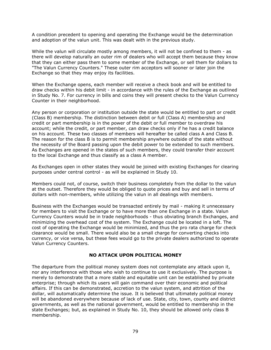A condition precedent to opening and operating the Exchange would be the determination and adoption of the valun unit. This was dealt with in the previous study.

While the valun will circulate mostly among members, it will not be confined to them - as there will develop naturally an outer rim of dealers who will accept them because they know that they can either pass them to some member of the Exchange, or sell them for dollars to "The Valun Currency Counters." These outer rim acceptors will sooner or later join the Exchange so that they may enjoy its facilities.

When the Exchange opens, each member will receive a check book and will be entitled to draw checks within his debit limit - in accordance with the rules of the Exchange as outlined in Study No. 7. For currency in bills and coins they will present checks to the Valun Currency Counter in their neighborhood.

Any person or corporation or institution outside the state would be entitled to part or credit (Class B) membership. The distinction between debit or full (Class A) membership and credit or part membership is in the power of the debit or full member to overdraw his account; while the credit, or part member, can draw checks only if he has a credit balance on his account. These two classes of members will hereafter be called class A and Class B. The reason for the class B is to permit membership anywhere outside of the state without the necessity of the Board passing upon the debit power to be extended to such members. As Exchanges are opened in the states of such members, they could transfer their account to the local Exchange and thus classify as a class A member.

As Exchanges open in other states they would be joined with existing Exchanges for clearing purposes under central control - as will be explained in Study 10.

Members could not, of course, switch their business completely from the dollar to the valun at the outset. Therefore they would be obliged to quote prices and buy and sell in terms of dollars with non-members, while utilizing the valun in all dealings with members.

Business with the Exchanges would be transacted entirely by mail - making it unnecessary for members to visit the Exchange or to have more than one Exchange in a state. Valun Currency Counters would be in trade neighborhoods - thus obviating branch Exchanges, and minimizing the overhead cost of the system. The Exchange could be located in a loft. The cost of operating the Exchange would be minimized, and thus the pro rata charge for check clearance would be small. There would also be a small charge for converting checks into currency, or vice versa, but these fees would go to the private dealers authorized to operate Valun Currency Counters.

## NO ATTACK UPON POLITICAL MONEY

The departure from the political money system does not contemplate any attack upon it, nor any interference with those who wish to continue to use it exclusively. The purpose is merely to demonstrate that a more stable and equitable unit can be established by private enterprise; through which its users will gain command over their economic and political affairs. If this can be demonstrated, accretion to the valun system, and attrition of the dollar, will automatically determine the issue. It is believed that ultimately political money will be abandoned everywhere because of lack of use. State, city, town, county and district governments, as well as the national government, would be entitled to membership in the state Exchanges; but, as explained in Study No. 10, they should be allowed only class B membership.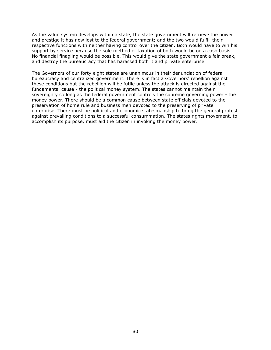As the valun system develops within a state, the state government will retrieve the power and prestige it has now lost to the federal government; and the two would fulfill their respective functions with neither having control over the citizen. Both would have to win his support by service because the sole method of taxation of both would be on a cash basis. No financial finagling would be possible. This would give the state government a fair break, and destroy the bureaucracy that has harassed both it and private enterprise.

The Governors of our forty eight states are unanimous in their denunciation of federal bureaucracy and centralized government. There is in fact a Governors' rebellion against these conditions but the rebellion will be futile unless the attack is directed against the fundamental cause - the political money system. The states cannot maintain their sovereignty so long as the federal government controls the supreme governing power - the money power. There should be a common cause between state officials devoted to the preservation of home rule and business men devoted to the preserving of private enterprise. There must be political and economic statesmanship to bring the general protest against prevailing conditions to a successful consummation. The states rights movement, to accomplish its purpose, must aid the citizen in invoking the money power.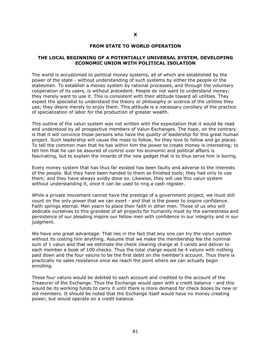#### FROM STATE TO WORLD OPERATION

#### THE LOCAL BEGINNING OF A POTENTIALLY UNIVERSAL SYSTEM, DEVELOPING ECONOMIC UNION WITH POLITICAL ISOLATION

The world is accustomed to political money systems, all of which are established by the power of the state - without understanding of such systems by either the people or the statesmen. To establish a money system by rational processes, and through the voluntary cooperation of its users, is without precedent. People do not want to understand money; they merely want to use it. This is consistent with their attitude toward all utilities. They expect the specialist to understand the theory or philosophy or science of the utilities they use; they desire merely to enjoy them. This attitude is a necessary corollary of the practice of specialization of labor for the production of greater wealth.

This outline of the valun system was not written with the expectation that it would be read and understood by all prospective members of Valun Exchanges. The hope, on the contrary is that it will convince those persons who have the *quality of leadership* for this great human project. Such leadership will cause the mass to follow, for they love to follow and go places. To tell the common man that he has within him the power to create money is interesting; to tell him that he can be assured of control over his economic and political affairs is fascinating, but to explain the innards of the new gadget that is to thus serve him is boring.

Every money system that has thus far existed has been faulty and adverse to the interests of the people. But they have been handed to them as finished tools; they had only to use them; and they have always avidly done so. Likewise, they will use this valun system without understanding it, once it can be used to ring a cash register.

While a private movement cannot have the prestige of a government project, we must still count on the only power that we can exert - and that is the power to inspire confidence. Faith springs eternal. Men yearn to place their faith in other men. Those of us who will dedicate ourselves to this grandest of all projects for humanity must by the earnestness and persistence of our pleading inspire our fellow men with confidence in our integrity and in our judgment.

We have one great advantage. That lies in the fact that any one can try the valun system without its costing him anything. Assume that we make the membership fee the nominal sum of 1 valun and that we estimate the check clearing charge at 3 cends and deliver to each member a book of 100 checks. Thus the total charge would be 4 valuns with nothing paid down and the four valuns to be the first debit on the member's account. Thus there is practically no sales resistance once we reach the point where we can actually begin enrolling.

These four valuns would be debited to each account and credited to the account of the Treasurer of the Exchange. Thus the Exchange would open with a credit balance - and this would be its working funds to carry it until there is more demand for check books by new or old members. It should be noted that the Exchange itself would have no money creating power, but would operate on a credit balance.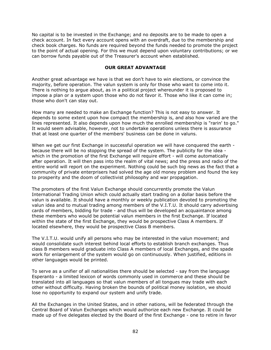No capital is to be invested in the Exchange; and no deposits are to be made to open a check account. In fact every account opens with an overdraft, due to the membership and check book charges. No funds are required beyond the funds needed to promote the project to the point of actual opening. For this we must depend upon voluntary contributions; or we can borrow funds payable out of the Treasurer's account when established.

### OUR GREAT ADVANTAGE

Another great advantage we have is that we don't have to win elections, or convince the majority, before operation. The valun system is only for those who want to come into it. There is nothing to argue about, as in a political project whereunder it is proposed to impose a plan or a system upon those who do not favor it. Those who like it can come in; those who don't can stay out.

How many are needed to make an Exchange function? This is not easy to answer. It depends to some extent upon how compact the membership is, and also how varied are the lines represented. It also depends upon how much the enrolled membership is "rarin' to go." It would seem advisable, however, not to undertake operations unless there is assurance that at least one quarter of the members' business can be done in valuns.

When we get our first Exchange in successful operation we will have conquered the earth because there will be no stopping the spread of the system. The publicity for the idea which in the promotion of the first Exchange will require effort - will come automatically after operation. It will then pass into the realm of vital news; and the press and radio of the entire world will report on the experiment. Nothing could be such big news as the fact that a community of private enterprisers had solved the age old money problem and found the key to prosperity and the doom of collectivist philosophy and war propagation.

The promoters of the first Valun Exchange should concurrently promote the Valun International Trading Union which could actually start trading on a dollar basis before the valun is available. It should have a monthly or weekly publication devoted to promoting the valun idea and to mutual trading among members of the V.I.T.U. It should carry advertising cards of members, bidding for trade - and thus will be developed an acquaintance among these members who would be potential valun members in the first Exchange. If located within the state of the first Exchange, they would be prospective Class A members. If located elsewhere, they would be prospective Class B members.

The V.I.T.U. would unify all persons who may be interested in the valun movement; and would consolidate such interest behind local efforts to establish branch exchanges. Thus class B members would graduate into Class A members of local Exchanges, and the spade work for enlargement of the system would go on continuously. When justified, editions in other languages would be printed.

To serve as a unifier of all nationalities there should be selected - say from the language Esperanto - a limited lexicon of words commonly used in commerce and these should be translated into all languages so that valun members of all tongues may trade with each other without difficulty. Having broken the bounds of political money isolation, we should lose no opportunity to expand our system and unify trade.

All the Exchanges in the United States, and in other nations, will be federated through the Central Board of Valun Exchanges which would authorize each new Exchange. It could be made up of five delegates elected by the Board of the first Exchange - one to retire in favor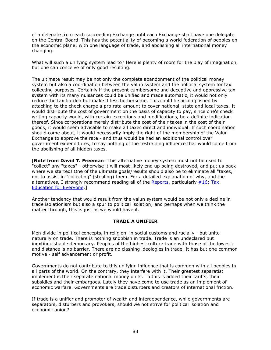of a delegate from each succeeding Exchange until each Exchange shall have one delegate on the Central Board. This has the potentiality of becoming a world federation of peoples on the economic plane; with one language of trade, and abolishing all international money changing.

What will such a unifying system lead to? Here is plenty of room for the play of imagination, but one can conceive of only good resulting.

The ultimate result may be not only the complete abandonment of the political money system but also a coordination between the valun system and the political system for tax collecting purposes. Certainly if the present cumbersome and deceptive and oppressive tax system with its many nuisances could be unified and made automatic, it would not only reduce the tax burden but make it less bothersome. This could be accomplished by attaching to the check charge a pro rata amount to cover national, state and local taxes. It would distribute the cost of government on the basis of capacity to pay, since one's check writing capacity would, with certain exceptions and modifications, be a definite indication thereof. Since corporations merely distribute the cost of their taxes in the cost of their goods, it would seem advisable to make all taxes direct and individual. If such coordination should come about, it would necessarily imply the right of the membership of the Valun Exchange to approve the rate - and thus would be had an additional control over government expenditures, to say nothing of the restraining influence that would come from the abolishing of all hidden taxes.

[Note from David T. Freeman: This alternative money system must not be used to "collect" any "taxes" - otherwise it will most likely end up being destroyed, and put us back where we started! One of the ultimate goals/results should also be to eliminate all "taxes," not to assist in "collecting" (stealing) them. For a detailed explanation of why, and the alternatives, I strongly recommend reading all of the Reports, particularly #16: Tax Education for Everyone.]

Another tendency that would result from the valun system would be not only a decline in trade isolationism but also a spur to political isolation; and perhaps when we think the matter through, this is just as we would have it.

## TRADE A UNIFIER

Men divide in political concepts, in religion, in social customs and racially - but unite naturally on trade. There is nothing snobbish in trade. Trade is an undeclared but inextinguishable democracy. Peoples of the highest culture trade with those of the lowest; and distance is no barrier. There are no clashing ideologies in trade. It has but one common motive - self advancement or profit.

Governments do not contribute to this unifying influence that is common with all peoples in all parts of the world. On the contrary, they interfere with it. Their greatest separatist implement is their separate national money units. To this is added their tariffs, their subsidies and their embargoes. Lately they have come to use trade as an implement of economic warfare. Governments are trade disturbers and creators of international friction.

If trade is a unifier and promoter of wealth and interdependence, while governments are separators, disturbers and provokers, should we not strive for political isolation and economic union?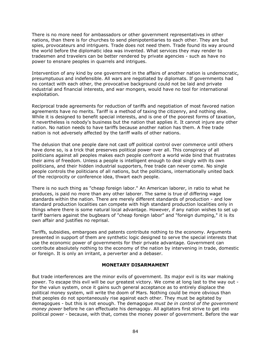There is no more need for ambassadors or other government representatives in other nations, than there is for churches to send plenipotentiaries to each other. They are but spies, provocateurs and intriguers. Trade does not need them. Trade found its way around the world before the diplomatic idea was invented. What services they may render to tradesmen and travelers can be better rendered by private agencies - such as have no power to ensnare peoples in quarrels and intrigues.

Intervention of any kind by one government in the affairs of another nation is undemocratic, presumptuous and indefensible. All wars are negotiated by diplomats. If governments had no contact with each other, the provocative background could not be laid and private industrial and financial interests, and war mongers, would have no tool for international exploitation.

Reciprocal trade agreements for reduction of tariffs and negotiation of most favored nation agreements have no merits. Tariff is a method of taxing the citizenry, and nothing else. While it is designed to benefit special interests, and is one of the poorest forms of taxation, it nevertheless is nobody's business but the nation that applies it. It cannot injure any other nation. No nation needs to have tariffs because another nation has them. A free trade nation is not adversely affected by the tariff walls of other nations.

The delusion that one people dare not cast off political control over commerce until others have done so, is a trick that preserves political power over all. This conspiracy of all politicians against all peoples makes each people confront a world wide bind that frustrates their aims of freedom. Unless a people is intelligent enough to deal singly with its own politicians, and their hidden industrial supporters, free trade can never come. No single people controls the politicians of all nations, but the politicians, internationally united back of the reciprocity or conference idea, thwart each people.

There is no such thing as "cheap foreign labor." An American laborer, in ratio to what he produces, is paid no more than any other laborer. The same is true of differing wage standards within the nation. There are merely different standards of production - and low standard production localities can compete with high standard production localities only in things where there is some natural local advantage. However, if any nation wishes to set up tariff barriers against the bugbears of "cheap foreign labor" and "foreign dumping," it is its own affair and justifies no reprisal.

Tariffs, subsidies, embargoes and patents contribute nothing to the economy. Arguments presented in support of them are synthetic logic designed to serve the special interests that use the economic power of governments for their private advantage. Government can contribute absolutely nothing to the economy of the nation by intervening in trade, domestic or foreign. It is only an irritant, a perverter and a debaser.

## MONETARY DISARMAMENT

But trade interferences are the minor evils of government. Its major evil is its war making power. To escape this evil will be our greatest victory. We come at long last to the way out for the valun system, once it gains such general acceptance as to entirely displace the political money system, will write the doom of Mars. Nothing could be more obvious than that peoples do not spontaneously rise against each other. They must be agitated by demagogues - but this is not enough. The demagogue must be in control of the government money power before he can effectuate his demagogy. All agitators first strive to get into political power - because, with that, comes the money power of government. Before the war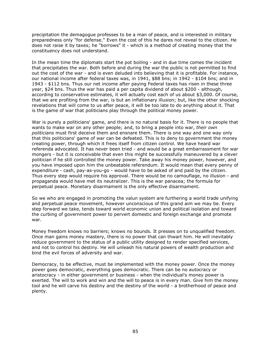precipitation the demagogue professes to be a man of peace, and is interested in military preparedness only "for defense." Even the cost of this he dares not reveal to the citizen. He does not raise it by taxes; he "borrows" it - which is a method of creating money that the constituency does not understand.

In the mean time the diplomats start the pot boiling - and in due time comes the incident that precipitates the war. Both before and during the war the public is not permitted to find out the cost of the war - and is even deluded into believing that it is profitable. For instance, our national income after federal taxes was, in 1941, \$88 bns; in 1942 - \$104 bns; and in 1943 - \$112 bns. Thus our net income after paying Federal taxes has risen in these three year, \$24 bns. Thus the war has paid a per capita dividend of about \$200 - although, according to conservative estimates, it will actually cost each of us about \$3,000. Of course, that we are profiting from the war, is but an inflationary illusion; but, like the other shocking revelations that will come to us after peace, it will be too late to do anything about it. That is the game of war that politicians play through the political money power.

War is purely a politicians' game, and there is no natural basis for it. There is no people that wants to make war on any other people; and, to bring a people into war, their own politicians must first deceive them and ensnare them. There is one way and one way only that this politicians' game of war can be defeated. This is to deny to government the money creating power, through which it frees itself from citizen control. We have heard war referenda advocated. It has never been tried - and would be a great embarrassment for war mongers - but it is conceivable that even this might be successfully maneuvered by a clever politician if he still controlled the money power. Take away his money power, however, and you have imposed upon him the unbeatable referendum. It would mean that every penny of expenditure - cash, pay-as-you-go - would have to be asked of and paid by the citizen. Thus every step would require his approval. There would be no camouflage, no illusion - and propaganda would have met its neutralizer. This is the war panacea; the formula for perpetual peace. Monetary disarmament is the only effective disarmament.

So we who are engaged in promoting the valun system are furthering a world trade unifying and perpetual peace movement, however unconscious of this grand aim we may be. Every step forward we take, tends toward world economic union and political isolation and toward the curbing of government power to pervert domestic and foreign exchange and promote war.

Money freedom knows no barriers; knows no bounds. It presses on to unqualified freedom. Once man gains money mastery, there is no power that can thwart him. He will inevitably reduce government to the status of a public utility designed to render specified services, and not to control his destiny. He will unleash his natural powers of wealth production and bind the evil forces of adversity and war.

Democracy, to be effective, must be implemented with the money power. Once the money power goes democratic, everything goes democratic. There can be no autocracy or aristocracy - in either government or business - when the individual's money power is exerted. The will to work and win and the will to peace is in every man. Give him the money tool and he will carve his destiny and the destiny of the world - a brotherhood of peace and plenty.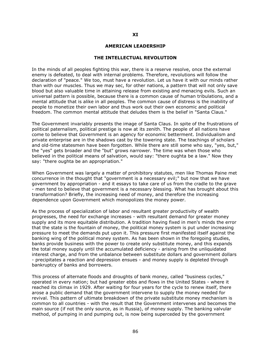#### AMERICAN LEADERSHIP

#### THE INTELLECTUAL REVOLUTION

In the minds of all peoples fighting this war, there is a reserve resolve, once the external enemy is defeated, to deal with internal problems. Therefore, revolutions will follow the declaration of "peace." We too, must have a revolution. Let us have it with our minds rather than with our muscles. Thus we may sec, for other nations, a pattern that will not only save blood but also valuable time in attaining release from existing and menacing evils. Such an universal pattern is possible, because there is a common cause of human tribulations, and a mental attitude that is alike in all peoples. The common cause of distress is the inability of people to monetize their own labor and thus work out their own economic and political freedom. The common mental attitude that deludes them is the belief in "Santa Claus."

The Government invariably presents the image of Santa Claus. In spite of the frustrations of political paternalism, political prestige is now at its zenith. The people of all nations have come to believe that Government is an agency for economic betterment. Individualism and private enterprise are in the shadows cast by the towering state. The teachings of scholars and old-time statesmen have been forgotten. While there are still some who say, "yes, but," the "yes" gets broader and the "but" grows narrower. The time was when those who believed in the political means of salvation, would say: "there oughta be a law." Now they say: "there oughta be an appropriation."

When Government was largely a matter of prohibitory statutes, men like Thomas Paine met concurrence in the thought that "government is a necessary evil;" but now that we have government by appropriation - and it essays to take care of us from the cradle to the grave - men tend to believe that government is a necessary blessing. What has brought about this transformation? Briefly, the increasing need of money, and therefore the increasing dependence upon Government which monopolizes the money power.

As the process of specialization of labor and resultant greater productivity of wealth progresses, the need for exchange increases - with resultant demand for greater money supply and its more equitable distribution. A tradition having fixed in men's minds the error that the state is the fountain of money, the political money system is put under increasing pressure to meet the demands put upon it. This pressure first manifested itself against the banking wing of the political money system. As has been shown in the foregoing studies, banks provide business with the power to create only substitute money, and this expands the total money supply until the accumulated deficiency - arising from the unliquidated interest charge, and from the unbalance between substitute dollars and government dollars - precipitates a reaction and depression ensues - and money supply is depleted through bankruptcy of banks and borrowers.

This process of alternate floods and droughts of bank money, called "business cycles," operated in every nation; but had greater ebbs and flows in the United States - where it reached its climax in 1929. After waiting for four years for the cycle to renew itself, there arose a public demand that the government intervene to supply the money needed for revival. This pattern of ultimate breakdown of the private substitute money mechanism is common to all countries - with the result that the Government intervenes and becomes the main source (if not the only source, as in Russia), of money supply. The banking valvular method, of pumping in and pumping out, is now being superceded by the government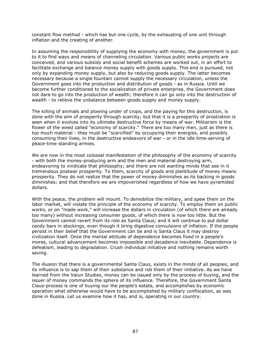constant flow method - which has but one cycle, by the exhausting of one unit through inflation and the creating of another.

In assuming the responsibility of supplying the economy with money, the government is put to it to find ways and means of channeling circulation. Various public works projects are conceived, and various subsidy and social benefit schemes are worked out, in an effort to facilitate exchange and balance money supply with goods supply. This end is pursued, not only by expanding money supply, but also by reducing goods supply. The latter becomes necessary because a single fountain cannot supply the necessary circulation, unless the Government goes into the production and distribution of goods - as in Russia. Until we become further conditioned to the socialization of private enterprise, the Government does not dare to go into the production of wealth; therefore it can go only into the destruction of wealth - to relieve the unbalance between goods supply and money supply.

The killing of animals and plowing under of crops, and the paying for this destruction, is done with the aim of prosperity through scarcity; but that it is a prosperity of prostration is seen when it evolves into its ultimate destructive force by means of war. Militarism is the flower of the weed called "economy of scarcity." There are too many men, just as there is too much material - they must be "scarcified" by occupying their energies, and possibly consuming their lives, in the destructive endeavors of war - or in the idle time-serving of peace-time standing armies.

We are now in the most colossal manifestation of the philosophy of the economy of scarcity - with both the money-producing arm and the men and material destroying arm, endeavoring to vindicate that philosophy; and there are not wanting minds that see in it tremendous postwar prosperity. To them, scarcity of goods and plentitude of money means prosperity. They do not realize that the power of money diminishes as its backing in goods diminishes; and that therefore we are impoverished regardless of how we have pyramided dollars.

With the peace, the problem will mount. To demobilize the military, and spew them on the labor market, will violate the principle of the economy of scarcity. To employ them on public works, or on "made work," will increase the dollars in circulation (of which there are already too many) without increasing consumer goods, of which there is now too little. But the Government cannot revert from its role as Santa Claus; and it will continue to put dollar candy bars in stockings, even though it bring digestive convulsions of inflation. If the people persist in their belief that the Government can be and is Santa Claus it may destroy civilization itself. Once the mental attitude of dependence becomes fixed in a people's mores, cultural advancement becomes impossible and decadence inevitable. Dependence is defeatism, leading to degradation. Crush individual initiative and nothing remains worth saving.

The illusion that there is a governmental Santa Claus, exists in the minds of all peoples; and its influence is to sap them of their substance and rob them of their initiative. As we have learned from the Valun Studies, money can be issued only by the process of buying, and the issuer of money commands the sphere of its influence. Therefore, the Government Santa Claus-process is one of buying our the people's estate, and accomplishes by economic operation what otherwise would have to be accomplished by military confiscation, as was done in Russia. Let us examine how it has, and is, operating in our country.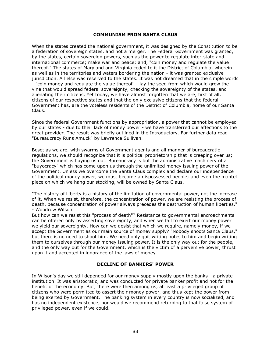### COMMUNISM FROM SANTA CLAUS

When the states created the national government, it was designed by the Constitution to be a federation of sovereign states, and not a merger. The Federal Government was granted, by the states, certain sovereign powers, such as the power to regulate inter-state and international commerce; make war and peace; and, "coin money and regulate the value thereof." The states of Maryland and Virginia ceded to it the District of Columbia, wherein as well as in the territories and waters bordering the nation - it was granted exclusive jurisdiction. All else was reserved to the states. It was not dreamed that in the simple words - "coin money and regulate the value thereof" - lay the seed from which would grow the vine that would spread federal sovereignty, checking the sovereignty of the states, and alienating their citizens. Yet today, we have almost forgotten that we are, first of all, citizens of our respective states and that the only exclusive citizens that the federal Government has, are the voteless residents of the District of Columbia, home of our Santa Claus.

Since the federal Government functions by appropriation, a power that cannot be employed by our states - due to their lack of money power - we have transferred our affections to the great provider. The result was briefly outlined in the Introductory. For further data read "Bureaucracy Runs Amuck" by Lawrence Sullivan.

Beset as we are, with swarms of Government agents and all manner of bureaucratic regulations, we should recognize that it is political proprietorship that is creeping over us; the Government is buying us out. Bureaucracy is but the administrative machinery of a "buyocracy" which has come upon us through the unlimited money issuing power of the Government. Unless we overcome the Santa Claus complex and declare our independence of the political money power, we must become a dispossessed people; and even the mantel piece on which we hang our stocking, will be owned by Santa Claus.

"The history of Liberty is a history of the limitation of governmental power, not the increase of it. When we resist, therefore, the concentration of power, we are resisting the process of death, because concentration of power always precedes the destruction of human liberties." - Woodrow Wilson.

But how can we resist this "process of death"? Resistance to governmental encroachments can be offered only by asserting sovereignty, and when we fail to exert our money power we yield our sovereignty. How can we desist that which we require, namely money, if we accept the Government as our main source of money supply? "Nobody shoots Santa Claus," but there is no need to shoot him. We need only quit writing notes to him and begin writing them to ourselves through our money issuing power. It is the only way out for the people, and the only way out for the Government, which is the victim of a perversive power, thrust upon it and accepted in ignorance of the laws of money.

## DECLINE OF BANKERS' POWER

In Wilson's day we still depended for our money supply mostly upon the banks - a private institution. It was aristocratic, and was conducted for private banker profit and not for the benefit of the economy. But, there were then among us, at least a privileged group of citizens who were permitted to assert their money power, and thus kept the power from being exerted by Government. The banking system in every country is now socialized, and has no independent existence, nor would we recommend returning to that false system of privileged power, even if we could.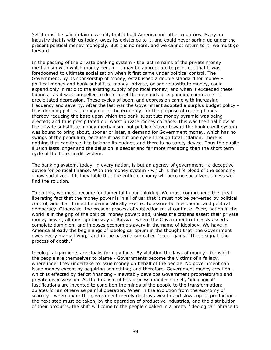Yet it must be said in fairness to it, that it built America and other countries. Many an industry that is with us today, owes its existence to it, and could never spring up under the present political money monopoly. But it is no more, and we cannot return to it; we must go forward.

In the passing of the private banking system - the last remains of the private money mechanism with which money began - it may be appropriate to point out that it was foredoomed to ultimate socialization when it first came under political control. The Government, by its sponsorship of money, established a double standard for money political money and bank-substitute money. private, or bank-substitute money, could expand only in ratio to the existing supply of political money; and when it exceeded these bounds - as it was compelled to do to meet the demands of expanding commerce - it precipitated depression. These cycles of boom and depression came with increasing frequency and severity. After the last war the Government adopted a surplus budget policy thus draining political money out of the economy, for the purpose of retiring bonds thereby reducing the base upon which the bank-substitute money pyramid was being erected; and thus precipitated our worst private money collapse. This was the final blow at the private substitute money mechanism, but public disfavor toward the bank credit system was bound to bring about, sooner or later, a demand for Government money, which has no swings of the pendulum, because it has but one cycle through total inflation. There is nothing that can force it to balance its budget, and there is no safety device. Thus the public illusion lasts longer and the delusion is deeper and far more menacing than the short term cycle of the bank credit system.

The banking system, today, in every nation, is but an agency of government - a deceptive device for political finance. With the money system - which is the life blood of the economy - now socialized, it is inevitable that the entire economy will become socialized, unless we find the solution.

To do this, we must become fundamental in our thinking. We must comprehend the great liberating fact that the money power is in all of us; that it must not be perverted by political control, and that it must be democratically exerted to assure both economic and political democracy. Otherwise, the present process of subjection must continue. Every nation in the world is in the grip of the political money power; and, unless the citizens assert their private money power, all must go the way of Russia - where the Government ruthlessly asserts complete dominion, and imposes economic slavery in the name of ideology. We have in America already the beginnings of ideological opium in the thought that "the Government owes every man a living," and in the paternalism called "social gains." These signal "the process of death."

Ideological garments are cloaks for ugly facts. By violating the laws of money - for which the people are themselves to blame - Governments become the victims of a fallacy, whereunder they undertake to issue money on behalf of the people. No government can issue money except by acquiring something; and therefore, Government money creation which is effected by deficit financing - inevitably develops Government proprietorship and private dispossession. As the fatalism of this process manifests itself, "ideological" justifications are invented to condition the minds of the people to the transformation; opiates for an otherwise painful operation. When in the evolution from the economy of scarcity - whereunder the government merely destroys wealth and slows up its production the next step must be taken, by the operation of productive industries, and the distribution of their products, the shift will come to the people cloaked in a pretty "ideological" phrase to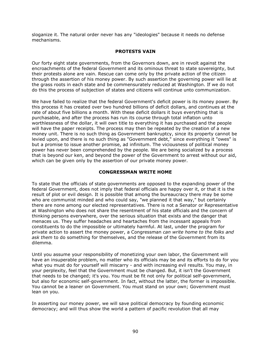sloganize it. The natural order never has any "ideologies" because it needs no defense mechanisms.

# PROTESTS VAIN

Our forty eight state governments, from the Governors down, are in revolt against the encroachments of the federal Government and its ominous threat to state sovereignty, but their protests alone are vain. Rescue can come only by the private action of the citizen through the assertion of his money power. By such assertion the governing power will lie at the grass roots in each state and be commensurately reduced at Washington. If we do not do this the process of subjection of states and citizens will continue unto communization.

We have failed to realize that the federal Government's deficit power is its money power. By this process it has created over two hundred billions of deficit dollars, and continues at the rate of about five billions a month. With these deficit dollars it buys everything that is purchasable, and after the process has run its course through total inflation unto worthlessness of the dollar, it will own title to everything it has purchased and the people will have the paper receipts. The process may then be repeated by the creation of a new money unit. There is no such thing as Government bankruptcy, since its property cannot be levied upon, and there is no such thing as "Government debt," since everything it "owes" is but a promise to issue another promise, ad infinitum. The viciousness of political money power has never been comprehended by the people. We are being socialized by a process that is beyond our ken, and beyond the power of the Government to arrest without our aid, which can be given only by the assertion of our private money power.

#### CONGRESSMAN WRITE HOME

To state that the officials of state governments are opposed to the expanding power of the federal Government, does not imply that federal officials are happy over it, or that it is the result of plot or evil design. It is possible that among the bureaucracy there may be some who are communist minded and who could say, "we planned it that way," but certainly there are none among our elected representatives. There is not a Senator or Representative at Washington who does not share the resentment of his state officials and the concern of thinking persons everywhere, over the serious situation that exists and the danger that menaces us. They suffer headaches and heartaches from the incessant appeals from constituents to do the impossible or ultimately harmful. At last, under the program for private action to assert the money power, a Congressman can write home to the folks and ask them to do something for themselves, and the release of the Government from its dilemma.

Until you assume your responsibility of monetizing your own labor, the Government will have an insuperable problem, no matter who its officials may be and its efforts to do for you what you must do for yourself will miscarry - and with increasing evil results. You may, in your perplexity, feel that the Government must be changed. But, it isn't the Government that needs to be changed; it's you. You must be fit not only for political self-government, but also for economic self-government. In fact, without the latter, the former is impossible. You cannot be a leaner on Government. You must stand on your own; Government must lean on you.

In asserting our money power, we will save political democracy by founding economic democracy; and will thus show the world a pattern of pacific revolution that all may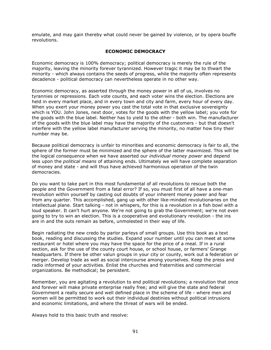emulate, and may gain thereby what could never be gained by violence, or by opera bouffe revolutions.

# ECONOMIC DEMOCRACY

Economic democracy is 100% democracy; political democracy is merely the rule of the majority, leaving the minority forever tyrannized. However tragic it may be to thwart the minority - which always contains the seeds of progress, while the majority often represents decadence - political democracy can nevertheless operate in no other way.

Economic democracy, as asserted through the money power in all of us, involves no tyrannies or repressions. Each vote counts, and each voter wins the election. Elections are held in every market place, and in every town and city and farm, every hour of every day. When you exert your money power you cast the total vote in that exclusive sovereignty which is YOU. John Jones, next door, votes for the goods with the yellow label; you vote for the goods with the blue label. Neither has to yield to the other - both win. The manufacturer of the goods with the blue label may have the majority of the customers - but that doesn't interfere with the yellow label manufacturer serving the minority, no matter how tiny their number may be.

Because political democracy is unfair to minorities and economic democracy is fair to all, the sphere of the former must be minimized and the sphere of the latter maximized. This will be the logical consequence when we have asserted our *individual money power* and depend less upon the *political means* of attaining ends. Ultimately we will have complete separation of money and state - and will thus have achieved harmonious operation of the twin democracies.

Do you want to take part in this most fundamental of all revolutions to rescue both the people and the Government from a fatal error? If so, you must first of all have a one-man revolution within yourself by casting out doubts of your inherent money power and fear from any quarter. This accomplished, gang up with other like-minded revolutionaries on the intellectual plane. Start talking - not in whispers, for this is a revolution in a fish bowl with a loud speaker. It can't hurt anyone. We're not going to grab the Government; we're not even going to try to win an election. This is a cooperative and evolutionary revolution - the ins are in and the outs remain as before, unmolested in their way of life.

Begin radiating the new credo by parlor parleys of small groups. Use this book as a text book, reading and discussing the studies. Expand your number until you can meet at some restaurant or hotel where you may have the space for the price of a meal. If in a rural section, ask for the use of the county court house, or school house, or farmers' Grange headquarters. If there be other valun groups in your city or county, work out a federation or merger. Develop trade as well as social intercourse among yourselves. Keep the press and radio informed of your activities. Enlist the churches and fraternities and commercial organizations. Be methodical; be persistent.

Remember, you are agitating a revolution to end political revolutions; a revolution that once and forever will make private enterprise really free; and will give the state and federal Government a really secure and well defined place in the scheme of life - where men and women will be permitted to work out their individual destinies without political intrusions and economic limitations, and where the threat of wars will be ended.

Always hold to this basic truth and resolve: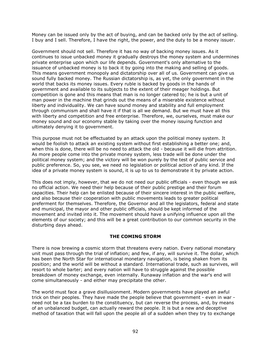Money can be issued only by the act of buying, and can be backed only by the act of selling. I buy and I sell. Therefore, I have the right, the power, and the duty to be a money issuer.

Government should not sell. Therefore it has no way of backing money issues. As it continues to issue unbacked money it gradually destroys the money system and undermines private enterprise upon which our life depends. Government's only alternative to the issuance of unbacked money is to back it by going into the making and selling of goods. This means government monopoly and dictatorship over all of us. Government can give us sound fully backed money. The Russian dictatorship is, as yet, the only government in the world that backs its money issues. Every ruble is backed by goods in the hands of government and available to its subjects to the extent of their meager holdings. But competition is gone and this means that man is no longer catered to; he is but a unit of man power in the machine that grinds out the means of a miserable existence without liberty and individuality. We can have sound money and stability and full employment through communism and shall have it if that is all we demand. But we must have all this with liberty and competition and free enterprise. Therefore, we, ourselves, must make our money sound and our economy stable by taking over the money issuing function and ultimately denying it to government.

This purpose must not be effectuated by an attack upon the political money system. It would be foolish to attack an existing system without first establishing a better one; and, when this is done, there will be no need to attack the old - because it will die from attrition. As more people come into the private money system, less trade will be done under the political money system; and the victory will be won purely by the test of public service and public preference. So, you see, we need no legislation or political action of any kind. If the idea of a private money system is sound, it is up to us to demonstrate it by private action.

This does not imply, however, that we do not need our public officials - even though we ask no official action. We need their help because of their public prestige and their forum capacities. Their help can be enlisted because of their sincere interest in the public welfare, and also because their cooperation with public movements leads to greater political preferment for themselves. Therefore, the Governor and all the legislators, federal and state and municipal, the mayor and other public officials, should be kept informed of the movement and invited into it. The movement should have a unifying influence upon all the elements of our society; and this will be a great contribution to our common security in the disturbing days ahead.

# THE COMING STORM

There is now brewing a cosmic storm that threatens every nation. Every national monetary unit must pass through the trial of inflation; and few, if any, will survive it. The dollar, which has been the North Star for international monetary navigation, is being shaken from its position; and the world will be without a standard. International trade, such as survives, will resort to whole barter; and every nation will have to struggle against the possible breakdown of money exchange, even internally. Runaway inflation and the war's end will come simultaneously - and either may precipitate the other.

The world must face a grave disillusionment. Modern governments have played an awful trick on their peoples. They have made the people believe that government - even in war need not be a tax burden to the constituency, but can reverse the process, and, by means of an unbalanced budget, can actually reward the people. It is but a new and deceptive method of taxation that will fall upon the people all of a sudden when they try to exchange